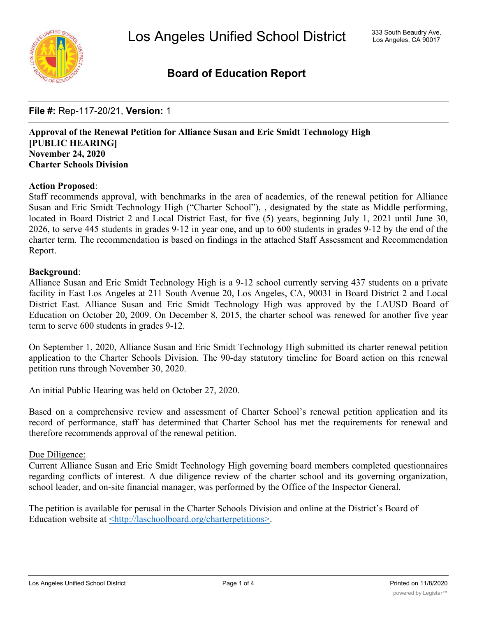

# **Board of Education Report**

**File #:** Rep-117-20/21, **Version:** 1

**Approval of the Renewal Petition for Alliance Susan and Eric Smidt Technology High [PUBLIC HEARING] November 24, 2020 Charter Schools Division**

## **Action Proposed**:

Staff recommends approval, with benchmarks in the area of academics, of the renewal petition for Alliance Susan and Eric Smidt Technology High ("Charter School"), , designated by the state as Middle performing, located in Board District 2 and Local District East, for five (5) years, beginning July 1, 2021 until June 30, 2026, to serve 445 students in grades 9-12 in year one, and up to 600 students in grades 9-12 by the end of the charter term. The recommendation is based on findings in the attached Staff Assessment and Recommendation Report.

## **Background**:

Alliance Susan and Eric Smidt Technology High is a 9-12 school currently serving 437 students on a private facility in East Los Angeles at 211 South Avenue 20, Los Angeles, CA, 90031 in Board District 2 and Local District East. Alliance Susan and Eric Smidt Technology High was approved by the LAUSD Board of Education on October 20, 2009. On December 8, 2015, the charter school was renewed for another five year term to serve 600 students in grades 9-12.

On September 1, 2020, Alliance Susan and Eric Smidt Technology High submitted its charter renewal petition application to the Charter Schools Division. The 90-day statutory timeline for Board action on this renewal petition runs through November 30, 2020.

An initial Public Hearing was held on October 27, 2020.

Based on a comprehensive review and assessment of Charter School's renewal petition application and its record of performance, staff has determined that Charter School has met the requirements for renewal and therefore recommends approval of the renewal petition.

## Due Diligence:

Current Alliance Susan and Eric Smidt Technology High governing board members completed questionnaires regarding conflicts of interest. A due diligence review of the charter school and its governing organization, school leader, and on-site financial manager, was performed by the Office of the Inspector General.

The petition is available for perusal in the Charter Schools Division and online at the District's Board of Education website at <http://laschoolboard.org/charterpetitions>.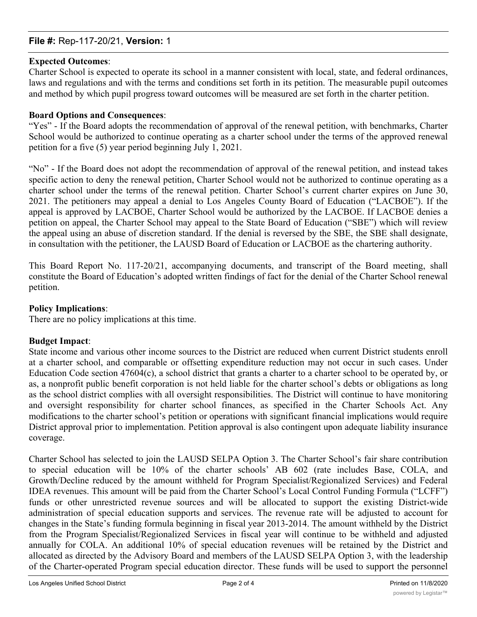## **File #:** Rep-117-20/21, **Version:** 1

## **Expected Outcomes**:

Charter School is expected to operate its school in a manner consistent with local, state, and federal ordinances, laws and regulations and with the terms and conditions set forth in its petition. The measurable pupil outcomes and method by which pupil progress toward outcomes will be measured are set forth in the charter petition.

## **Board Options and Consequences**:

"Yes" - If the Board adopts the recommendation of approval of the renewal petition, with benchmarks, Charter School would be authorized to continue operating as a charter school under the terms of the approved renewal petition for a five (5) year period beginning July 1, 2021.

"No" - If the Board does not adopt the recommendation of approval of the renewal petition, and instead takes specific action to deny the renewal petition, Charter School would not be authorized to continue operating as a charter school under the terms of the renewal petition. Charter School's current charter expires on June 30, 2021. The petitioners may appeal a denial to Los Angeles County Board of Education ("LACBOE"). If the appeal is approved by LACBOE, Charter School would be authorized by the LACBOE. If LACBOE denies a petition on appeal, the Charter School may appeal to the State Board of Education ("SBE") which will review the appeal using an abuse of discretion standard. If the denial is reversed by the SBE, the SBE shall designate, in consultation with the petitioner, the LAUSD Board of Education or LACBOE as the chartering authority.

This Board Report No. 117-20/21, accompanying documents, and transcript of the Board meeting, shall constitute the Board of Education's adopted written findings of fact for the denial of the Charter School renewal petition.

## **Policy Implications**:

There are no policy implications at this time.

## **Budget Impact**:

State income and various other income sources to the District are reduced when current District students enroll at a charter school, and comparable or offsetting expenditure reduction may not occur in such cases. Under Education Code section 47604(c), a school district that grants a charter to a charter school to be operated by, or as, a nonprofit public benefit corporation is not held liable for the charter school's debts or obligations as long as the school district complies with all oversight responsibilities. The District will continue to have monitoring and oversight responsibility for charter school finances, as specified in the Charter Schools Act. Any modifications to the charter school's petition or operations with significant financial implications would require District approval prior to implementation. Petition approval is also contingent upon adequate liability insurance coverage.

Charter School has selected to join the LAUSD SELPA Option 3. The Charter School's fair share contribution to special education will be 10% of the charter schools' AB 602 (rate includes Base, COLA, and Growth/Decline reduced by the amount withheld for Program Specialist/Regionalized Services) and Federal IDEA revenues. This amount will be paid from the Charter School's Local Control Funding Formula ("LCFF") funds or other unrestricted revenue sources and will be allocated to support the existing District-wide administration of special education supports and services. The revenue rate will be adjusted to account for changes in the State's funding formula beginning in fiscal year 2013-2014. The amount withheld by the District from the Program Specialist/Regionalized Services in fiscal year will continue to be withheld and adjusted annually for COLA. An additional 10% of special education revenues will be retained by the District and allocated as directed by the Advisory Board and members of the LAUSD SELPA Option 3, with the leadership of the Charter-operated Program special education director. These funds will be used to support the personnel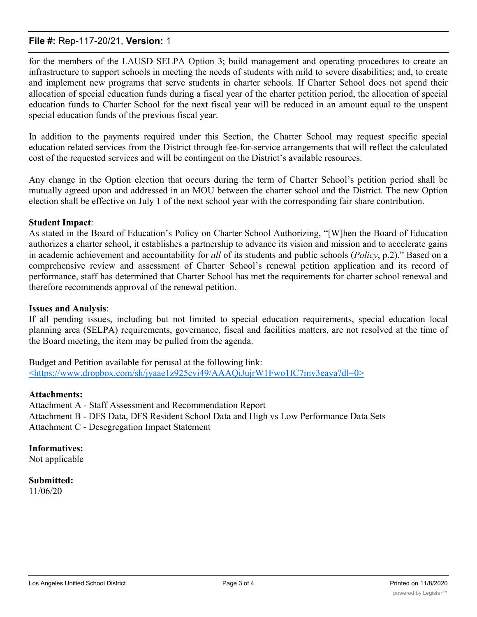## **File #:** Rep-117-20/21, **Version:** 1

for the members of the LAUSD SELPA Option 3; build management and operating procedures to create an infrastructure to support schools in meeting the needs of students with mild to severe disabilities; and, to create and implement new programs that serve students in charter schools. If Charter School does not spend their allocation of special education funds during a fiscal year of the charter petition period, the allocation of special education funds to Charter School for the next fiscal year will be reduced in an amount equal to the unspent special education funds of the previous fiscal year.

In addition to the payments required under this Section, the Charter School may request specific special education related services from the District through fee-for-service arrangements that will reflect the calculated cost of the requested services and will be contingent on the District's available resources.

Any change in the Option election that occurs during the term of Charter School's petition period shall be mutually agreed upon and addressed in an MOU between the charter school and the District. The new Option election shall be effective on July 1 of the next school year with the corresponding fair share contribution.

## **Student Impact**:

As stated in the Board of Education's Policy on Charter School Authorizing, "[W]hen the Board of Education authorizes a charter school, it establishes a partnership to advance its vision and mission and to accelerate gains in academic achievement and accountability for *all* of its students and public schools (*Policy*, p.2)." Based on a comprehensive review and assessment of Charter School's renewal petition application and its record of performance, staff has determined that Charter School has met the requirements for charter school renewal and therefore recommends approval of the renewal petition.

## **Issues and Analysis**:

If all pending issues, including but not limited to special education requirements, special education local planning area (SELPA) requirements, governance, fiscal and facilities matters, are not resolved at the time of the Board meeting, the item may be pulled from the agenda.

Budget and Petition available for perusal at the following link: <https://www.dropbox.com/sh/jyaae1z925cvi49/AAAQiJujrW1Fwo1IC7mv3eaya?dl=0>

## **Attachments:**

Attachment A - Staff Assessment and Recommendation Report Attachment B - DFS Data, DFS Resident School Data and High vs Low Performance Data Sets Attachment C - Desegregation Impact Statement

**Informatives:** Not applicable

**Submitted:** 11/06/20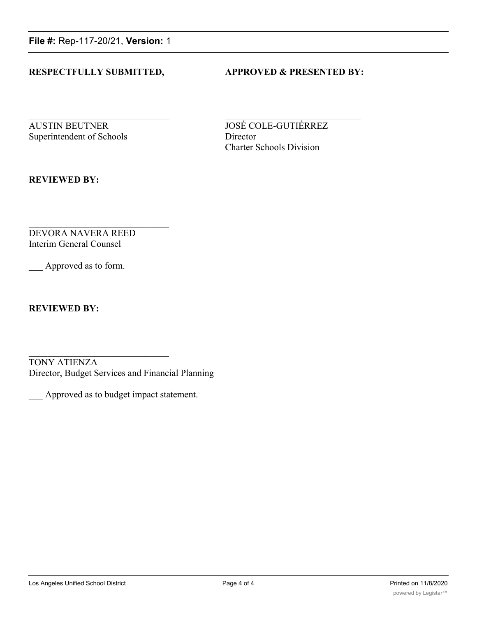**File #:** Rep-117-20/21, **Version:** 1

## **RESPECTFULLY SUBMITTED, APPROVED & PRESENTED BY:**

**AUSTIN BEUTNER JOSÉ COLE-GUTIÉRREZ** Superintendent of Schools Director

Charter Schools Division

**REVIEWED BY:**

DEVORA NAVERA REED Interim General Counsel

Approved as to form.

**REVIEWED BY:**

TONY ATIENZA Director, Budget Services and Financial Planning

\_\_\_ Approved as to budget impact statement.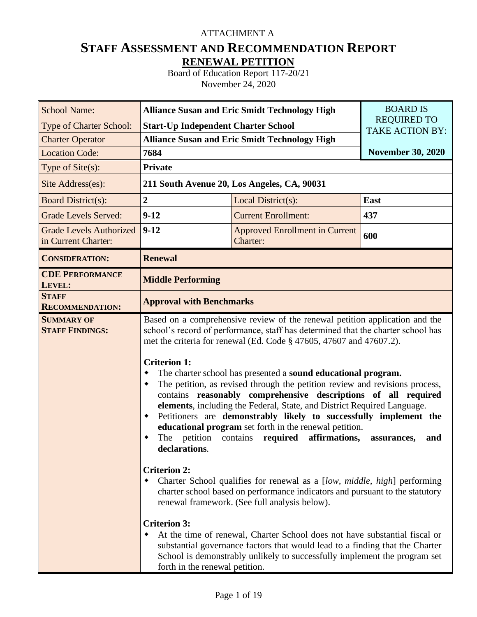# ATTACHMENT A

# **STAFF ASSESSMENT AND RECOMMENDATION REPORT RENEWAL PETITION**

Board of Education Report 117-20/21 November 24, 2020

| <b>School Name:</b>                                   | <b>Alliance Susan and Eric Smidt Technology High</b>                                                                                                                                    | <b>BOARD IS</b>                                                                                                                                                                                                                                                                                                                                                                                                                                                                                                                                                                                                                                                                                                                                                                                                                                                                                                                                                                                                                                                                                                                                         |                          |  |  |  |  |  |  |  |
|-------------------------------------------------------|-----------------------------------------------------------------------------------------------------------------------------------------------------------------------------------------|---------------------------------------------------------------------------------------------------------------------------------------------------------------------------------------------------------------------------------------------------------------------------------------------------------------------------------------------------------------------------------------------------------------------------------------------------------------------------------------------------------------------------------------------------------------------------------------------------------------------------------------------------------------------------------------------------------------------------------------------------------------------------------------------------------------------------------------------------------------------------------------------------------------------------------------------------------------------------------------------------------------------------------------------------------------------------------------------------------------------------------------------------------|--------------------------|--|--|--|--|--|--|--|
| Type of Charter School:                               | <b>Start-Up Independent Charter School</b>                                                                                                                                              | <b>REQUIRED TO</b><br><b>TAKE ACTION BY:</b>                                                                                                                                                                                                                                                                                                                                                                                                                                                                                                                                                                                                                                                                                                                                                                                                                                                                                                                                                                                                                                                                                                            |                          |  |  |  |  |  |  |  |
| <b>Charter Operator</b>                               | <b>Alliance Susan and Eric Smidt Technology High</b>                                                                                                                                    |                                                                                                                                                                                                                                                                                                                                                                                                                                                                                                                                                                                                                                                                                                                                                                                                                                                                                                                                                                                                                                                                                                                                                         |                          |  |  |  |  |  |  |  |
| <b>Location Code:</b>                                 | 7684                                                                                                                                                                                    |                                                                                                                                                                                                                                                                                                                                                                                                                                                                                                                                                                                                                                                                                                                                                                                                                                                                                                                                                                                                                                                                                                                                                         | <b>November 30, 2020</b> |  |  |  |  |  |  |  |
| Type of Site(s):                                      | <b>Private</b>                                                                                                                                                                          |                                                                                                                                                                                                                                                                                                                                                                                                                                                                                                                                                                                                                                                                                                                                                                                                                                                                                                                                                                                                                                                                                                                                                         |                          |  |  |  |  |  |  |  |
| Site Address(es):                                     |                                                                                                                                                                                         | 211 South Avenue 20, Los Angeles, CA, 90031                                                                                                                                                                                                                                                                                                                                                                                                                                                                                                                                                                                                                                                                                                                                                                                                                                                                                                                                                                                                                                                                                                             |                          |  |  |  |  |  |  |  |
| <b>Board District(s):</b>                             | $\overline{2}$                                                                                                                                                                          | Local District(s):                                                                                                                                                                                                                                                                                                                                                                                                                                                                                                                                                                                                                                                                                                                                                                                                                                                                                                                                                                                                                                                                                                                                      | East                     |  |  |  |  |  |  |  |
| <b>Grade Levels Served:</b>                           | $9 - 12$                                                                                                                                                                                | <b>Current Enrollment:</b>                                                                                                                                                                                                                                                                                                                                                                                                                                                                                                                                                                                                                                                                                                                                                                                                                                                                                                                                                                                                                                                                                                                              | 437                      |  |  |  |  |  |  |  |
| <b>Grade Levels Authorized</b><br>in Current Charter: | $9 - 12$                                                                                                                                                                                | <b>Approved Enrollment in Current</b><br>Charter:                                                                                                                                                                                                                                                                                                                                                                                                                                                                                                                                                                                                                                                                                                                                                                                                                                                                                                                                                                                                                                                                                                       | 600                      |  |  |  |  |  |  |  |
| <b>CONSIDERATION:</b>                                 | <b>Renewal</b>                                                                                                                                                                          |                                                                                                                                                                                                                                                                                                                                                                                                                                                                                                                                                                                                                                                                                                                                                                                                                                                                                                                                                                                                                                                                                                                                                         |                          |  |  |  |  |  |  |  |
| <b>CDE PERFORMANCE</b><br>LEVEL:                      | <b>Middle Performing</b>                                                                                                                                                                |                                                                                                                                                                                                                                                                                                                                                                                                                                                                                                                                                                                                                                                                                                                                                                                                                                                                                                                                                                                                                                                                                                                                                         |                          |  |  |  |  |  |  |  |
| <b>STAFF</b><br><b>RECOMMENDATION:</b>                |                                                                                                                                                                                         | <b>Approval with Benchmarks</b>                                                                                                                                                                                                                                                                                                                                                                                                                                                                                                                                                                                                                                                                                                                                                                                                                                                                                                                                                                                                                                                                                                                         |                          |  |  |  |  |  |  |  |
| <b>SUMMARY OF</b><br><b>STAFF FINDINGS:</b>           | <b>Criterion 1:</b><br>٠<br>٠<br>$\blacklozenge$<br>petition contains<br>The<br>declarations.<br><b>Criterion 2:</b><br>٠<br><b>Criterion 3:</b><br>٠<br>forth in the renewal petition. | Based on a comprehensive review of the renewal petition application and the<br>school's record of performance, staff has determined that the charter school has<br>met the criteria for renewal (Ed. Code § 47605, 47607 and 47607.2).<br>The charter school has presented a sound educational program.<br>The petition, as revised through the petition review and revisions process,<br>contains reasonably comprehensive descriptions of all required<br>elements, including the Federal, State, and District Required Language.<br>Petitioners are demonstrably likely to successfully implement the<br>educational program set forth in the renewal petition.<br>affirmations,<br>required<br>Charter School qualifies for renewal as a [low, middle, high] performing<br>charter school based on performance indicators and pursuant to the statutory<br>renewal framework. (See full analysis below).<br>At the time of renewal, Charter School does not have substantial fiscal or<br>substantial governance factors that would lead to a finding that the Charter<br>School is demonstrably unlikely to successfully implement the program set | assurances,<br>and       |  |  |  |  |  |  |  |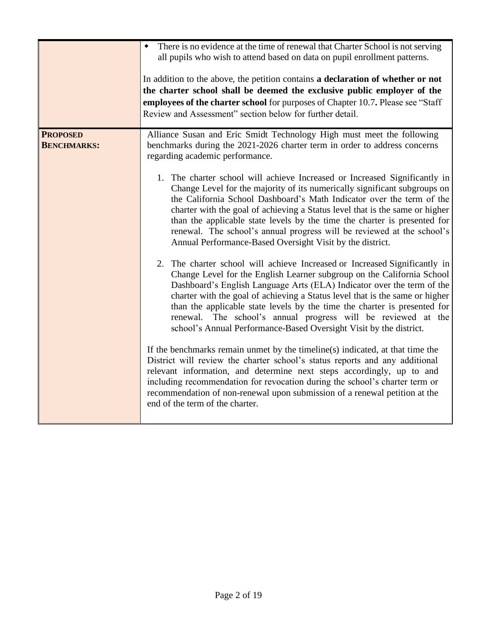|                                       | There is no evidence at the time of renewal that Charter School is not serving<br>$\blacklozenge$<br>all pupils who wish to attend based on data on pupil enrollment patterns.<br>In addition to the above, the petition contains a declaration of whether or not<br>the charter school shall be deemed the exclusive public employer of the<br>employees of the charter school for purposes of Chapter 10.7. Please see "Staff"<br>Review and Assessment" section below for further detail.                                                                                                                                                                                                                                                                                                                                                                                                                                                                                                                                                                                                                                                                                                                                                                                                                                                                                                                                                                                                                                                                                                                                                                                                                 |
|---------------------------------------|--------------------------------------------------------------------------------------------------------------------------------------------------------------------------------------------------------------------------------------------------------------------------------------------------------------------------------------------------------------------------------------------------------------------------------------------------------------------------------------------------------------------------------------------------------------------------------------------------------------------------------------------------------------------------------------------------------------------------------------------------------------------------------------------------------------------------------------------------------------------------------------------------------------------------------------------------------------------------------------------------------------------------------------------------------------------------------------------------------------------------------------------------------------------------------------------------------------------------------------------------------------------------------------------------------------------------------------------------------------------------------------------------------------------------------------------------------------------------------------------------------------------------------------------------------------------------------------------------------------------------------------------------------------------------------------------------------------|
| <b>PROPOSED</b><br><b>BENCHMARKS:</b> | Alliance Susan and Eric Smidt Technology High must meet the following<br>benchmarks during the 2021-2026 charter term in order to address concerns<br>regarding academic performance.<br>1. The charter school will achieve Increased or Increased Significantly in<br>Change Level for the majority of its numerically significant subgroups on<br>the California School Dashboard's Math Indicator over the term of the<br>charter with the goal of achieving a Status level that is the same or higher<br>than the applicable state levels by the time the charter is presented for<br>renewal. The school's annual progress will be reviewed at the school's<br>Annual Performance-Based Oversight Visit by the district.<br>2. The charter school will achieve Increased or Increased Significantly in<br>Change Level for the English Learner subgroup on the California School<br>Dashboard's English Language Arts (ELA) Indicator over the term of the<br>charter with the goal of achieving a Status level that is the same or higher<br>than the applicable state levels by the time the charter is presented for<br>renewal. The school's annual progress will be reviewed at the<br>school's Annual Performance-Based Oversight Visit by the district.<br>If the benchmarks remain unmet by the timeline(s) indicated, at that time the<br>District will review the charter school's status reports and any additional<br>relevant information, and determine next steps accordingly, up to and<br>including recommendation for revocation during the school's charter term or<br>recommendation of non-renewal upon submission of a renewal petition at the<br>end of the term of the charter. |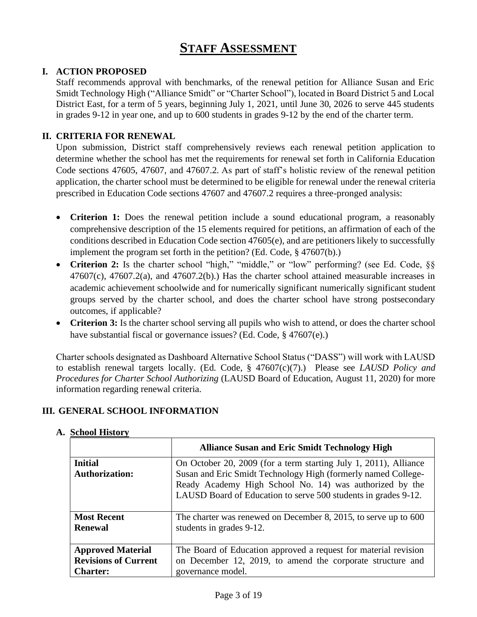# **STAFF ASSESSMENT**

## **I. ACTION PROPOSED**

Staff recommends approval with benchmarks, of the renewal petition for Alliance Susan and Eric Smidt Technology High ("Alliance Smidt" or "Charter School"), located in Board District 5 and Local District East, for a term of 5 years, beginning July 1, 2021, until June 30, 2026 to serve 445 students in grades 9-12 in year one, and up to 600 students in grades 9-12 by the end of the charter term.

## **II. CRITERIA FOR RENEWAL**

Upon submission, District staff comprehensively reviews each renewal petition application to determine whether the school has met the requirements for renewal set forth in California Education Code sections 47605, 47607, and 47607.2. As part of staff's holistic review of the renewal petition application, the charter school must be determined to be eligible for renewal under the renewal criteria prescribed in Education Code sections 47607 and 47607.2 requires a three-pronged analysis:

- **Criterion 1:** Does the renewal petition include a sound educational program, a reasonably comprehensive description of the 15 elements required for petitions, an affirmation of each of the conditions described in Education Code section 47605(e), and are petitioners likely to successfully implement the program set forth in the petition? (Ed. Code, § 47607(b).)
- Criterion 2: Is the charter school "high," "middle," or "low" performing? (see Ed. Code, §§  $47607(c)$ ,  $47607.2(a)$ , and  $47607.2(b)$ . Has the charter school attained measurable increases in academic achievement schoolwide and for numerically significant numerically significant student groups served by the charter school, and does the charter school have strong postsecondary outcomes, if applicable?
- **Criterion 3:** Is the charter school serving all pupils who wish to attend, or does the charter school have substantial fiscal or governance issues? (Ed. Code, § 47607(e).)

Charter schools designated as Dashboard Alternative School Status ("DASS") will work with LAUSD to establish renewal targets locally. (Ed. Code, § 47607(c)(7).) Please see *LAUSD Policy and Procedures for Charter School Authorizing* (LAUSD Board of Education, August 11, 2020) for more information regarding renewal criteria.

## **III. GENERAL SCHOOL INFORMATION**

|                             | <b>Alliance Susan and Eric Smidt Technology High</b>                                                                      |
|-----------------------------|---------------------------------------------------------------------------------------------------------------------------|
| <b>Initial</b>              | On October 20, 2009 (for a term starting July 1, 2011), Alliance                                                          |
| <b>Authorization:</b>       | Susan and Eric Smidt Technology High (formerly named College-                                                             |
|                             | Ready Academy High School No. 14) was authorized by the<br>LAUSD Board of Education to serve 500 students in grades 9-12. |
| <b>Most Recent</b>          | The charter was renewed on December 8, 2015, to serve up to 600                                                           |
| <b>Renewal</b>              | students in grades 9-12.                                                                                                  |
| <b>Approved Material</b>    | The Board of Education approved a request for material revision                                                           |
| <b>Revisions of Current</b> | on December 12, 2019, to amend the corporate structure and                                                                |
| <b>Charter:</b>             | governance model.                                                                                                         |

## **A. School History**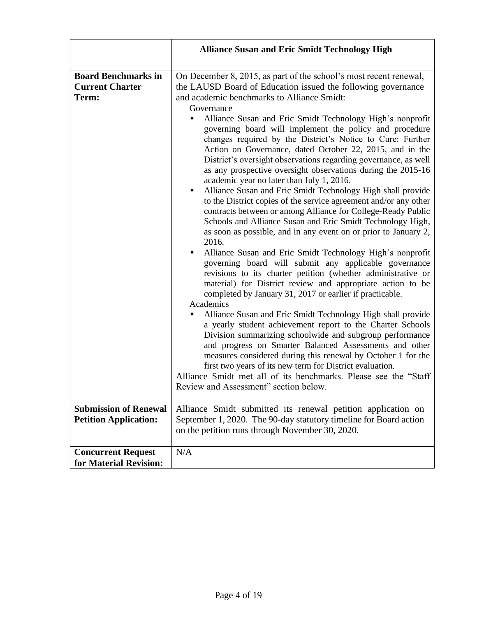|                                                                                                                               | <b>Alliance Susan and Eric Smidt Technology High</b>                                                                                                                                                                                                                                                                                                                                                                                                                                                                                                                                                                                                                                                                                                                                                                                                                                                                                                                                                                                                                                                                                                                                                                                                                                                                                                                                                                                                                                                                                                                                                                                                                                                                                                                                                                                                                                                                                                           |
|-------------------------------------------------------------------------------------------------------------------------------|----------------------------------------------------------------------------------------------------------------------------------------------------------------------------------------------------------------------------------------------------------------------------------------------------------------------------------------------------------------------------------------------------------------------------------------------------------------------------------------------------------------------------------------------------------------------------------------------------------------------------------------------------------------------------------------------------------------------------------------------------------------------------------------------------------------------------------------------------------------------------------------------------------------------------------------------------------------------------------------------------------------------------------------------------------------------------------------------------------------------------------------------------------------------------------------------------------------------------------------------------------------------------------------------------------------------------------------------------------------------------------------------------------------------------------------------------------------------------------------------------------------------------------------------------------------------------------------------------------------------------------------------------------------------------------------------------------------------------------------------------------------------------------------------------------------------------------------------------------------------------------------------------------------------------------------------------------------|
|                                                                                                                               |                                                                                                                                                                                                                                                                                                                                                                                                                                                                                                                                                                                                                                                                                                                                                                                                                                                                                                                                                                                                                                                                                                                                                                                                                                                                                                                                                                                                                                                                                                                                                                                                                                                                                                                                                                                                                                                                                                                                                                |
| <b>Board Benchmarks in</b><br><b>Current Charter</b><br>Term:<br><b>Submission of Renewal</b><br><b>Petition Application:</b> | On December 8, 2015, as part of the school's most recent renewal,<br>the LAUSD Board of Education issued the following governance<br>and academic benchmarks to Alliance Smidt:<br>Governance<br>Alliance Susan and Eric Smidt Technology High's nonprofit<br>٠<br>governing board will implement the policy and procedure<br>changes required by the District's Notice to Cure: Further<br>Action on Governance, dated October 22, 2015, and in the<br>District's oversight observations regarding governance, as well<br>as any prospective oversight observations during the 2015-16<br>academic year no later than July 1, 2016.<br>Alliance Susan and Eric Smidt Technology High shall provide<br>٠<br>to the District copies of the service agreement and/or any other<br>contracts between or among Alliance for College-Ready Public<br>Schools and Alliance Susan and Eric Smidt Technology High,<br>as soon as possible, and in any event on or prior to January 2,<br>2016.<br>Alliance Susan and Eric Smidt Technology High's nonprofit<br>٠<br>governing board will submit any applicable governance<br>revisions to its charter petition (whether administrative or<br>material) for District review and appropriate action to be<br>completed by January 31, 2017 or earlier if practicable.<br>Academics<br>Alliance Susan and Eric Smidt Technology High shall provide<br>п<br>a yearly student achievement report to the Charter Schools<br>Division summarizing schoolwide and subgroup performance<br>and progress on Smarter Balanced Assessments and other<br>measures considered during this renewal by October 1 for the<br>first two years of its new term for District evaluation.<br>Alliance Smidt met all of its benchmarks. Please see the "Staff"<br>Review and Assessment" section below.<br>Alliance Smidt submitted its renewal petition application on<br>September 1, 2020. The 90-day statutory timeline for Board action |
|                                                                                                                               | on the petition runs through November 30, 2020.                                                                                                                                                                                                                                                                                                                                                                                                                                                                                                                                                                                                                                                                                                                                                                                                                                                                                                                                                                                                                                                                                                                                                                                                                                                                                                                                                                                                                                                                                                                                                                                                                                                                                                                                                                                                                                                                                                                |
| <b>Concurrent Request</b><br>for Material Revision:                                                                           | N/A                                                                                                                                                                                                                                                                                                                                                                                                                                                                                                                                                                                                                                                                                                                                                                                                                                                                                                                                                                                                                                                                                                                                                                                                                                                                                                                                                                                                                                                                                                                                                                                                                                                                                                                                                                                                                                                                                                                                                            |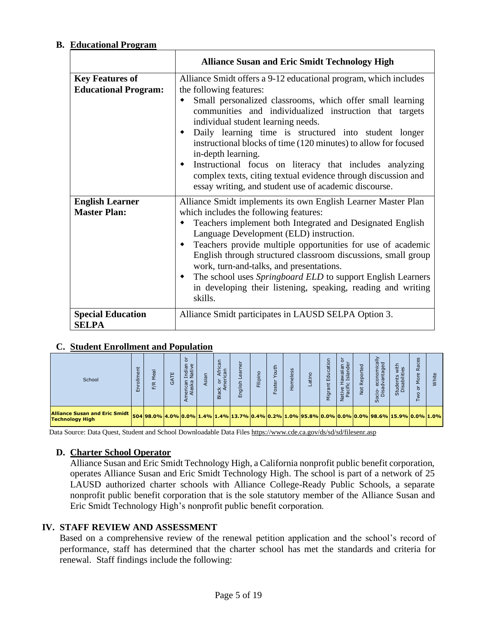## **B. Educational Program**

|                                                       | <b>Alliance Susan and Eric Smidt Technology High</b>                                                                                                                                                                                                                                                                                                                                                                                                                                                                                                                                             |
|-------------------------------------------------------|--------------------------------------------------------------------------------------------------------------------------------------------------------------------------------------------------------------------------------------------------------------------------------------------------------------------------------------------------------------------------------------------------------------------------------------------------------------------------------------------------------------------------------------------------------------------------------------------------|
| <b>Key Features of</b><br><b>Educational Program:</b> | Alliance Smidt offers a 9-12 educational program, which includes<br>the following features:<br>Small personalized classrooms, which offer small learning<br>communities and individualized instruction that targets<br>individual student learning needs.<br>Daily learning time is structured into student longer<br>instructional blocks of time (120 minutes) to allow for focused<br>in-depth learning.<br>Instructional focus on literacy that includes analyzing<br>complex texts, citing textual evidence through discussion and<br>essay writing, and student use of academic discourse. |
| <b>English Learner</b><br><b>Master Plan:</b>         | Alliance Smidt implements its own English Learner Master Plan<br>which includes the following features:<br>Teachers implement both Integrated and Designated English<br>Language Development (ELD) instruction.<br>Teachers provide multiple opportunities for use of academic<br>٠<br>English through structured classroom discussions, small group<br>work, turn-and-talks, and presentations.<br>The school uses Springboard ELD to support English Learners<br>in developing their listening, speaking, reading and writing<br>skills.                                                       |
| <b>Special Education</b><br><b>SELPA</b>              | Alliance Smidt participates in LAUSD SELPA Option 3.                                                                                                                                                                                                                                                                                                                                                                                                                                                                                                                                             |

## **C. Student Enrollment and Population**

| School                                                                                                                                                    | ш | \$<br>兵 | ш<br>O | ਠ<br>Indian<br>Native<br>herican<br>Alaska | sian | $\bar{c}$<br>Afri<br>Can<br>白草<br>Black<br>Ar | $\overline{a}$<br>。<br>CC<br>glish<br>띧 | င္ဘ<br>눕<br>洁 | ₽<br>河<br>ίn. | eless<br>훈 | atin | ation<br>룹<br>ゼ<br>ē<br>⋝ | ŏ<br>Hawaiian<br>ic Islander<br>Native I<br>Pacifi | ş | $\frac{\ge}{\overline{a}}$<br>Ē,<br>econ<br>dvant<br>$rac{6}{5}$<br>ပိ | with<br>ties<br>Students<br>Disabilit | Races<br>ā<br>Σ<br>ŏ<br>c |  |
|-----------------------------------------------------------------------------------------------------------------------------------------------------------|---|---------|--------|--------------------------------------------|------|-----------------------------------------------|-----------------------------------------|---------------|---------------|------------|------|---------------------------|----------------------------------------------------|---|------------------------------------------------------------------------|---------------------------------------|---------------------------|--|
| Alliance Susan and Eric Smidt   504 98.0% 4.0% 0.0% 1.4% 1.4% 13.7% 0.4% 0.2% 1.0% 95.8% 0.0% 0.0% 0.0% 98.6% 15.9% 0.0% 1.0% 1<br><b>Technology High</b> |   |         |        |                                            |      |                                               |                                         |               |               |            |      |                           |                                                    |   |                                                                        |                                       |                           |  |

Data Source: Data Quest, Student and School Downloadable Data File[s https://www.cde.ca.gov/ds/sd/sd/filesenr.asp](https://www.cde.ca.gov/ds/sd/sd/filesenr.asp)

## **D. Charter School Operator**

Alliance Susan and Eric Smidt Technology High, a California nonprofit public benefit corporation, operates Alliance Susan and Eric Smidt Technology High. The school is part of a network of 25 LAUSD authorized charter schools with Alliance College-Ready Public Schools, a separate nonprofit public benefit corporation that is the sole statutory member of the Alliance Susan and Eric Smidt Technology High's nonprofit public benefit corporation.

## **IV. STAFF REVIEW AND ASSESSMENT**

Based on a comprehensive review of the renewal petition application and the school's record of performance, staff has determined that the charter school has met the standards and criteria for renewal. Staff findings include the following: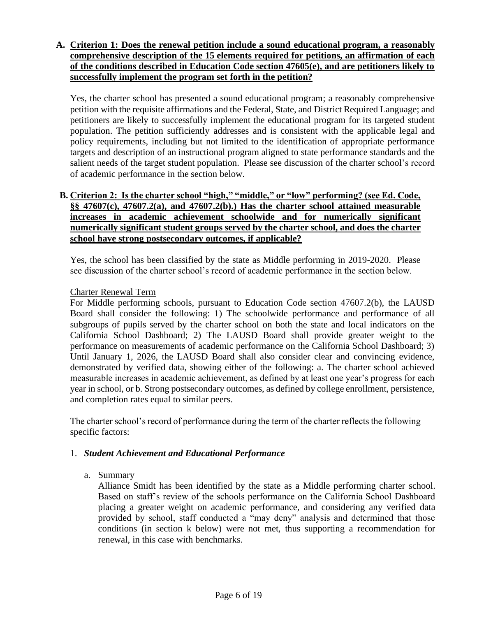## **A. Criterion 1: Does the renewal petition include a sound educational program, a reasonably comprehensive description of the 15 elements required for petitions, an affirmation of each of the conditions described in Education Code section 47605(e), and are petitioners likely to successfully implement the program set forth in the petition?**

Yes, the charter school has presented a sound educational program; a reasonably comprehensive petition with the requisite affirmations and the Federal, State, and District Required Language; and petitioners are likely to successfully implement the educational program for its targeted student population. The petition sufficiently addresses and is consistent with the applicable legal and policy requirements, including but not limited to the identification of appropriate performance targets and description of an instructional program aligned to state performance standards and the salient needs of the target student population. Please see discussion of the charter school's record of academic performance in the section below.

## **B. Criterion 2: Is the charter school "high," "middle," or "low" performing? (see Ed. Code, §§ 47607(c), 47607.2(a), and 47607.2(b).) Has the charter school attained measurable increases in academic achievement schoolwide and for numerically significant numerically significant student groups served by the charter school, and does the charter school have strong postsecondary outcomes, if applicable?**

Yes, the school has been classified by the state as Middle performing in 2019-2020. Please see discussion of the charter school's record of academic performance in the section below.

## Charter Renewal Term

For Middle performing schools, pursuant to Education Code section 47607.2(b), the LAUSD Board shall consider the following: 1) The schoolwide performance and performance of all subgroups of pupils served by the charter school on both the state and local indicators on the California School Dashboard; 2) The LAUSD Board shall provide greater weight to the performance on measurements of academic performance on the California School Dashboard; 3) Until January 1, 2026, the LAUSD Board shall also consider clear and convincing evidence, demonstrated by verified data, showing either of the following: a. The charter school achieved measurable increases in academic achievement, as defined by at least one year's progress for each year in school, or b. Strong postsecondary outcomes, as defined by college enrollment, persistence, and completion rates equal to similar peers.

The charter school's record of performance during the term of the charter reflects the following specific factors:

## 1. *Student Achievement and Educational Performance*

a. Summary

Alliance Smidt has been identified by the state as a Middle performing charter school. Based on staff's review of the schools performance on the California School Dashboard placing a greater weight on academic performance, and considering any verified data provided by school, staff conducted a "may deny" analysis and determined that those conditions (in section k below) were not met, thus supporting a recommendation for renewal, in this case with benchmarks.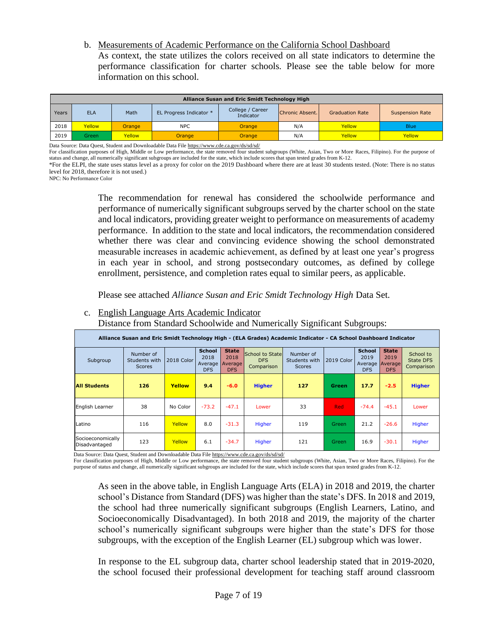b. Measurements of Academic Performance on the California School Dashboard As context, the state utilizes the colors received on all state indicators to determine the performance classification for charter schools. Please see the table below for more information on this school.

|       | Alliance Susan and Eric Smidt Technology High |        |                         |                               |                 |                        |                        |  |  |  |  |  |  |
|-------|-----------------------------------------------|--------|-------------------------|-------------------------------|-----------------|------------------------|------------------------|--|--|--|--|--|--|
| Years | <b>ELA</b>                                    | Math   | EL Progress Indicator * | College / Career<br>Indicator | Chronic Absent. | <b>Graduation Rate</b> | <b>Suspension Rate</b> |  |  |  |  |  |  |
| 2018  | Yellow                                        | Orange | <b>NPC</b>              | Orange                        | N/A             | Yellow                 | <b>Blue</b>            |  |  |  |  |  |  |
| 2019  | Green                                         | Yellow | Orange                  | <b>Orange</b>                 | N/A             | Yellow                 | Yellow                 |  |  |  |  |  |  |

Data Source: Data Quest, Student and Downloadable Data Fil[e https://www.cde.ca.gov/ds/sd/sd/](https://www.cde.ca.gov/ds/sd/sd/)

For classification purposes of High, Middle or Low performance, the state removed four student subgroups (White, Asian, Two or More Races, Filipino). For the purpose of status and change, all numerically significant subgroups are included for the state, which include scores that span tested grades from K-12.

\*For the ELPI, the state uses status level as a proxy for color on the 2019 Dashboard where there are at least 30 students tested. (Note: There is no status level for 2018, therefore it is not used.)

NPC: No Performance Color

The recommendation for renewal has considered the schoolwide performance and performance of numerically significant subgroups served by the charter school on the state and local indicators, providing greater weight to performance on measurements of academy performance. In addition to the state and local indicators, the recommendation considered whether there was clear and convincing evidence showing the school demonstrated measurable increases in academic achievement, as defined by at least one year's progress in each year in school, and strong postsecondary outcomes, as defined by college enrollment, persistence, and completion rates equal to similar peers, as applicable.

Please see attached *Alliance Susan and Eric Smidt Technology High* Data Set.

## c. English Language Arts Academic Indicator

Distance from Standard Schoolwide and Numerically Significant Subgroups:

|                                    | Alliance Susan and Eric Smidt Technology High - (ELA Grades) Academic Indicator - CA School Dashboard Indicator |            |                                                |                                               |                                             |                                             |            |                                                |                                               |                                             |  |  |
|------------------------------------|-----------------------------------------------------------------------------------------------------------------|------------|------------------------------------------------|-----------------------------------------------|---------------------------------------------|---------------------------------------------|------------|------------------------------------------------|-----------------------------------------------|---------------------------------------------|--|--|
| Subgroup                           | Number of<br>Students with<br><b>Scores</b>                                                                     | 2018 Color | <b>School</b><br>2018<br>Average<br><b>DFS</b> | <b>State</b><br>2018<br>Average<br><b>DFS</b> | School to State<br><b>DFS</b><br>Comparison | Number of<br>Students with<br><b>Scores</b> | 2019 Color | <b>School</b><br>2019<br>Average<br><b>DFS</b> | <b>State</b><br>2019<br>Average<br><b>DFS</b> | School to<br><b>State DFS</b><br>Comparison |  |  |
| <b>All Students</b>                | 126                                                                                                             | Yellow     | 9.4                                            | $-6.0$                                        | <b>Higher</b>                               | 127                                         | Green      | 17.7                                           | $-2.5$                                        | <b>Higher</b>                               |  |  |
| English Learner                    | 38                                                                                                              | No Color   | $-73.2$                                        | $-47.1$                                       | Lower                                       | 33                                          | <b>Red</b> | $-74.4$                                        | $-45.1$                                       | Lower                                       |  |  |
| Latino                             | 116                                                                                                             | Yellow     | 8.0                                            | $-31.3$                                       | Higher                                      | 119                                         | Green      | 21.2                                           | $-26.6$                                       | Higher                                      |  |  |
| Socioeconomically<br>Disadvantaged | 123                                                                                                             | Yellow     | 6.1                                            | $-34.7$                                       | Higher                                      | 121                                         | Green      | 16.9                                           | $-30.1$                                       | Higher                                      |  |  |

Data Source: Data Quest, Student and Downloadable Data Fil[e https://www.cde.ca.gov/ds/sd/sd/](https://www.cde.ca.gov/ds/sd/sd/)

For classification purposes of High, Middle or Low performance, the state removed four student subgroups (White, Asian, Two or More Races, Filipino). For the purpose of status and change, all numerically significant subgroups are included for the state, which include scores that span tested grades from K-12.

As seen in the above table, in English Language Arts (ELA) in 2018 and 2019, the charter school's Distance from Standard (DFS) was higher than the state's DFS. In 2018 and 2019, the school had three numerically significant subgroups (English Learners, Latino, and Socioeconomically Disadvantaged). In both 2018 and 2019, the majority of the charter school's numerically significant subgroups were higher than the state's DFS for those subgroups, with the exception of the English Learner (EL) subgroup which was lower.

In response to the EL subgroup data, charter school leadership stated that in 2019-2020, the school focused their professional development for teaching staff around classroom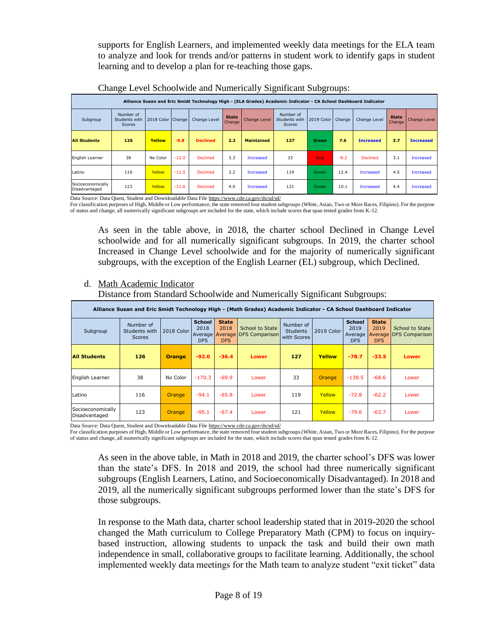supports for English Learners, and implemented weekly data meetings for the ELA team to analyze and look for trends and/or patterns in student work to identify gaps in student learning and to develop a plan for re-teaching those gaps.

|                                    | Alliance Susan and Eric Smidt Technology High - (ELA Grades) Academic Indicator - CA School Dashboard Indicator |                   |         |                 |                        |                     |                                      |            |        |                  |                        |                  |  |
|------------------------------------|-----------------------------------------------------------------------------------------------------------------|-------------------|---------|-----------------|------------------------|---------------------|--------------------------------------|------------|--------|------------------|------------------------|------------------|--|
| Subgroup                           | Number of<br>Students with<br><b>Scores</b>                                                                     | 2018 Color Change |         | Change Level    | <b>State</b><br>Change | <b>Change Level</b> | Number of<br>Students with<br>Scores | 2019 Color | Change | Change Level     | <b>State</b><br>Change | Change Level     |  |
| <b>All Students</b>                | 126                                                                                                             | Yellow            | $-9.8$  | <b>Declined</b> | 2.2                    | <b>Maintained</b>   | 127                                  | Green      | 7.6    | <b>Increased</b> | 3.7                    | <b>Increased</b> |  |
| English Learner                    | 38                                                                                                              | No Color          | $-12.0$ | <b>Declined</b> | 3.3                    | Increased           | 33                                   | <b>Red</b> | $-8.2$ | <b>Declined</b>  | 3.1                    | Increased        |  |
| Latino                             | 116                                                                                                             | Yellow            | $-11.5$ | <b>Declined</b> | 3.2                    | <b>Increased</b>    | 119                                  | Green      | 12.4   | <b>Increased</b> | 4.5                    | <b>Increased</b> |  |
| Socioeconomically<br>Disadvantaged | 123                                                                                                             | Yellow            | $-11.6$ | <b>Declined</b> | 4.0                    | <b>Increased</b>    | 121                                  | Green      | 10.1   | Increased        | 4.4                    | <b>Increased</b> |  |

Change Level Schoolwide and Numerically Significant Subgroups:

Data Source: Data Quest, Student and Downloadable Data File<https://www.cde.ca.gov/ds/sd/sd/>

For classification purposes of High, Middle or Low performance, the state removed four student subgroups (White, Asian, Two or More Races, Filipino). For the purpose of status and change, all numerically significant subgroups are included for the state, which include scores that span tested grades from K-12.

As seen in the table above, in 2018, the charter school Declined in Change Level schoolwide and for all numerically significant subgroups. In 2019, the charter school Increased in Change Level schoolwide and for the majority of numerically significant subgroups, with the exception of the English Learner (EL) subgroup, which Declined.

## d. Math Academic Indicator

Distance from Standard Schoolwide and Numerically Significant Subgroups:

| Alliance Susan and Eric Smidt Technology High - (Math Grades) Academic Indicator - CA School Dashboard Indicator |                                             |               |                                                        |                                    |                                                 |                                             |               |                                                |                                    |                                                  |  |
|------------------------------------------------------------------------------------------------------------------|---------------------------------------------|---------------|--------------------------------------------------------|------------------------------------|-------------------------------------------------|---------------------------------------------|---------------|------------------------------------------------|------------------------------------|--------------------------------------------------|--|
| Subgroup                                                                                                         | Number of<br>Students with<br><b>Scores</b> | 2018 Color    | <b>School</b><br>2018<br>Average Average<br><b>DFS</b> | <b>State</b><br>2018<br><b>DFS</b> | <b>School to State</b><br><b>DFS</b> Comparison | Number of<br><b>Students</b><br>with Scores | 2019 Color    | <b>School</b><br>2019<br>Average<br><b>DFS</b> | <b>State</b><br>2019<br><b>DFS</b> | <b>School to State</b><br>Average DFS Comparison |  |
| <b>All Students</b>                                                                                              | 126                                         | <b>Orange</b> | $-92.0$                                                | $-36.4$                            | <b>Lower</b>                                    | 127                                         | Yellow        | $-78.7$                                        | $-33.5$                            | Lower                                            |  |
| English Learner                                                                                                  | 38                                          | No Color      | $-170.3$                                               | $-69.9$                            | Lower                                           | 33                                          | <b>Orange</b> | $-138.5$                                       | $-68.6$                            | Lower                                            |  |
| Latino                                                                                                           | 116                                         | Orange        | $-94.1$                                                | $-65.8$                            | Lower                                           | 119                                         | Yellow        | $-72.8$                                        | $-62.2$                            | Lower                                            |  |
| Socioeconomically<br>Disadvantaged                                                                               | 123                                         | <b>Orange</b> | $-95.1$                                                | $-67.4$                            | Lower                                           | 121                                         | Yellow        | $-79.6$                                        | $-63.7$                            | Lower                                            |  |

Data Source: Data Quest, Student and Downloadable Data File<https://www.cde.ca.gov/ds/sd/sd/>

For classification purposes of High, Middle or Low performance, the state removed four student subgroups (White, Asian, Two or More Races, Filipino). For the purpose of status and change, all numerically significant subgroups are included for the state, which include scores that span tested grades from K-12.

As seen in the above table, in Math in 2018 and 2019, the charter school's DFS was lower than the state's DFS. In 2018 and 2019, the school had three numerically significant subgroups (English Learners, Latino, and Socioeconomically Disadvantaged). In 2018 and 2019, all the numerically significant subgroups performed lower than the state's DFS for those subgroups.

In response to the Math data, charter school leadership stated that in 2019-2020 the school changed the Math curriculum to College Preparatory Math (CPM) to focus on inquirybased instruction, allowing students to unpack the task and build their own math independence in small, collaborative groups to facilitate learning. Additionally, the school implemented weekly data meetings for the Math team to analyze student "exit ticket" data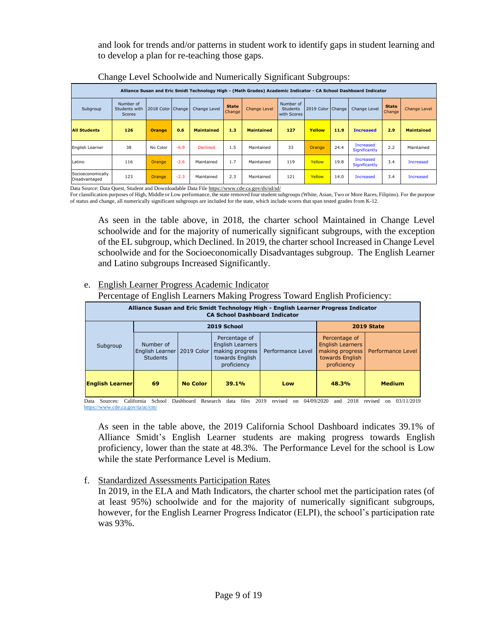and look for trends and/or patterns in student work to identify gaps in student learning and to develop a plan for re-teaching those gaps.

|                                    | ັ                                                                                                                |                     |        |                   |                        | -<br>$\check{ }$  |                                             | ັ                   | $\overline{\phantom{a}}$ |                                   |                        |                     |  |
|------------------------------------|------------------------------------------------------------------------------------------------------------------|---------------------|--------|-------------------|------------------------|-------------------|---------------------------------------------|---------------------|--------------------------|-----------------------------------|------------------------|---------------------|--|
|                                    | Alliance Susan and Eric Smidt Technology High - (Math Grades) Academic Indicator - CA School Dashboard Indicator |                     |        |                   |                        |                   |                                             |                     |                          |                                   |                        |                     |  |
| Subgroup                           | Number of<br>Students with<br>Scores                                                                             | 2018 Color   Change |        | Change Level      | <b>State</b><br>Change | Change Level      | Number of<br><b>Students</b><br>with Scores | 2019 Color   Change |                          | Change Level                      | <b>State</b><br>Change | <b>Change Level</b> |  |
| <b>All Students</b>                | 126                                                                                                              | <b>Orange</b>       | 0.6    | <b>Maintained</b> | 1.3                    | <b>Maintained</b> | 127                                         | Yellow              | 11.9                     | <b>Increased</b>                  | 2.9                    | <b>Maintained</b>   |  |
| English Learner                    | 38                                                                                                               | No Color            | $-6.9$ | <b>Declined</b>   | 1.5                    | Maintained        | 33                                          | Orange              | 24.4                     | <b>Increased</b><br>Significantly | 2.2                    | Maintained          |  |
| Latino                             | 116                                                                                                              | <b>Orange</b>       | $-2.6$ | Maintained        | 1.7                    | Maintained        | 119                                         | Yellow              | 19.8                     | Increased<br>Significantly        | 3.4                    | <b>Increased</b>    |  |
| Socioeconomically<br>Disadvantaged | 123                                                                                                              | <b>Orange</b>       | $-2.3$ | Maintained        | 2.3                    | Maintained        | 121                                         | Yellow              | 14.0                     | <b>Increased</b>                  | 3.4                    | <b>Increased</b>    |  |

|  |  |  |  | Change Level Schoolwide and Numerically Significant Subgroups: |
|--|--|--|--|----------------------------------------------------------------|
|  |  |  |  |                                                                |
|  |  |  |  |                                                                |
|  |  |  |  |                                                                |

Data Source: Data Quest, Student and Downloadable Data Fil[e https://www.cde.ca.gov/ds/sd/sd/](https://www.cde.ca.gov/ds/sd/sd/)

For classification purposes of High, Middle or Low performance, the state removed four student subgroups (White, Asian, Two or More Races, Filipino). For the purpose of status and change, all numerically significant subgroups are included for the state, which include scores that span tested grades from K-12.

As seen in the table above, in 2018, the charter school Maintained in Change Level schoolwide and for the majority of numerically significant subgroups, with the exception of the EL subgroup, which Declined. In 2019, the charter school Increased in Change Level schoolwide and for the Socioeconomically Disadvantages subgroup. The English Learner and Latino subgroups Increased Significantly.

## e. English Learner Progress Academic Indicator

Percentage of English Learners Making Progress Toward English Proficiency:

| Alliance Susan and Eric Smidt Technology High - English Learner Progress Indicator<br><b>CA School Dashboard Indicator</b> |                                                              |                 |                                                                                               |                   |                                                                                               |                          |  |  |  |  |  |  |
|----------------------------------------------------------------------------------------------------------------------------|--------------------------------------------------------------|-----------------|-----------------------------------------------------------------------------------------------|-------------------|-----------------------------------------------------------------------------------------------|--------------------------|--|--|--|--|--|--|
|                                                                                                                            |                                                              | 2019 School     | <b>2019 State</b>                                                                             |                   |                                                                                               |                          |  |  |  |  |  |  |
| Subgroup                                                                                                                   | Number of<br>English Learner   2019 Color<br><b>Students</b> |                 | Percentage of<br><b>English Learners</b><br>making progress<br>towards English<br>proficiency | Performance Level | Percentage of<br><b>English Learners</b><br>making progress<br>towards English<br>proficiency | <b>Performance Level</b> |  |  |  |  |  |  |
| <b>English Learner</b>                                                                                                     | 69                                                           | <b>No Color</b> | 39.1%                                                                                         | Low               | 48.3%                                                                                         | <b>Medium</b>            |  |  |  |  |  |  |

Data Sources: California School Dashboard Research data files 2019 revised on 04/09/2020 and 2018 revised on 03/11/2019 <https://www.cde.ca.gov/ta/ac/cm/>

As seen in the table above, the 2019 California School Dashboard indicates 39.1% of Alliance Smidt's English Learner students are making progress towards English proficiency, lower than the state at 48.3%. The Performance Level for the school is Low while the state Performance Level is Medium.

## f. Standardized Assessments Participation Rates

In 2019, in the ELA and Math Indicators, the charter school met the participation rates (of at least 95%) schoolwide and for the majority of numerically significant subgroups, however, for the English Learner Progress Indicator (ELPI), the school's participation rate was 93%.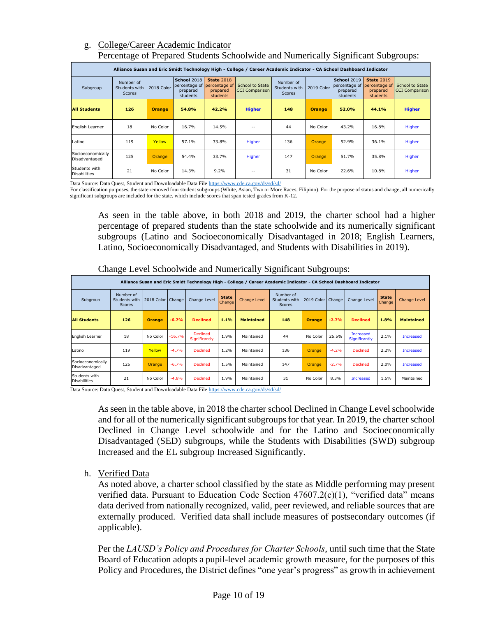## g. College/Career Academic Indicator Percentage of Prepared Students Schoolwide and Numerically Significant Subgroups:

|                                      | Alliance Susan and Eric Smidt Technology High - College / Career Academic Indicator - CA School Dashboard Indicator |               |                                                                           |                                           |                                          |                                             |               |                                                             |                                                            |                                          |  |  |  |  |
|--------------------------------------|---------------------------------------------------------------------------------------------------------------------|---------------|---------------------------------------------------------------------------|-------------------------------------------|------------------------------------------|---------------------------------------------|---------------|-------------------------------------------------------------|------------------------------------------------------------|------------------------------------------|--|--|--|--|
| Subgroup                             | Number of<br>Students with<br><b>Scores</b>                                                                         | 2018 Color    | <b>School 2018</b><br>percentage of percentage of<br>prepared<br>students | <b>State 2018</b><br>prepared<br>students | School to State<br><b>CCI</b> Comparison | Number of<br>Students with<br><b>Scores</b> | 2019 Color    | <b>School 2019</b><br>percentage of<br>prepared<br>students | <b>State 2019</b><br>percentage of<br>prepared<br>students | School to State<br><b>CCI</b> Comparison |  |  |  |  |
| <b>All Students</b>                  | 126                                                                                                                 | <b>Orange</b> | 54.8%                                                                     | 42.2%                                     | <b>Higher</b>                            | 148                                         | <b>Orange</b> | 52.0%                                                       | 44.1%                                                      | <b>Higher</b>                            |  |  |  |  |
| English Learner                      | 18                                                                                                                  | No Color      | 16.7%                                                                     | 14.5%                                     | $-1$                                     | 44                                          | No Color      | 43.2%                                                       | 16.8%                                                      | Higher                                   |  |  |  |  |
| Latino                               | 119                                                                                                                 | Yellow        | 57.1%                                                                     | 33.8%                                     | <b>Higher</b>                            | 136                                         | Orange,       | 52.9%                                                       | 36.1%                                                      | Higher                                   |  |  |  |  |
| Socioeconomically<br>Disadvantaged   | 125                                                                                                                 | Orange        | 54.4%                                                                     | 33.7%                                     | <b>Higher</b>                            | 147                                         | Orange        | 51.7%                                                       | 35.8%                                                      | Higher                                   |  |  |  |  |
| Students with<br><b>Disabilities</b> | 21                                                                                                                  | No Color      | 14.3%                                                                     | 9.2%                                      |                                          | 31                                          | No Color      | 22.6%                                                       | 10.8%                                                      | Higher                                   |  |  |  |  |

| Subgroup                                                                                                                                                                                                                                                                                                                                                                                                                                                                                                                                                                                                                                                                                                                                                                                                                                                                                                                                                                                          | Students with<br><b>Scores</b>              | 2018 Color    | concage o<br>prepared<br>students |                           | concago<br>prepared<br>students | טעווטטו גט טנענע<br><b>CCI Comparison</b>                                         | Students with<br><b>Scores</b>       | 2019 Color    |         | concage of<br>prepared<br>students | s cenage<br>prepared<br>students | טטועט טא וטטווט<br><b>CCI Comparison</b> |
|---------------------------------------------------------------------------------------------------------------------------------------------------------------------------------------------------------------------------------------------------------------------------------------------------------------------------------------------------------------------------------------------------------------------------------------------------------------------------------------------------------------------------------------------------------------------------------------------------------------------------------------------------------------------------------------------------------------------------------------------------------------------------------------------------------------------------------------------------------------------------------------------------------------------------------------------------------------------------------------------------|---------------------------------------------|---------------|-----------------------------------|---------------------------|---------------------------------|-----------------------------------------------------------------------------------|--------------------------------------|---------------|---------|------------------------------------|----------------------------------|------------------------------------------|
| <b>All Students</b>                                                                                                                                                                                                                                                                                                                                                                                                                                                                                                                                                                                                                                                                                                                                                                                                                                                                                                                                                                               | 126                                         | <b>Orange</b> | 54.8%                             |                           | 42.2%                           | <b>Higher</b>                                                                     | 148                                  | <b>Orange</b> |         | 52.0%                              | 44.1%                            | <b>Higher</b>                            |
| English Learner                                                                                                                                                                                                                                                                                                                                                                                                                                                                                                                                                                                                                                                                                                                                                                                                                                                                                                                                                                                   | 18                                          | No Color      | 16.7%                             |                           | 14.5%                           | Ξ.                                                                                | 44                                   | No Color      |         | 43.2%                              | 16.8%                            | Higher                                   |
| Latino                                                                                                                                                                                                                                                                                                                                                                                                                                                                                                                                                                                                                                                                                                                                                                                                                                                                                                                                                                                            | 119                                         | Yellow        | 57.1%                             |                           | 33.8%                           | Higher                                                                            | 136                                  | Orange        |         | 52.9%                              | 36.1%                            | Higher                                   |
| Socioeconomically<br>Disadvantaged                                                                                                                                                                                                                                                                                                                                                                                                                                                                                                                                                                                                                                                                                                                                                                                                                                                                                                                                                                | 125                                         | Orange        | 54.4%                             |                           | 33.7%                           | Higher                                                                            | 147                                  | Orange        |         | 51.7%                              | 35.8%                            | Higher                                   |
| Students with<br><b>Disabilities</b>                                                                                                                                                                                                                                                                                                                                                                                                                                                                                                                                                                                                                                                                                                                                                                                                                                                                                                                                                              | 21                                          | No Color      | 14.3%                             |                           | 9.2%                            | $\overline{a}$                                                                    | 31                                   | No Color      |         | 22.6%                              | 10.8%                            | Higher                                   |
| Data Source: Data Quest, Student and Downloadable Data File https://www.cde.ca.gov/ds/sd/sd/<br>For classification purposes, the state removed four student subgroups (White, Asian, Two or More Races, Filipino). For the purpose of status and change, all numerically<br>significant subgroups are included for the state, which include scores that span tested grades from K-12.<br>As seen in the table above, in both 2018 and 2019, the charter school had a higher                                                                                                                                                                                                                                                                                                                                                                                                                                                                                                                       |                                             |               |                                   |                           |                                 |                                                                                   |                                      |               |         |                                    |                                  |                                          |
|                                                                                                                                                                                                                                                                                                                                                                                                                                                                                                                                                                                                                                                                                                                                                                                                                                                                                                                                                                                                   |                                             |               |                                   |                           |                                 |                                                                                   |                                      |               |         |                                    |                                  |                                          |
| percentage of prepared students than the state schoolwide and its numerically significant<br>subgroups (Latino and Socioeconomically Disadvantaged in 2018; English Learners,                                                                                                                                                                                                                                                                                                                                                                                                                                                                                                                                                                                                                                                                                                                                                                                                                     |                                             |               |                                   |                           |                                 |                                                                                   |                                      |               |         |                                    |                                  |                                          |
|                                                                                                                                                                                                                                                                                                                                                                                                                                                                                                                                                                                                                                                                                                                                                                                                                                                                                                                                                                                                   |                                             |               |                                   |                           |                                 |                                                                                   |                                      |               |         |                                    |                                  |                                          |
|                                                                                                                                                                                                                                                                                                                                                                                                                                                                                                                                                                                                                                                                                                                                                                                                                                                                                                                                                                                                   |                                             |               |                                   |                           |                                 | Latino, Socioeconomically Disadvantaged, and Students with Disabilities in 2019). |                                      |               |         |                                    |                                  |                                          |
|                                                                                                                                                                                                                                                                                                                                                                                                                                                                                                                                                                                                                                                                                                                                                                                                                                                                                                                                                                                                   |                                             |               |                                   |                           |                                 |                                                                                   |                                      |               |         |                                    |                                  |                                          |
| Change Level Schoolwide and Numerically Significant Subgroups:                                                                                                                                                                                                                                                                                                                                                                                                                                                                                                                                                                                                                                                                                                                                                                                                                                                                                                                                    |                                             |               |                                   |                           |                                 |                                                                                   |                                      |               |         |                                    |                                  |                                          |
| Alliance Susan and Eric Smidt Technology High - College / Career Academic Indicator - CA School Dashboard Indicator                                                                                                                                                                                                                                                                                                                                                                                                                                                                                                                                                                                                                                                                                                                                                                                                                                                                               |                                             |               |                                   |                           |                                 |                                                                                   |                                      |               |         |                                    |                                  |                                          |
| Subgroup                                                                                                                                                                                                                                                                                                                                                                                                                                                                                                                                                                                                                                                                                                                                                                                                                                                                                                                                                                                          | Number of<br>Students with<br><b>Scores</b> | 2018 Color    | Change                            | Change Level              | <b>State</b><br>Change          | <b>Change Level</b>                                                               | Number of<br>Students with<br>Scores | 2019 Color    | Change  | Change Level                       | <b>State</b><br>Change           | <b>Change Level</b>                      |
| <b>All Students</b>                                                                                                                                                                                                                                                                                                                                                                                                                                                                                                                                                                                                                                                                                                                                                                                                                                                                                                                                                                               | 126                                         | <b>Orange</b> | $-6.7%$                           | <b>Declined</b>           | 1.1%                            | <b>Maintained</b>                                                                 | 148                                  | <b>Orange</b> | $-2.7%$ | <b>Declined</b>                    | 1.8%                             | <b>Maintained</b>                        |
| English Learner                                                                                                                                                                                                                                                                                                                                                                                                                                                                                                                                                                                                                                                                                                                                                                                                                                                                                                                                                                                   | 18                                          | No Color      | $-16.7%$                          | Declined<br>Significantly | 1.9%                            | Maintained                                                                        | 44                                   | No Color      | 26.5%   | Increased<br>Significantly         | 2.1%                             | <b>Increased</b>                         |
| Latino                                                                                                                                                                                                                                                                                                                                                                                                                                                                                                                                                                                                                                                                                                                                                                                                                                                                                                                                                                                            | 119                                         | Yellow        | $-4.7%$                           | <b>Declined</b>           | 1.2%                            | Maintained                                                                        | 136                                  | Orange        | $-4.2%$ | Declined                           | 2.2%                             | <b>Increased</b>                         |
| Socioeconomically<br>Disadvantaged                                                                                                                                                                                                                                                                                                                                                                                                                                                                                                                                                                                                                                                                                                                                                                                                                                                                                                                                                                | 125                                         | Orange        | $-6.7%$                           | <b>Declined</b>           | 1.5%                            | Maintained                                                                        | 147                                  | Orange        | $-2.7%$ | Declined                           | 2.0%                             | <b>Increased</b>                         |
| Students with                                                                                                                                                                                                                                                                                                                                                                                                                                                                                                                                                                                                                                                                                                                                                                                                                                                                                                                                                                                     | 21                                          | No Color      | $-4.8%$                           | <b>Declined</b>           | 1.9%                            | Maintained                                                                        | 31                                   | No Color      | 8.3%    |                                    | 1.5%                             | Maintained                               |
| <b>Increased</b><br>Disabilities<br>Data Source: Data Quest, Student and Downloadable Data File https://www.cde.ca.gov/ds/sd/sd/<br>As seen in the table above, in 2018 the charter school Declined in Change Level schoolwide<br>and for all of the numerically significant subgroups for that year. In 2019, the charter school<br>Declined in Change Level schoolwide and for the Latino and Socioeconomically<br>Disadvantaged (SED) subgroups, while the Students with Disabilities (SWD) subgroup<br>Increased and the EL subgroup Increased Significantly.<br><b>Verified Data</b><br>h.<br>As noted above, a charter school classified by the state as Middle performing may present<br>verified data. Pursuant to Education Code Section 47607.2(c)(1), "verified data" means<br>data derived from nationally recognized, valid, peer reviewed, and reliable sources that are<br>externally produced. Verified data shall include measures of postsecondary outcomes (if<br>applicable). |                                             |               |                                   |                           |                                 |                                                                                   |                                      |               |         |                                    |                                  |                                          |
| Per the LAUSD's Policy and Procedures for Charter Schools, until such time that the State<br>Board of Education adopts a pupil-level academic growth measure, for the purposes of this<br>Policy and Procedures, the District defines "one year's progress" as growth in achievement                                                                                                                                                                                                                                                                                                                                                                                                                                                                                                                                                                                                                                                                                                              |                                             |               |                                   |                           |                                 |                                                                                   |                                      |               |         |                                    |                                  |                                          |

Change Level Schoolwide and Numerically Significant Subgroups: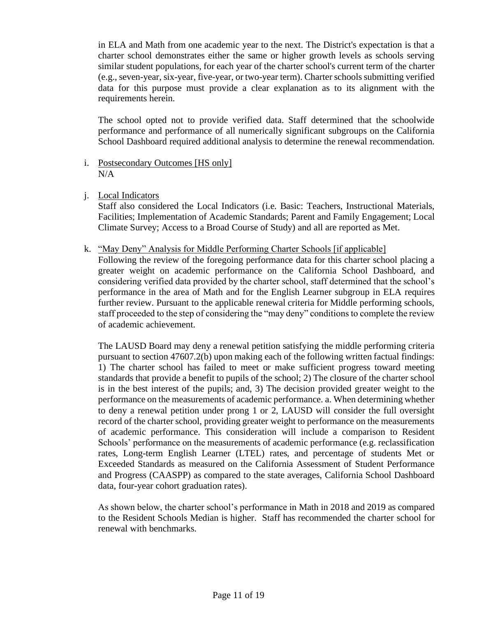in ELA and Math from one academic year to the next. The District's expectation is that a charter school demonstrates either the same or higher growth levels as schools serving similar student populations, for each year of the charter school's current term of the charter (e.g., seven-year, six-year, five-year, or two-year term). Charter schools submitting verified data for this purpose must provide a clear explanation as to its alignment with the requirements herein.

The school opted not to provide verified data. Staff determined that the schoolwide performance and performance of all numerically significant subgroups on the California School Dashboard required additional analysis to determine the renewal recommendation.

- i. Postsecondary Outcomes [HS only]  $N/A$
- j. Local Indicators

Staff also considered the Local Indicators (i.e. Basic: Teachers, Instructional Materials, Facilities; Implementation of Academic Standards; Parent and Family Engagement; Local Climate Survey; Access to a Broad Course of Study) and all are reported as Met.

k. "May Deny" Analysis for Middle Performing Charter Schools [if applicable]

Following the review of the foregoing performance data for this charter school placing a greater weight on academic performance on the California School Dashboard, and considering verified data provided by the charter school, staff determined that the school's performance in the area of Math and for the English Learner subgroup in ELA requires further review. Pursuant to the applicable renewal criteria for Middle performing schools, staff proceeded to the step of considering the "may deny" conditions to complete the review of academic achievement.

The LAUSD Board may deny a renewal petition satisfying the middle performing criteria pursuant to section 47607.2(b) upon making each of the following written factual findings: 1) The charter school has failed to meet or make sufficient progress toward meeting standards that provide a benefit to pupils of the school; 2) The closure of the charter school is in the best interest of the pupils; and, 3) The decision provided greater weight to the performance on the measurements of academic performance. a. When determining whether to deny a renewal petition under prong 1 or 2, LAUSD will consider the full oversight record of the charter school, providing greater weight to performance on the measurements of academic performance. This consideration will include a comparison to Resident Schools' performance on the measurements of academic performance (e.g. reclassification rates, Long-term English Learner (LTEL) rates, and percentage of students Met or Exceeded Standards as measured on the California Assessment of Student Performance and Progress (CAASPP) as compared to the state averages, California School Dashboard data, four-year cohort graduation rates).

As shown below, the charter school's performance in Math in 2018 and 2019 as compared to the Resident Schools Median is higher. Staff has recommended the charter school for renewal with benchmarks.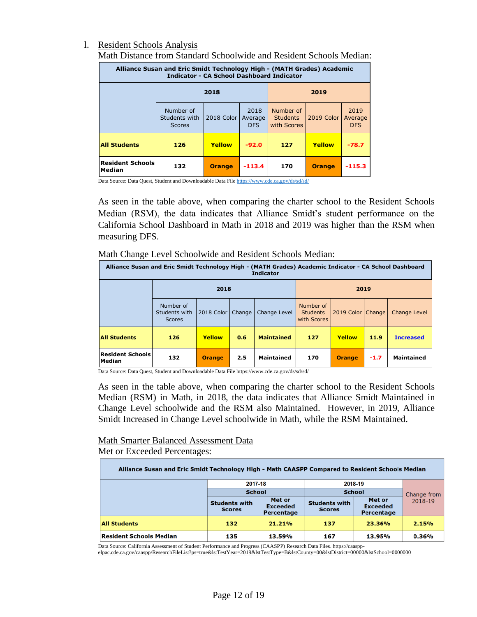## l. Resident Schools Analysis

| Alliance Susan and Eric Smidt Technology High - (MATH Grades) Academic<br><b>Indicator - CA School Dashboard Indicator</b> |                                             |               |                               |                                             |               |                               |  |  |  |  |  |
|----------------------------------------------------------------------------------------------------------------------------|---------------------------------------------|---------------|-------------------------------|---------------------------------------------|---------------|-------------------------------|--|--|--|--|--|
|                                                                                                                            |                                             | 2018          |                               | 2019                                        |               |                               |  |  |  |  |  |
|                                                                                                                            | Number of<br>Students with<br><b>Scores</b> | 2018 Color    | 2018<br>Average<br><b>DFS</b> | Number of<br><b>Students</b><br>with Scores | 2019 Color    | 2019<br>Average<br><b>DFS</b> |  |  |  |  |  |
| <b>All Students</b>                                                                                                        | 126                                         | Yellow        | $-92.0$                       | 127                                         | Yellow        | $-78.7$                       |  |  |  |  |  |
| <b>Resident Schools</b><br>Median                                                                                          | 132                                         | <b>Orange</b> | $-113.4$                      | 170                                         | <b>Orange</b> | $-115.3$                      |  |  |  |  |  |

Math Distance from Standard Schoolwide and Resident Schools Median:

Data Source: Data Quest, Student and Downloadable Data Fil[e https://www.cde.ca.gov/ds/sd/sd/](https://www.cde.ca.gov/ds/sd/sd/)

As seen in the table above, when comparing the charter school to the Resident Schools Median (RSM), the data indicates that Alliance Smidt's student performance on the California School Dashboard in Math in 2018 and 2019 was higher than the RSM when measuring DFS.

| Math Change Level Schoolwide and Resident Schools Median: |  |
|-----------------------------------------------------------|--|
|-----------------------------------------------------------|--|

| Alliance Susan and Eric Smidt Technology High - (MATH Grades) Academic Indicator - CA School Dashboard<br><b>Indicator</b> |                                             |            |        |                   |                                             |                     |      |                     |  |  |  |
|----------------------------------------------------------------------------------------------------------------------------|---------------------------------------------|------------|--------|-------------------|---------------------------------------------|---------------------|------|---------------------|--|--|--|
|                                                                                                                            |                                             | 2018       |        |                   | 2019                                        |                     |      |                     |  |  |  |
|                                                                                                                            | Number of<br>Students with<br><b>Scores</b> | 2018 Color | Change | Change Level      | Number of<br><b>Students</b><br>with Scores | 2019 Color   Change |      | <b>Change Level</b> |  |  |  |
| <b>All Students</b>                                                                                                        | 126                                         | Yellow     | 0.6    | <b>Maintained</b> | 127                                         | Yellow              | 11.9 | <b>Increased</b>    |  |  |  |
| <b>Resident Schools</b><br><b>Maintained</b><br>132<br>170<br>2.5<br>$-1.7$<br><b>Orange</b><br><b>Orange</b><br>Median    |                                             |            |        |                   |                                             |                     |      | <b>Maintained</b>   |  |  |  |

Data Source: Data Quest, Student and Downloadable Data File https://www.cde.ca.gov/ds/sd/sd/

As seen in the table above, when comparing the charter school to the Resident Schools Median (RSM) in Math, in 2018, the data indicates that Alliance Smidt Maintained in Change Level schoolwide and the RSM also Maintained. However, in 2019, Alliance Smidt Increased in Change Level schoolwide in Math, while the RSM Maintained.

## Math Smarter Balanced Assessment Data

Met or Exceeded Percentages:

| Alliance Susan and Eric Smidt Technology High - Math CAASPP Compared to Resident Schools Median |                                       |                                         |                                       |                                         |         |  |  |  |  |  |  |
|-------------------------------------------------------------------------------------------------|---------------------------------------|-----------------------------------------|---------------------------------------|-----------------------------------------|---------|--|--|--|--|--|--|
|                                                                                                 | 2017-18                               |                                         | 2018-19                               |                                         |         |  |  |  |  |  |  |
|                                                                                                 | <b>School</b>                         |                                         | <b>School</b>                         | Change from                             |         |  |  |  |  |  |  |
|                                                                                                 | <b>Students with</b><br><b>Scores</b> | Met or<br><b>Exceeded</b><br>Percentage | <b>Students with</b><br><b>Scores</b> | Met or<br><b>Exceeded</b><br>Percentage | 2018-19 |  |  |  |  |  |  |
| <b>All Students</b>                                                                             | 132                                   | 21.21%                                  | 137                                   | 23.36%                                  | 2.15%   |  |  |  |  |  |  |
| Resident Schools Median                                                                         | 135                                   | 13.59%                                  | 167                                   | 13.95%                                  | 0.36%   |  |  |  |  |  |  |

Data Source: California Assessment of Student Performance and Progress (CAASPP) Research Data Files[. https://caaspp-](https://caaspp-elpac.cde.ca.gov/caaspp/ResearchFileList?ps=true&lstTestYear=2019&lstTestType=B&lstCounty=00&lstDistrict=00000&lstSchool=0000000)

[elpac.cde.ca.gov/caaspp/ResearchFileList?ps=true&lstTestYear=2019&lstTestType=B&lstCounty=00&lstDistrict=00000&lstSchool=0000000](https://caaspp-elpac.cde.ca.gov/caaspp/ResearchFileList?ps=true&lstTestYear=2019&lstTestType=B&lstCounty=00&lstDistrict=00000&lstSchool=0000000)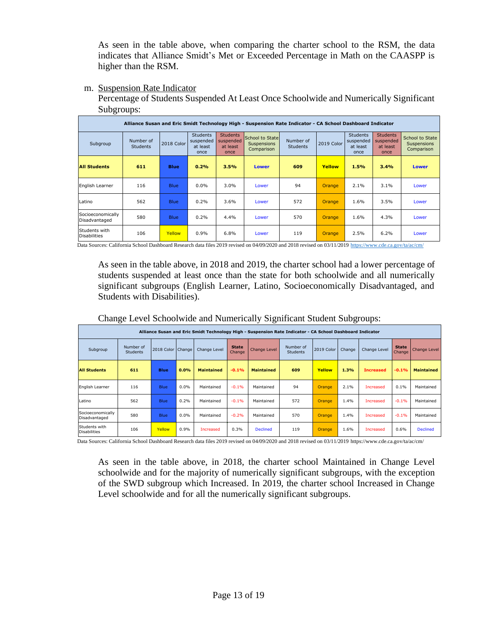As seen in the table above, when comparing the charter school to the RSM, the data indicates that Alliance Smidt's Met or Exceeded Percentage in Math on the CAASPP is higher than the RSM.

m. Suspension Rate Indicator

Percentage of Students Suspended At Least Once Schoolwide and Numerically Significant Subgroups:

|                                      | Alliance Susan and Eric Smidt Technology High - Suspension Rate Indicator - CA School Dashboard Indicator |             |                                                  |                                                  |                                                     |                              |               |                                                  |                                                  |                                                     |  |  |  |  |
|--------------------------------------|-----------------------------------------------------------------------------------------------------------|-------------|--------------------------------------------------|--------------------------------------------------|-----------------------------------------------------|------------------------------|---------------|--------------------------------------------------|--------------------------------------------------|-----------------------------------------------------|--|--|--|--|
| Subgroup                             | Number of<br><b>Students</b>                                                                              | 2018 Color  | <b>Students</b><br>suspended<br>at least<br>once | <b>Students</b><br>suspended<br>at least<br>once | School to State<br><b>Suspensions</b><br>Comparison | Number of<br><b>Students</b> | 2019 Color    | <b>Students</b><br>suspended<br>at least<br>once | <b>Students</b><br>suspended<br>at least<br>once | School to State<br><b>Suspensions</b><br>Comparison |  |  |  |  |
| <b>All Students</b>                  | 611                                                                                                       | <b>Blue</b> | 0.2%                                             | 3.5%                                             | <b>Lower</b>                                        | 609                          | Yellow        | 1.5%                                             | 3.4%                                             | <b>Lower</b>                                        |  |  |  |  |
| English Learner                      | 116                                                                                                       | <b>Blue</b> | 0.0%                                             | 3.0%                                             | Lower                                               | 94                           | <b>Orange</b> | 2.1%                                             | 3.1%                                             | Lower                                               |  |  |  |  |
| Latino                               | 562                                                                                                       | <b>Blue</b> | 0.2%                                             | 3.6%                                             | Lower                                               | 572                          | <b>Orange</b> | 1.6%                                             | 3.5%                                             | Lower                                               |  |  |  |  |
| Socioeconomically<br>Disadvantaged   | 580                                                                                                       | <b>Blue</b> | 0.2%                                             | 4.4%                                             | Lower                                               | 570                          | Orange        | 1.6%                                             | 4.3%                                             | Lower                                               |  |  |  |  |
| Students with<br><b>Disabilities</b> | 106                                                                                                       | Yellow      | 0.9%                                             | 6.8%                                             | Lower                                               | 119                          | Orange        | 2.5%                                             | 6.2%                                             | Lower                                               |  |  |  |  |

Data Sources: California School Dashboard Research data files 2019 revised on 04/09/2020 and 2018 revised on 03/11/2019<https://www.cde.ca.gov/ta/ac/cm/>

As seen in the table above, in 2018 and 2019, the charter school had a lower percentage of students suspended at least once than the state for both schoolwide and all numerically significant subgroups (English Learner, Latino, Socioeconomically Disadvantaged, and Students with Disabilities).

|                                      | Alliance Susan and Eric Smidt Technology High - Suspension Rate Indicator - CA School Dashboard Indicator |                   |         |                   |                        |                   |                              |               |        |                  |                        |                   |  |
|--------------------------------------|-----------------------------------------------------------------------------------------------------------|-------------------|---------|-------------------|------------------------|-------------------|------------------------------|---------------|--------|------------------|------------------------|-------------------|--|
| Subgroup                             | Number of<br><b>Students</b>                                                                              | 2018 Color Change |         | Change Level      | <b>State</b><br>Change | Change Level      | Number of<br><b>Students</b> | 2019 Color    | Change | Change Level     | <b>State</b><br>Change | Change Level      |  |
| <b>All Students</b>                  | 611                                                                                                       | <b>Blue</b>       | 0.0%    | <b>Maintained</b> | $-0.1%$                | <b>Maintained</b> | 609                          | Yellow        | 1.3%   | <b>Increased</b> | $-0.1%$                | <b>Maintained</b> |  |
| English Learner                      | 116                                                                                                       | <b>Blue</b>       | $0.0\%$ | Maintained        | $-0.1%$                | Maintained        | 94                           | Orange        | 2.1%   | Increased        | 0.1%                   | Maintained        |  |
| Latino                               | 562                                                                                                       | <b>Blue</b>       | 0.2%    | Maintained        | $-0.1%$                | Maintained        | 572                          | <b>Orange</b> | 1.4%   | Increased        | $-0.1%$                | Maintained        |  |
| Socioeconomically<br>Disadvantaged   | 580                                                                                                       | Blue              | $0.0\%$ | Maintained        | $-0.2%$                | Maintained        | 570                          | Orange        | 1.4%   | Increased        | $-0.1%$                | Maintained        |  |
| Students with<br><b>Disabilities</b> | 106                                                                                                       | Yellow            | 0.9%    | Increased         | 0.3%                   | <b>Declined</b>   | 119                          | Orange        | 1.6%   | Increased        | 0.6%                   | <b>Declined</b>   |  |

Change Level Schoolwide and Numerically Significant Student Subgroups:

Data Sources: California School Dashboard Research data files 2019 revised on 04/09/2020 and 2018 revised on 03/11/2019<https://www.cde.ca.gov/ta/ac/cm/>

As seen in the table above, in 2018, the charter school Maintained in Change Level schoolwide and for the majority of numerically significant subgroups, with the exception of the SWD subgroup which Increased. In 2019, the charter school Increased in Change Level schoolwide and for all the numerically significant subgroups.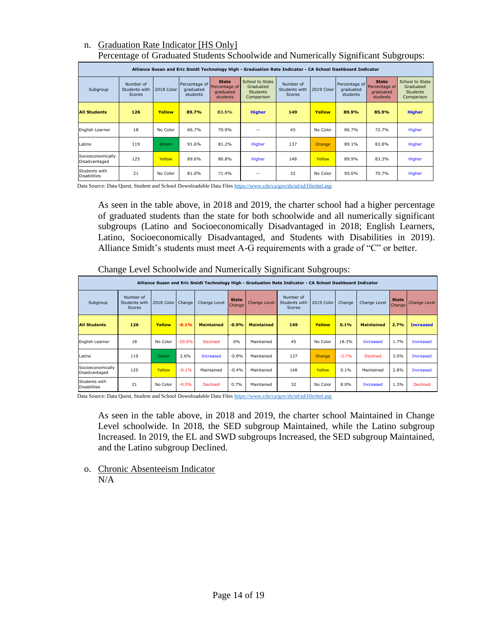## n. Graduation Rate Indicator [HS Only] Percentage of Graduated Students Schoolwide and Numerically Significant Subgroups:

|                                      | Alliance Susan and Eric Smidt Technology High - Graduation Rate Indicator - CA School Dashboard Indicator |               |                                        |                                                        |                                                               |                                             |               |                                        |                                                        |                                                               |  |  |  |  |  |
|--------------------------------------|-----------------------------------------------------------------------------------------------------------|---------------|----------------------------------------|--------------------------------------------------------|---------------------------------------------------------------|---------------------------------------------|---------------|----------------------------------------|--------------------------------------------------------|---------------------------------------------------------------|--|--|--|--|--|
| Subgroup                             | Number of<br>Students with<br>Scores                                                                      | 2018 Color    | Percentage of<br>graduated<br>students | <b>State</b><br>Percentage of<br>graduated<br>students | School to State<br>Graduated<br><b>Students</b><br>Comparison | Number of<br>Students with<br><b>Scores</b> | 2019 Color    | Percentage of<br>graduated<br>students | <b>State</b><br>Percentage of<br>graduated<br>students | School to State<br>Graduated<br><b>Students</b><br>Comparison |  |  |  |  |  |
| <b>All Students</b>                  | 126                                                                                                       | <b>Yellow</b> | 89.7%                                  | 83.5%                                                  | <b>Higher</b>                                                 | 149                                         | Yellow        | 89.9%                                  | 85.9%                                                  | <b>Higher</b>                                                 |  |  |  |  |  |
| English Learner                      | 18                                                                                                        | No Color      | 66.7%                                  | 70.9%                                                  | --                                                            | 45                                          | No Color      | 86.7%                                  | 72.7%                                                  | Higher                                                        |  |  |  |  |  |
| Latino                               | 119                                                                                                       | Green         | 91.6%                                  | 81.2%                                                  | Higher                                                        | 137                                         | <b>Orange</b> | 89.1%                                  | 83.8%                                                  | Higher                                                        |  |  |  |  |  |
| Socioeconomically<br>Disadvantaged   | 125                                                                                                       | Yellow        | 89.6%                                  | 80.8%                                                  | Higher                                                        | 148                                         | Yellow        | 89.9%                                  | 83.3%                                                  | Higher                                                        |  |  |  |  |  |
| Students with<br><b>Disabilities</b> | 21                                                                                                        | No Color      | 81.0%                                  | 71.4%                                                  |                                                               | 32                                          | No Color      | 90.6%                                  | 70.7%                                                  | Higher                                                        |  |  |  |  |  |

Data Source: Data Quest, Student and School Downloadable Data File[s https://www.cde/ca/gov/ds/sd/sd/filesltel.asp](https://www.cde/ca/gov/ds/sd/sd/filesltel.asp)

As seen in the table above, in 2018 and 2019, the charter school had a higher percentage of graduated students than the state for both schoolwide and all numerically significant subgroups (Latino and Socioeconomically Disadvantaged in 2018; English Learners, Latino, Socioeconomically Disadvantaged, and Students with Disabilities in 2019). Alliance Smidt's students must meet A-G requirements with a grade of "C" or better.

|                                      | Alliance Susan and Eric Smidt Technology High - Graduation Rate Indicator - CA School Dashboard Indicator |            |          |                   |                        |                     |                                      |            |         |                   |                        |                     |  |
|--------------------------------------|-----------------------------------------------------------------------------------------------------------|------------|----------|-------------------|------------------------|---------------------|--------------------------------------|------------|---------|-------------------|------------------------|---------------------|--|
| Subgroup                             | Number of<br>Students with<br><b>Scores</b>                                                               | 2018 Color | Change   | Change Level      | <b>State</b><br>Change | <b>Change Level</b> | Number of<br>Students with<br>Scores | 2019 Color | Change  | Change Level      | <b>State</b><br>Change | <b>Change Level</b> |  |
| <b>All Students</b>                  | 126                                                                                                       | Yellow     | $-0.1%$  | <b>Maintained</b> | $-0.9%$                | <b>Maintained</b>   | 149                                  | Yellow     | 0.1%    | <b>Maintained</b> | 2.7%                   | <b>Increased</b>    |  |
| English Learner                      | 18                                                                                                        | No Color   | $-20.0%$ | <b>Declined</b>   | 0%                     | Maintained          | 45                                   | No Color   | 18.3%   | <b>Increased</b>  | 1.7%                   | <b>Increased</b>    |  |
| Latino                               | 119                                                                                                       | Green      | 2.6%     | <b>Increased</b>  | $-0.8%$                | Maintained          | 137                                  | Orange     | $-2.7%$ | <b>Declined</b>   | 3.0%                   | <b>Increased</b>    |  |
| Socioeconomically<br>Disadvantaged   | 125                                                                                                       | Yellow     | $-0.1%$  | Maintained        | $-0.4%$                | Maintained          | 148                                  | Yellow     | 0.1%    | Maintained        | 2.8%                   | <b>Increased</b>    |  |
| Students with<br><b>Disabilities</b> | 21                                                                                                        | No Color   | $-9.5%$  | <b>Declined</b>   | 0.7%                   | Maintained          | 32                                   | No Color   | 8.0%    | <b>Increased</b>  | 1.3%                   | <b>Declined</b>     |  |

Change Level Schoolwide and Numerically Significant Subgroups:

Data Source: Data Quest, Student and School Downloadable Data File[s https://www.cde/ca/gov/ds/sd/sd/filesltel.asp](https://www.cde/ca/gov/ds/sd/sd/filesltel.asp)

As seen in the table above, in 2018 and 2019, the charter school Maintained in Change Level schoolwide. In 2018, the SED subgroup Maintained, while the Latino subgroup Increased. In 2019, the EL and SWD subgroups Increased, the SED subgroup Maintained, and the Latino subgroup Declined.

o. Chronic Absenteeism Indicator N/A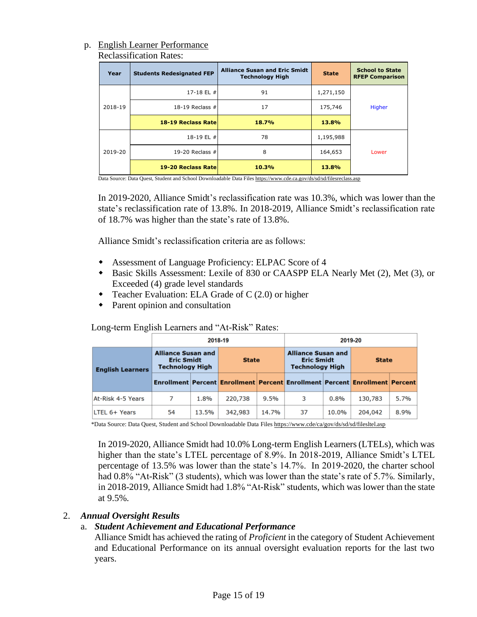### p. English Learner Performance Reclassification Rates:

| Year    | <b>Students Redesignated FEP</b> | <b>Alliance Susan and Eric Smidt</b><br><b>Technology High</b> | <b>State</b> | <b>School to State</b><br><b>RFEP Comparison</b> |  |
|---------|----------------------------------|----------------------------------------------------------------|--------------|--------------------------------------------------|--|
|         | 17-18 EL #                       | 91                                                             | 1,271,150    |                                                  |  |
| 2018-19 | 18-19 Reclass $#$                | 17                                                             | 175,746      | Higher                                           |  |
|         | 18-19 Reclass Rate               | 18.7%                                                          | 13.8%        |                                                  |  |
|         | 18-19 EL #                       | 78                                                             | 1,195,988    |                                                  |  |
| 2019-20 | 19-20 Reclass $#$                | 8                                                              | 164,653      | Lower                                            |  |
|         | 19-20 Reclass Rate               | 10.3%                                                          | 13.8%        |                                                  |  |

Data Source: Data Quest, Student and School Downloadable Data File[s https://www.cde.ca.gov/ds/sd/sd/filesreclass.asp](https://www.cde.ca.gov/ds/sd/sd/filesreclass.asp)

In 2019-2020, Alliance Smidt's reclassification rate was 10.3%, which was lower than the state's reclassification rate of 13.8%. In 2018-2019, Alliance Smidt's reclassification rate of 18.7% was higher than the state's rate of 13.8%.

Alliance Smidt's reclassification criteria are as follows:

- Assessment of Language Proficiency: ELPAC Score of 4
- Basic Skills Assessment: Lexile of 830 or CAASPP ELA Nearly Met (2), Met (3), or Exceeded (4) grade level standards
- Teacher Evaluation: ELA Grade of C (2.0) or higher
- Parent opinion and consultation

Long-term English Learners and "At-Risk" Rates:

|                         |                                                                          |       | 2018-19                                                                     |       |                                                                          | 2019-20 |              |      |  |  |
|-------------------------|--------------------------------------------------------------------------|-------|-----------------------------------------------------------------------------|-------|--------------------------------------------------------------------------|---------|--------------|------|--|--|
| <b>English Learners</b> | <b>Alliance Susan and</b><br><b>Eric Smidt</b><br><b>Technology High</b> |       | <b>State</b>                                                                |       | <b>Alliance Susan and</b><br><b>Eric Smidt</b><br><b>Technology High</b> |         | <b>State</b> |      |  |  |
|                         |                                                                          |       | Enrollment Percent Enrollment Percent Enrollment Percent Enrollment Percent |       |                                                                          |         |              |      |  |  |
| At-Risk 4-5 Years       | 7                                                                        | 1.8%  | 220,738                                                                     | 9.5%  | 3                                                                        | 0.8%    | 130,783      | 5.7% |  |  |
| LTEL 6+ Years           | 54                                                                       | 13.5% | 342,983                                                                     | 14.7% | 37                                                                       | 10.0%   | 204,042      | 8.9% |  |  |

\*Data Source: Data Quest, Student and School Downloadable Data File[s https://www.cde/ca/gov/ds/sd/sd/filesltel.asp](https://www.cde/ca/gov/ds/sd/sd/filesltel.asp)

In 2019-2020, Alliance Smidt had 10.0% Long-term English Learners (LTELs), which was higher than the state's LTEL percentage of 8.9%. In 2018-2019, Alliance Smidt's LTEL percentage of 13.5% was lower than the state's 14.7%. In 2019-2020, the charter school had 0.8% "At-Risk" (3 students), which was lower than the state's rate of 5.7%. Similarly, in 2018-2019, Alliance Smidt had 1.8% "At-Risk" students, which was lower than the state at 9.5%.

## 2. *Annual Oversight Results*

## a. *Student Achievement and Educational Performance*

Alliance Smidt has achieved the rating of *Proficient* in the category of Student Achievement and Educational Performance on its annual oversight evaluation reports for the last two years.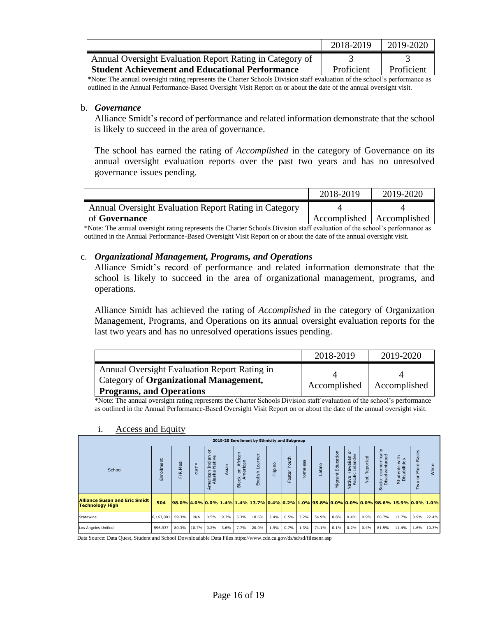|                                                          | 2018-2019  | 2019-2020  |
|----------------------------------------------------------|------------|------------|
| Annual Oversight Evaluation Report Rating in Category of |            |            |
| <b>Student Achievement and Educational Performance</b>   | Proficient | Proficient |

\*Note: The annual oversight rating represents the Charter Schools Division staff evaluation of the school's performance as outlined in the Annual Performance-Based Oversight Visit Report on or about the date of the annual oversight visit.

## b. *Governance*

Alliance Smidt's record of performance and related information demonstrate that the school is likely to succeed in the area of governance.

The school has earned the rating of *Accomplished* in the category of Governance on its annual oversight evaluation reports over the past two years and has no unresolved governance issues pending.

|                                                       | 2018-2019                   | 2019-2020 |
|-------------------------------------------------------|-----------------------------|-----------|
| Annual Oversight Evaluation Report Rating in Category |                             |           |
| of <b>Governance</b>                                  | Accomplished   Accomplished |           |

\*Note: The annual oversight rating represents the Charter Schools Division staff evaluation of the school's performance as outlined in the Annual Performance-Based Oversight Visit Report on or about the date of the annual oversight visit.

## c. *Organizational Management, Programs, and Operations*

Alliance Smidt's record of performance and related information demonstrate that the school is likely to succeed in the area of organizational management, programs, and operations.

Alliance Smidt has achieved the rating of *Accomplished* in the category of Organization Management, Programs, and Operations on its annual oversight evaluation reports for the last two years and has no unresolved operations issues pending.

|                                              | 2018-2019    | 2019-2020    |
|----------------------------------------------|--------------|--------------|
| Annual Oversight Evaluation Report Rating in |              |              |
| Category of Organizational Management,       | Accomplished | Accomplished |
| <b>Programs, and Operations</b>              |              |              |

\*Note: The annual oversight rating represents the Charter Schools Division staff evaluation of the school's performance as outlined in the Annual Performance-Based Oversight Visit Report on or about the date of the annual oversight visit.

| 2019-20 Enrollment by Ethnicity and Subgroup                   |              |                                                                                                    |      |                                                                                               |           |                                            |                   |          |                        |          |       |                         |                                         |                 |                                              |                               |                          |            |
|----------------------------------------------------------------|--------------|----------------------------------------------------------------------------------------------------|------|-----------------------------------------------------------------------------------------------|-----------|--------------------------------------------|-------------------|----------|------------------------|----------|-------|-------------------------|-----------------------------------------|-----------------|----------------------------------------------|-------------------------------|--------------------------|------------|
| School                                                         | ollment<br>高 | Meal<br>F/R                                                                                        | GATE | ੇ ਨ<br>dian<br>stive<br>ᄫ<br>$\overline{\phantom{0}}$<br>can<br>ska<br>$\sigma$<br>ਦੋ ਕੌ<br>⊄ | Asian     | African<br>can<br>meri<br>능<br>폱<br>◅<br>읆 | earner<br>English | Filipino | Youth<br><b>Foster</b> | Homeless | atino | Education<br>t<br>Migra | ৯<br>Native Hawaiian<br>Pacific Islande | Reported<br>Not | cio-economically<br>Disadvantaged<br>Ö<br>σñ | Students with<br>Disabilities | Races<br>More<br>ਨੋ<br>ş | White      |
| <b>Alliance Susan and Eric Smidt</b><br><b>Technology High</b> | 504          | <u> 98.0% 4.0% 0.0% 1.4% 1.4% 1.3.7% 0.4% 0.2% 1.0% 95.8% 0.0% 0.0% 0.0% 98.6% 15.9% 0.0% 1.0%</u> |      |                                                                                               |           |                                            |                   |          |                        |          |       |                         |                                         |                 |                                              |                               |                          |            |
| Statewide                                                      | 6,163,001    | 59.3%                                                                                              | N/A  | 0.5%                                                                                          | 9.3%      | 5.3%                                       | 18.6%             | 2.4%     | 0.5%                   | 3.2%     | 54.9% | 0.8%                    | 0.4%                                    | 0.9%            | 60.7%                                        | 11.7%                         | 3.9%                     | 22.4%      |
| Los Angeles Unified                                            | 596,937      | 80.3% 10.7% 0.2%                                                                                   |      |                                                                                               | 3.6% 7.7% |                                            | 20.0%             |          | 1.9% 0.7%              | 1.3%     | 74.1% | 0.1%                    | 0.2%                                    | $0.4\%$         | 81.5%                                        | 11.4%                         |                          | 1.6% 10.3% |

## i. Access and Equity

Data Source: Data Quest, Student and School Downloadable Data Files https://www.cde.ca.gov/ds/sd/sd/filesenr.asp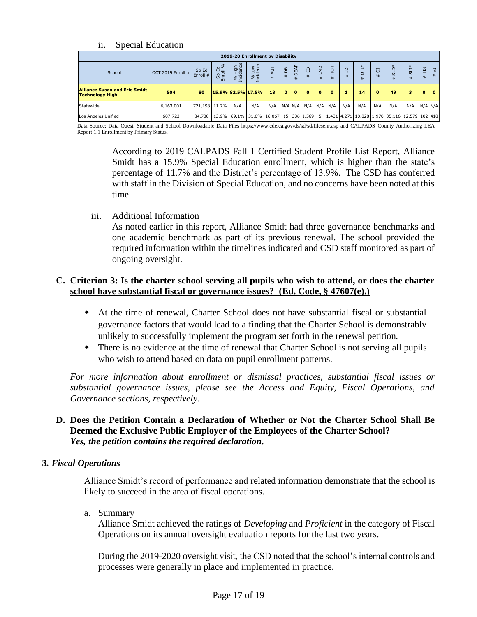## ii. Special Education

| 2019-20 Enrollment by Disability                               |         |                                                                                                                               |        |          |                      |                   |                       |                     |             |              |             |                     |     |              |     |     |          |              |
|----------------------------------------------------------------|---------|-------------------------------------------------------------------------------------------------------------------------------|--------|----------|----------------------|-------------------|-----------------------|---------------------|-------------|--------------|-------------|---------------------|-----|--------------|-----|-----|----------|--------------|
| OCT 2019 Enroll $#$<br>School                                  | ЪB      | 늦<br>뫔<br>#                                                                                                                   | 읎<br># | EMD<br># | 풍                    | $\mathbf{a}$<br># | OH <sub>1*</sub><br># | $\overline{a}$<br># | ದ<br>#      | ದ<br>#       | E           | $\overline{5}$<br># |     |              |     |     |          |              |
| <b>Alliance Susan and Eric Smidt</b><br><b>Technology High</b> | 504     | 80                                                                                                                            |        |          | $15.9\%$ 82.5% 17.5% | 13                | $\Omega$              | $\Omega$            | $\mathbf o$ | $\mathbf{0}$ | $\mathbf o$ |                     | 14  | $\mathbf{o}$ | 49  | 3   | $\Omega$ | $\mathbf{o}$ |
| Statewide<br>6,163,001                                         |         | 721,198 11.7%                                                                                                                 |        | N/A      | N/A                  | N/A               |                       |                     | N/A N/A N/A |              | $N/A$ $N/A$ | N/A                 | N/A | N/A          | N/A | N/A |          | $N/A$ $N/A$  |
| Los Angeles Unified                                            | 607.723 | 84,730   13.9%   69.1%   31.0%   16,067   15   336   1,569   5   1,431   4,271   10,828   1,970   35,116   12,579   102   418 |        |          |                      |                   |                       |                     |             |              |             |                     |     |              |     |     |          |              |

Data Source: Data Quest, Student and School Downloadable Data Files https://www.cde.ca.gov/ds/sd/sd/filesenr.asp and CALPADS County Authorizing LEA Report 1.1 Enrollment by Primary Status.

According to 2019 CALPADS Fall 1 Certified Student Profile List Report, Alliance Smidt has a 15.9% Special Education enrollment, which is higher than the state's percentage of 11.7% and the District's percentage of 13.9%. The CSD has conferred with staff in the Division of Special Education, and no concerns have been noted at this time.

iii. Additional Information

As noted earlier in this report, Alliance Smidt had three governance benchmarks and one academic benchmark as part of its previous renewal. The school provided the required information within the timelines indicated and CSD staff monitored as part of ongoing oversight.

## **C. Criterion 3: Is the charter school serving all pupils who wish to attend, or does the charter school have substantial fiscal or governance issues? (Ed. Code, § 47607(e).)**

- At the time of renewal, Charter School does not have substantial fiscal or substantial governance factors that would lead to a finding that the Charter School is demonstrably unlikely to successfully implement the program set forth in the renewal petition.
- There is no evidence at the time of renewal that Charter School is not serving all pupils who wish to attend based on data on pupil enrollment patterns.

*For more information about enrollment or dismissal practices, substantial fiscal issues or substantial governance issues, please see the Access and Equity, Fiscal Operations, and Governance sections, respectively.* 

## **D. Does the Petition Contain a Declaration of Whether or Not the Charter School Shall Be Deemed the Exclusive Public Employer of the Employees of the Charter School?**  *Yes, the petition contains the required declaration.*

## **3***. Fiscal Operations*

Alliance Smidt's record of performance and related information demonstrate that the school is likely to succeed in the area of fiscal operations.

a. Summary

Alliance Smidt achieved the ratings of *Developing* and *Proficient* in the category of Fiscal Operations on its annual oversight evaluation reports for the last two years.

During the 2019-2020 oversight visit, the CSD noted that the school's internal controls and processes were generally in place and implemented in practice.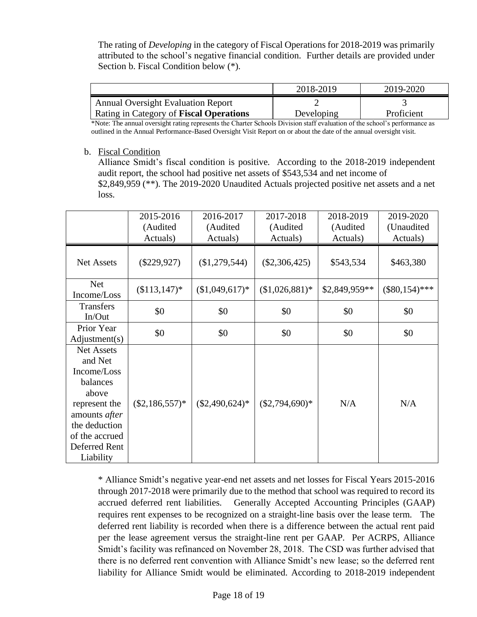The rating of *Developing* in the category of Fiscal Operations for 2018-2019 was primarily attributed to the school's negative financial condition. Further details are provided under Section b. Fiscal Condition below (\*).

|                                           | 2018-2019  | 2019-2020  |
|-------------------------------------------|------------|------------|
| <b>Annual Oversight Evaluation Report</b> |            |            |
| Rating in Category of Fiscal Operations   | Developing | Proficient |

\*Note: The annual oversight rating represents the Charter Schools Division staff evaluation of the school's performance as outlined in the Annual Performance-Based Oversight Visit Report on or about the date of the annual oversight visit.

## b. Fiscal Condition

Alliance Smidt's fiscal condition is positive. According to the 2018-2019 independent audit report, the school had positive net assets of \$543,534 and net income of \$2,849,959 (\*\*). The 2019-2020 Unaudited Actuals projected positive net assets and a net loss.

|                                                                                                                                                                     | 2015-2016<br>(Audited<br>Actuals) | 2016-2017<br>(Audited<br>Actuals) | 2017-2018<br>(Audited<br>Actuals) | 2018-2019<br>(Audited<br>Actuals) | 2019-2020<br>(Unaudited<br>Actuals) |
|---------------------------------------------------------------------------------------------------------------------------------------------------------------------|-----------------------------------|-----------------------------------|-----------------------------------|-----------------------------------|-------------------------------------|
| <b>Net Assets</b>                                                                                                                                                   | $(\$229,927)$                     | (\$1,279,544)                     | $(\$2,306,425)$                   | \$543,534                         | \$463,380                           |
| <b>Net</b><br>Income/Loss                                                                                                                                           | $($113,147)*$                     | $($1,049,617)*$                   | $($1,026,881)*$                   | \$2,849,959**                     | $(\$80,154)***$                     |
| <b>Transfers</b><br>In/Out                                                                                                                                          | \$0                               | \$0                               | \$0                               | \$0                               | \$0                                 |
| Prior Year<br>Adjustment(s)                                                                                                                                         | \$0                               | \$0                               | \$0                               | \$0                               | \$0                                 |
| <b>Net Assets</b><br>and Net<br>Income/Loss<br>balances<br>above<br>represent the<br>amounts after<br>the deduction<br>of the accrued<br>Deferred Rent<br>Liability | $(\$2,186,557)*$                  | $(\$2,490,624)*$                  | $($2,794,690)*$                   | N/A                               | N/A                                 |

\* Alliance Smidt's negative year-end net assets and net losses for Fiscal Years 2015-2016 through 2017-2018 were primarily due to the method that school was required to record its accrued deferred rent liabilities. Generally Accepted Accounting Principles (GAAP) requires rent expenses to be recognized on a straight-line basis over the lease term. The deferred rent liability is recorded when there is a difference between the actual rent paid per the lease agreement versus the straight-line rent per GAAP. Per ACRPS, Alliance Smidt's facility was refinanced on November 28, 2018. The CSD was further advised that there is no deferred rent convention with Alliance Smidt's new lease; so the deferred rent liability for Alliance Smidt would be eliminated. According to 2018-2019 independent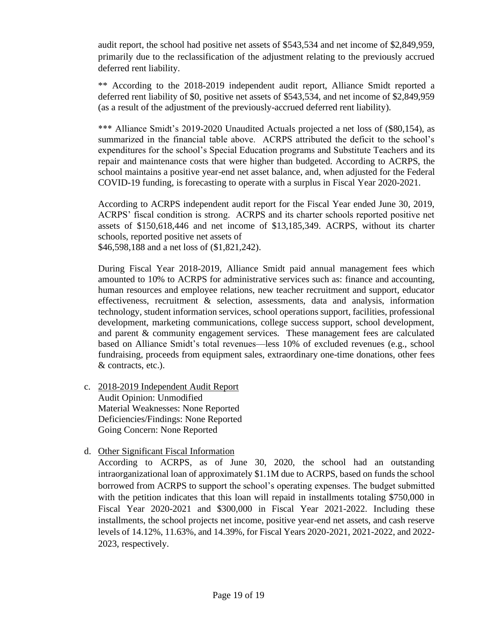audit report, the school had positive net assets of \$543,534 and net income of \$2,849,959, primarily due to the reclassification of the adjustment relating to the previously accrued deferred rent liability.

\*\* According to the 2018-2019 independent audit report, Alliance Smidt reported a deferred rent liability of \$0, positive net assets of \$543,534, and net income of \$2,849,959 (as a result of the adjustment of the previously-accrued deferred rent liability).

\*\*\* Alliance Smidt's 2019-2020 Unaudited Actuals projected a net loss of (\$80,154), as summarized in the financial table above. ACRPS attributed the deficit to the school's expenditures for the school's Special Education programs and Substitute Teachers and its repair and maintenance costs that were higher than budgeted. According to ACRPS, the school maintains a positive year-end net asset balance, and, when adjusted for the Federal COVID-19 funding, is forecasting to operate with a surplus in Fiscal Year 2020-2021.

According to ACRPS independent audit report for the Fiscal Year ended June 30, 2019, ACRPS' fiscal condition is strong. ACRPS and its charter schools reported positive net assets of \$150,618,446 and net income of \$13,185,349. ACRPS, without its charter schools, reported positive net assets of \$46,598,188 and a net loss of (\$1,821,242).

During Fiscal Year 2018-2019, Alliance Smidt paid annual management fees which amounted to 10% to ACRPS for administrative services such as: finance and accounting, human resources and employee relations, new teacher recruitment and support, educator effectiveness, recruitment & selection, assessments, data and analysis, information technology, student information services, school operations support, facilities, professional development, marketing communications, college success support, school development, and parent & community engagement services. These management fees are calculated based on Alliance Smidt's total revenues—less 10% of excluded revenues (e.g., school fundraising, proceeds from equipment sales, extraordinary one-time donations, other fees & contracts, etc.).

- c. 2018-2019 Independent Audit Report Audit Opinion: Unmodified Material Weaknesses: None Reported Deficiencies/Findings: None Reported Going Concern: None Reported
- d. Other Significant Fiscal Information

According to ACRPS, as of June 30, 2020, the school had an outstanding intraorganizational loan of approximately \$1.1M due to ACRPS, based on funds the school borrowed from ACRPS to support the school's operating expenses. The budget submitted with the petition indicates that this loan will repaid in installments totaling \$750,000 in Fiscal Year 2020-2021 and \$300,000 in Fiscal Year 2021-2022. Including these installments, the school projects net income, positive year-end net assets, and cash reserve levels of 14.12%, 11.63%, and 14.39%, for Fiscal Years 2020-2021, 2021-2022, and 2022- 2023, respectively.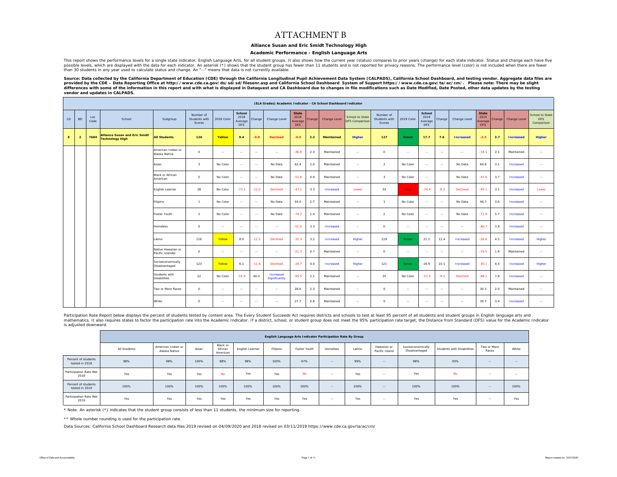### ATTACHMENT B

### **Alliance Susan and Eric Smidt Technology High**

### **Academic Performance - English Language Arts**

This report shows the performance levels for a single state indicator, English Language Arts, for all student groups. It also shows how the current year (status) compares to prior years (change) for each state indicator. S possible levels, which are displayed with the data for each indicator. An asterisk (\*) shows that the student group has fewer than 11 students and is not reported for privacy reasons. The performance level (color) is not i than 30 students in any year used to calculate status and change. An "--" means that data is not currently available.

Source: Data collected by the California Department of Education (CDE) through the California Longitudinal Pupil Achievement Data System (CALPADS), California School Dashboard, and testing vendor. Aggregate data files are<br> *vendor and updates in CALPADS.* 

|    | (ELA Grades) Academic Indicator - CA School Dashboard Indicator<br>State<br>School<br>School<br><b>State</b> |             |                                                                |                                        |                                      |            |                               |            |                            |                               |        |                   |                                          |                                      |               |                               |        |                  |                               |        |                  |                                             |
|----|--------------------------------------------------------------------------------------------------------------|-------------|----------------------------------------------------------------|----------------------------------------|--------------------------------------|------------|-------------------------------|------------|----------------------------|-------------------------------|--------|-------------------|------------------------------------------|--------------------------------------|---------------|-------------------------------|--------|------------------|-------------------------------|--------|------------------|---------------------------------------------|
| LD | <b>BD</b>                                                                                                    | Loc<br>Code | School                                                         | Subgroup                               | Number of<br>Students with<br>Scores | 2018 Color | 2018<br>Average<br><b>DFS</b> | Change     | Change Level               | 2018<br>Average<br><b>DFS</b> | Change | Change Level      | School to State<br><b>DFS Comparison</b> | Number of<br>Students with<br>Scores | 2019 Color    | 2019<br>Average<br><b>DFS</b> | Change | Change Level     | 2019<br>Average<br><b>DFS</b> | Change | Change Level     | School to State<br><b>DFS</b><br>Comparison |
| E. | $\overline{2}$                                                                                               | 7684        | <b>Alliance Susan and Eric Smidt</b><br><b>Technology High</b> | <b>All Students</b>                    | 126                                  | Yellow     | 9.4                           | $-9.8$     | <b>Declined</b>            | $-6.0$                        | 2.2    | <b>Maintained</b> | Higher                                   | 127                                  | <b>Green</b>  | 17.7                          | 7.6    | <b>Increased</b> | $-2.5$                        | 3.7    | <b>Increased</b> | Higher                                      |
|    |                                                                                                              |             |                                                                | American Indian or<br>Alaska Native    | $\Omega$                             | $\sim$     | $\sim$                        | $\sim$     | $\sim$                     | $-36.8$                       | 2.3    | Maintained        | $\sim$                                   | $\circ$                              | $\sim$        | $\sim$                        | $\sim$ | $\sim$ $\sim$    | $-34.1$                       | 2.1    | Maintained       | $\sim$                                      |
|    |                                                                                                              |             |                                                                | Asian                                  | $\overline{\mathbf{3}}$              | No Color   | $\sim$                        | $\sim$     | No Data                    | 62.4                          | 2.0    | Maintained        | $\sim$                                   | 2                                    | No Color      | $\sim$                        | $\sim$ | No Data          | 64.8                          | 3.1    | Increased        | $\sim$                                      |
|    |                                                                                                              |             |                                                                | Black or African<br>American           | 5                                    | No Color   | $\sim$                        | $\sim$     | No Data                    | $-51.8$                       | 0.9    | Maintained        | $\sim$                                   | $\overline{\mathbf{3}}$              | No Color      | $\sim$                        |        | No Data          | $-47.6$                       | 3.7    | Increased        | $\sim$                                      |
|    |                                                                                                              |             |                                                                | English Learner                        | 38                                   | No Color   | $-73.2$                       | $-12.0$    | Declined                   | $-47.1$                       | 3.3    | Increased         | Lower                                    | 33                                   | Red           | $-74.4$                       | $-8.2$ | Declined         | $-45.1$                       | 3.1    | Increased        | Lower                                       |
|    |                                                                                                              |             |                                                                | Filipino                               | $\overline{1}$                       | No Color   | $\sim$                        | $\sim$     | No Data                    | 44.0                          | 2.7    | Maintained        | $\sim$                                   | $\overline{1}$                       | No Color      | $\sim$                        | $\sim$ | No Data          | 46.7                          | 3.6    | Increased        | $\sim$                                      |
|    |                                                                                                              |             |                                                                | Foster Youth                           | $\overline{2}$                       | No Color   | $\sim$                        | $\sim$     | No Data                    | $-79.2$                       | 1.4    | Maintained        | $\sim$                                   | 2                                    | No Color      | $\sim$                        | $\sim$ | No Data          | $-71.9$                       | 5.7    | Increased        | $\sim$                                      |
|    |                                                                                                              |             |                                                                | Homeless                               | $\circ$                              | $\sim$     | $\sim$                        | $\sim$ $-$ | $\sim$                     | $-51.0$                       | 3.3    | Increased         | $\sim$                                   | $\circ$                              | $\sim$ $\sim$ | $\sim$                        | $\sim$ | $\sim$           | $-46.7$                       | 3.8    | Increased        | $\sim$                                      |
|    |                                                                                                              |             |                                                                | Latino                                 | 116                                  | Yellow     | 8.0                           | $-11.5$    | Declined                   | $-31.3$                       | 3.2    | Increased         | Higher                                   | 119                                  | Green         | 21.2                          | 12.4   | Increased        | $-26.6$                       | 4.5    | Increased        | Higher                                      |
|    |                                                                                                              |             |                                                                | Native Hawaiian or<br>Pacific Islander | $\circ$                              | $\sim$     | $\sim$                        | $\sim$     | $\sim$                     | $-21.3$                       | 0.7    | Maintained        | $\sim$ $\sim$                            | $\circ$                              | $\sim$        | $\sim$                        | $\sim$ | $\sim$ $\sim$    | $-19.5$                       | 1.8    | Maintained       | $\sim$ $\sim$                               |
|    |                                                                                                              |             |                                                                | Socioeconomically<br>Disadvantaged     | 123                                  | Yellow     | 6.1                           | $-11.6$    | Declined                   | $-34.7$                       | 4.0    | Increased         | Higher                                   | 121                                  | Green         | 16.9                          | 10.1   | Increased        | $-30.1$                       | 4.4    | Increased        | Higher                                      |
|    |                                                                                                              |             |                                                                | Students with<br><b>Disabilities</b>   | 22                                   | No Color   | $-55.0$                       | 40.0       | Increased<br>Significantly | $-95.5$                       | 2.1    | Maintained        | $\sim$                                   | 25                                   | No Color      | $-57.5$                       | $-9.2$ | Declined         | $-88.1$                       | 7.8    | Increased        | $\sim$                                      |
|    |                                                                                                              |             |                                                                | Two or More Races                      | $\Omega$                             | $\sim$     | $\sim$                        | $\ddotsc$  | $\sim$                     | 28.6                          | 2.3    | Maintained        | $\sim$                                   | $\circ$                              | $\sim$ $\sim$ | $\sim$                        | $\sim$ | $\sim$           | 30.3                          | 2.0    | Maintained       | $\sim$ $\sim$                               |
|    |                                                                                                              |             |                                                                | White                                  | $\circ$                              | $\sim$     | $\sim$                        | $\sim$     | $\sim$                     | 27.7                          | 0.8    | Maintained        | $\sim$                                   | $\circ$                              | $\sim$        | $\sim$                        | $\sim$ | $\sim$           | 30.7                          | 3.4    | Increased        | $\sim$                                      |

Participation Rate Report below displays the percent of students tested by content area. The Every Student Succeeds Act requires districts and schools to test at least 95 percent of all students and student groups in Engli mathematics. It also requires states to factor the participation rate into the Academic Indicator. If a district, school, or student group does not meet the 95% participation rate target, the Distance from Standard (DFS) v is adjusted downward.

|                                       | English Language Arts Indicator Participation Rate By Group |                                     |       |                                 |                 |          |              |            |        |                               |                                    |                            |                      |               |  |
|---------------------------------------|-------------------------------------------------------------|-------------------------------------|-------|---------------------------------|-----------------|----------|--------------|------------|--------|-------------------------------|------------------------------------|----------------------------|----------------------|---------------|--|
|                                       | All Students                                                | American Indian or<br>Alaska Native | Asian | Black or<br>African<br>American | English Learner | Filipino | Foster Youth | Homeless   | Latino | Hawaiian or<br>Pacific Island | Socioeconomically<br>Disadvantaged | Students with Disabilities | Two or More<br>Races | White         |  |
| Percent of students<br>tested in 2018 | 98%                                                         | 98%                                 | 100%  | 88%                             | 98%             | 100%     | 67%          | $\sim$ $-$ | 99%    | $\sim$ $-$                    | 98%                                | 93%                        | $-$                  | $\sim$ $\sim$ |  |
| Participation Rate Met<br>2018        | Yes                                                         | Yes                                 | Yes   | <b>No</b>                       | Yes             | Yes      | <b>No</b>    | $-$        | Yes    | $\sim$                        | Yes                                | <b>No</b>                  | $\sim$               | $\sim$        |  |
| Percent of students<br>tested in 2019 | 100%                                                        | 100%                                | 100%  | 100%                            | 100%            | 100%     | 100%         | $\sim$ $-$ | 100%   | $\sim$ $-$                    | 100%                               | 100%                       | $\sim$ $-$           | 100%          |  |
| Participation Rate Met<br>2019        | Yes                                                         | Yes                                 | Yes   | Yes                             | Yes             | Yes      | Yes          | --         | Yes    | $\sim$ $-$                    | Yes                                | Yes                        | $-$                  | Yes           |  |

\* Note: An asterisk (\*) indicates that the student group consists of less than 11 students, the minimum size for reporting.

\*\* Whole number rounding is used for the participation rate.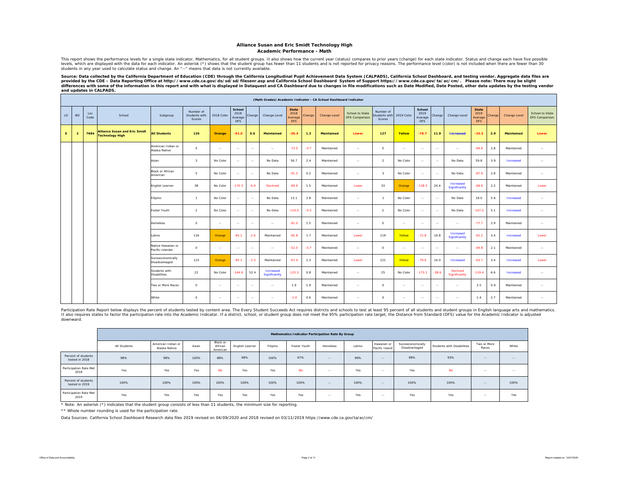### **Alliance Susan and Eric Smidt Technology High Academic Performance - Math**

This report shows the performance levels for a single state indicator, Mathematics, for all student groups. It also shows how the current year (status) compares to prior years (change) for each state indicator. Status and

Source: Data collected by the California Department of Education (CDE) through the California Longitudinal Pupil Achievement Data System (CALPADS), California School Dashboard, and testing vendor. Aggregate data files are provided by the CDE – Data Reporting Office at http://www.cde.ca.gov/ds/sd/sd/filesenr.asp and California School Dashboard System of Support https://www.cde.ca.gov/ta/ac/cm/. Please note: There may be slight<br>differences wi *and updates in CALPADS.* 

|    | (Math Grades) Academic Indicator - CA School Dashboard Indicator |             |                                                                |                                        |                                      |            |                                         |               |                            |                                               |        |                   |                                          |                                     |               |                                         |               |                            |                                        |                  |                   |                                          |
|----|------------------------------------------------------------------|-------------|----------------------------------------------------------------|----------------------------------------|--------------------------------------|------------|-----------------------------------------|---------------|----------------------------|-----------------------------------------------|--------|-------------------|------------------------------------------|-------------------------------------|---------------|-----------------------------------------|---------------|----------------------------|----------------------------------------|------------------|-------------------|------------------------------------------|
| LD | <b>BD</b>                                                        | Loc<br>Code | School                                                         | Subgroup                               | Number of<br>Students with<br>Scores | 2018 Color | School<br>2018<br>Average<br><b>DFS</b> | Change        | Change Level               | <b>State</b><br>2018<br>Average<br><b>DFS</b> | Change | Change Level      | School to State<br><b>DFS Comparison</b> | Number of<br>tudents with<br>Scores | 2019 Color    | School<br>2019<br>Average<br><b>DFS</b> | Change        | Change Level               | <b>State</b><br>2019<br>Average<br>DFS | Change           | Change Level      | School to State<br><b>DFS Comparison</b> |
| E. | $\overline{2}$                                                   | 7684        | <b>Alliance Susan and Eric Smidt</b><br><b>Technology High</b> | <b>All Students</b>                    | 126                                  | Orange     | $-92.0$                                 | 0.6           | <b>Maintained</b>          | $-36.4$                                       | 1.3    | <b>Maintained</b> | Lower                                    | 127                                 | Yellow        | $-78.7$                                 | 11.9          | <b>Increased</b>           | $-33.5$                                | 2.9              | <b>Maintained</b> | Lower                                    |
|    |                                                                  |             |                                                                | American Indian or<br>Alaska Native    | $\circ$                              | $\sim$     | $\sim$                                  | $\sim$        | $\sim$                     | $-73.0$                                       | $-0.7$ | Maintained        | $\sim$                                   | $\Omega$                            | $\sim$        | $\sim$                                  | $\sim$        | $\sim$                     | $-69.6$                                | 2.8              | Maintained        | $\sim$                                   |
|    |                                                                  |             |                                                                | Asian                                  | $\overline{\mathbf{3}}$              | No Color   | $\sim$                                  | $\sim$ $\sim$ | No Data                    | 56.7                                          | 2.4    | Maintained        | $\sim$                                   | 2                                   | No Color      | $\sim$                                  | $\sim$        | No Data                    | 59.8                                   | 3.9              | Increased         | $\sim$                                   |
|    |                                                                  |             |                                                                | <b>Black or African</b><br>American    | 5                                    | No Color   | $\sim$ $\sim$                           | $\sim$ $\sim$ | No Data                    | $-91.5$                                       | 0.2    | Maintained        | $\sim$                                   | $\overline{\mathbf{3}}$             | No Color      | $\sim$                                  | $\sim$        | No Data                    | $-87.9$                                | 2.8              | Maintained        | $\sim$                                   |
|    |                                                                  |             |                                                                | English Learner                        | 38                                   | No Color   | $-170.3$                                | $-6.9$        | <b>Declined</b>            | $-69.9$                                       | 1.5    | Maintained        | Lower                                    | 33                                  | Orange        | $-138.5$                                | 24.4          | Increased<br>Significantly | $-68.6$                                | 2.2              | Maintained        | Lower                                    |
|    |                                                                  |             |                                                                | Filipino                               | $\overline{1}$                       | No Color   | $\sim$                                  | $\sim$        | No Data                    | 13.1                                          | 2.8    | Maintained        | $\sim$                                   | $\overline{1}$                      | No Color      | $\sim$                                  | $\sim$ $\sim$ | No Data                    | 18.0                                   | 5.6              | Increased         | $\sim$                                   |
|    |                                                                  |             |                                                                | Foster Youth                           | $\overline{a}$                       | No Color   | $\sim$ $\sim$                           | $\sim$ $\sim$ | No Data                    | $-114.0$                                      | $-0.5$ | Maintained        | $\sim$                                   | 2                                   | No Color      | $\sim$                                  | $\sim$        | No Data                    | $-107.2$                               | 5.1              | Increased         | $\sim$                                   |
|    |                                                                  |             |                                                                | <b>Homeless</b>                        | $\circ$                              | $\sim$     | $\sim$                                  | $\sim$        | $\sim$                     | $-81.0$                                       | 1.5    | Maintained        | $\sim$                                   | $\circ$                             | $\sim$ $-$    | $\sim$ $-$                              | $\sim$        | $\sim$                     | $-77.7$                                | 2.9              | Maintained        | $\sim$                                   |
|    |                                                                  |             |                                                                | Latino                                 | 116                                  | Orange     | $-94.1$                                 | $-2.6$        | Maintained                 | $-65.8$                                       | 1.7    | Maintained        | Lower                                    | 119                                 | Yellow        | $-72.8$                                 | 19.8          | Increased<br>Significantly | $-62.2$                                | 3.4              | Increased         | Lower                                    |
|    |                                                                  |             |                                                                | Native Hawaiian or<br>Pacific Islander | $\circ$                              | $\sim$     | $\sim$ $\sim$                           | $\sim$ $\sim$ | $\sim$ $\sim$              | $-52.0$                                       | $-0.7$ | Maintained        | $\sim$                                   | $\circ$                             | $\sim$ $\sim$ | $\sim$ $\sim$                           | $\sim$        | $\sim$ $\sim$              | $-49.8$                                | 2.1              | Maintained        | $\sim$                                   |
|    |                                                                  |             |                                                                | Socioeconomically<br>Disadvantaged     | 123                                  | Orange     | $-95.1$                                 | $-2.3$        | Maintained                 | $-67.4$                                       | 2.3    | Maintained        | Lower                                    | 121                                 | Yellow        | $-79.6$                                 | 14.0          | Increased                  | $-63.7$                                | 3.4              | Increased         | Lower                                    |
|    |                                                                  |             |                                                                | Students with<br><b>Disabilities</b>   | 22                                   | No Color   | $-144.6$                                | 52.4          | Increased<br>Significantly | $-125.3$                                      | 0.8    | Maintained        | $\sim$                                   | 25                                  | No Color      | $-173.1$                                | $-38.6$       | Declined<br>Significantly  | $-119.4$                               | 6.6              | Increased         | $\sim$                                   |
|    |                                                                  |             |                                                                | Two or More Races                      | $\circ$                              | $\sim$     | $\sim$                                  | $\sim$        | $\sim$ $-$                 | 1.9                                           | 1.9    | Maintained        | $\sim$                                   | $\circ$                             | $\sim$ $\sim$ | $\sim$                                  | $\sim$ $\sim$ | $\sim$                     | 2.5                                    | 0.9 <sup>°</sup> | Maintained        | $\sim$                                   |
|    |                                                                  |             |                                                                | White                                  | $\circ$                              | $\sim$     | $\sim$                                  | $\sim$        | $\sim$                     | $-1.0$                                        | 0.6    | Maintained        | $\sim$                                   | $\circ$                             | $\sim$ $\sim$ | $\sim$                                  | $\sim$        | $\sim$                     | 1.4                                    | 2.7              | Maintained        | $\sim$                                   |

Participation Rate Report below displays the percent of students tested by content area. The Every Student Succeeds Act requires districts and schools to test at least 95 percent of all students and student groups in Engli It also requires states to factor the participation rate into the Academic Indicator. If a district, school, or student group does not meet the 95% participation rate target, the Distance from Standard (DFS) value for the downward.

|                                       | Mathematics Indicator Participation Rate By Group |                                     |       |                                 |                 |          |              |               |        |                               |                                    |                            |                      |            |  |
|---------------------------------------|---------------------------------------------------|-------------------------------------|-------|---------------------------------|-----------------|----------|--------------|---------------|--------|-------------------------------|------------------------------------|----------------------------|----------------------|------------|--|
|                                       | All Students                                      | American Indian or<br>Alaska Native | Asian | Black or<br>African<br>American | English Learner | Filipino | Foster Youth | Homeless      | Latino | Hawaiian or<br>Pacific Island | Socioeconomically<br>Disadvantaged | Students with Disabilities | Two or More<br>Races | White      |  |
| Percent of students<br>tested in 2018 | 98%                                               | 98%                                 | 100%  | 88%                             | 98%             | 100%     | 67%          | $\sim$ $\sim$ | 99%    | $\sim$ $-$                    | 98%                                | 93%                        | $\sim$ $-$           | $\sim$ $-$ |  |
| Participation Rate Met<br>2018        | Yes                                               | Yes                                 | Yes   | <b>No</b>                       | Yes             | Yes      | <b>No</b>    | $\sim$        | Yes    | $\sim$                        | Yes                                | <b>No</b>                  | $-1$                 | $\sim$     |  |
| Percent of students<br>tested in 2019 | 100%                                              | 100%                                | 100%  | 100%                            | 100%            | 100%     | 100%         | $-$           | 100%   | $-$                           | 100%                               | 100%                       | $\sim$ $-$           | 100%       |  |
| Participation Rate Met<br>2019        | Yes                                               | Yes                                 | Yes   | Yes                             | Yes             | Yes      | Yes          | --            | Yes    | $\sim$ $-$                    | Yes                                | Yes                        | $\sim$ $-$           | Yes        |  |

\* Note: An asterisk (\*) indicates that the student group consists of less than 11 students, the minimum size for reporting.

\*\* Whole number rounding is used for the participation rate.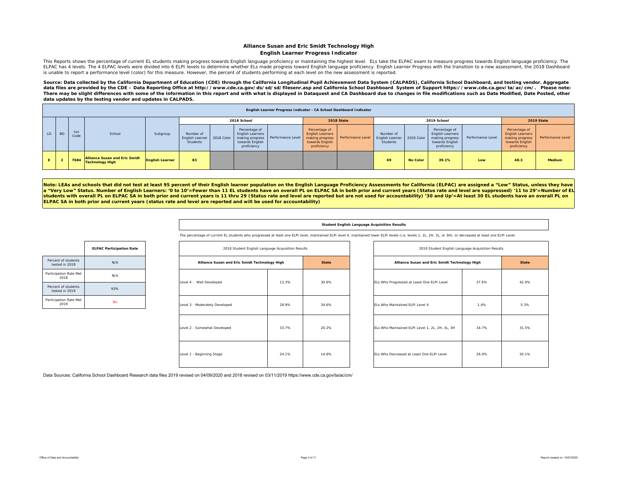### **Alliance Susan and Eric Smidt Technology High English Learner Progress Indicator**

This Reports shows the percentage of current EL students making progress towards English language proficiency or maintaining the highest level. ELs take the ELPAC exam to measure progress towards English language proficien ELPAC has 4 levels. The 4 ELPAC levels were divided into 6 ELPI levels to determine whether ELs made progress toward English language proficiency. English Learner Progress with the transition to a new assessment, the 2018 is unable to report a performance level (color) for this measure. However, the percent of students performing at each level on the new assessment is reported.

Source: Data collected by the California Department of Education (CDE) through the California Longitudinal Pupil Achievement Data System (CALPADS), California School Dashboard, and testing vendor. Aggregate data files are provided by the CDE – Data Reporting Office at http://www.cde.ca.gov/ds/sd/sd/filesenr.asp and California School Dashboard System of Support https://www.cde.ca.gov/ta/ac/cm/. Please note: There may be slight differences with some of the information in this report and with what is displayed in Dataquest and CA Dashboard due to changes in file modifications such as Date Modified, Date Posted, other *data updates by the testing vendor and updates in CALPADS.* 

|     |            |             |                                                         |                        |                                                       |                                                                            |                                   |                                                                                               | English Learner Progress Indicator - CA School Dashboard Indicator |                                         |                 |                                                                                        |                   |                                                                                               |                   |
|-----|------------|-------------|---------------------------------------------------------|------------------------|-------------------------------------------------------|----------------------------------------------------------------------------|-----------------------------------|-----------------------------------------------------------------------------------------------|--------------------------------------------------------------------|-----------------------------------------|-----------------|----------------------------------------------------------------------------------------|-------------------|-----------------------------------------------------------------------------------------------|-------------------|
|     |            |             |                                                         |                        |                                                       | 2018 School                                                                |                                   |                                                                                               | 2018 State                                                         |                                         |                 | 2019 School                                                                            |                   |                                                                                               | 2019 State        |
| LD. | <b>BD</b>  | Loc<br>Code | School                                                  | Subgroup               | Number of<br>English Learner   2018 Color<br>Students | Percentage of<br><b>English Learners</b><br>towards English<br>proficiency | making progress Performance Level | Percentage of<br><b>English Learners</b><br>making progress<br>towards English<br>proficiency | Performance Level                                                  | Number of<br>English Learne<br>Students | 2019 Color      | Percentage of<br>English Learners<br>making progress<br>towards English<br>proficiency | Performance Level | Percentage of<br><b>English Learners</b><br>making progress<br>towards English<br>proficiency | Performance Level |
|     | $\epsilon$ | 7684        | Alliance Susan and Eric Smidt<br><b>Technology High</b> | <b>English Learner</b> | 83                                                    |                                                                            |                                   |                                                                                               |                                                                    | 69                                      | <b>No Color</b> | 39.1%                                                                                  | Low               | 48.3                                                                                          | Medium            |

Note: LEAs and schools that did not test at least 95 percent of their English learner population on the English Language Proficiency Assessments for California (ELPAC) are assigned a "Low" Status, unless they have **<sup>a</sup>"Very Low" Status. Number of English Learners: '0 to 10'=Fewer than 11 EL students have an overall PL on ELPAC SA in both prior and current years (Status rate and level are suppressed) '11 to 29'=Number of EL students with overall PL on ELPAC SA in both prior and current years is 11 thru 29 (Status rate and level are reported but are not used for accountability) '30 and Up'=At least 30 EL students have an overall PL on ELPAC SA in both prior and current years (status rate and level are reported and will be used for accountability)** 

#### **Student English Language Acquisition Results**

The percentage of current EL students who progressed at least one ELPI level, maintained ELPI level 4, maintained lower ELPI levels (i.e, levels 1, 2L, 2H, 3L, or 3H), or decreased at least one ELPI Level.

|                                       | <b>ELPAC Participation Rate</b> |
|---------------------------------------|---------------------------------|
| Percent of students<br>tested in 2018 | N/A                             |
| Participation Rate Met<br>2018        | N/A                             |
| Percent of students<br>tested in 2019 | 93%                             |
| Participation Rate Met<br>2019        | No                              |

| 2018 Student English Language Acquisition Results |       |              | 2019 Student English Language Acquisition Results |       |              |
|---------------------------------------------------|-------|--------------|---------------------------------------------------|-------|--------------|
| Alliance Susan and Eric Smidt Technology High     |       | <b>State</b> | Alliance Susan and Eric Smidt Technology High     |       | <b>State</b> |
| Level 4 - Well Developed                          | 13.3% | 30.6%        | ELs Who Progressed at Least One ELPI Level        | 37.6% | 42.9%        |
| Level 3 - Moderately Developed                    | 28.9% | 34.6%        | ELs Who Maintained ELPI Level 4                   | 1.4%  | 5.3%         |
| Level 2 - Somewhat Developed                      | 33.7% | 20.2%        | ELs Who Maintained ELPI Level 1, 2L, 2H, 3L, 3H   | 34.7% | 31.5%        |
| Level 1 - Beginning Stage                         | 24.1% | 14.6%        | ELs Who Decreased at Least One ELPI Level         | 26.0% | 20.19        |

| 2019 Student English Language Acquisition Results |       |              |
|---------------------------------------------------|-------|--------------|
| Alliance Susan and Eric Smidt Technology High     |       | <b>State</b> |
| ELs Who Progressed at Least One ELPI Level        | 37.6% | 42.9%        |
| FLs Who Maintained FLPLLevel 4                    | 1.4%  | 5.3%         |
| ELs Who Maintained ELPI Level 1, 2L, 2H, 3L, 3H   | 34.7% | 31.5%        |
| ELs Who Decreased at Least One ELPI Level         | 26.0% | 20.1%        |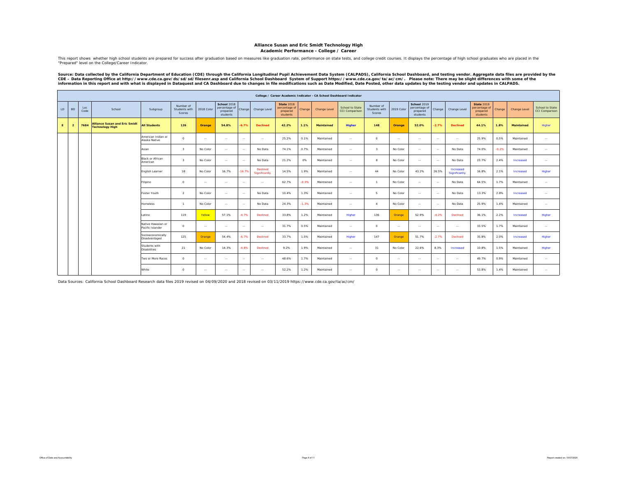### **Alliance Susan and Eric Smidt Technology High**

**Academic Performance - College / Career**

This report shows whether high school students are prepared for success after graduation based on measures like graduation rate, performance on state tests, and college credit courses. It displays the percentage of high sc

Source: Data collected by the California Department of Education (CDE) through the California Longitudinal Pupil Achievement Data System (CALPADS), California School Dashboard, and testing vendor. Aggregate data files are

|    |                |             |                                                                |                                        |                                      |            |                                                      |          |                           |                                                            |         | College / Career Academic Indicator - CA School Dashboard Indicator |                                          |                                      |            |                                                             |         |                            |                                                            |         |                     |                                   |
|----|----------------|-------------|----------------------------------------------------------------|----------------------------------------|--------------------------------------|------------|------------------------------------------------------|----------|---------------------------|------------------------------------------------------------|---------|---------------------------------------------------------------------|------------------------------------------|--------------------------------------|------------|-------------------------------------------------------------|---------|----------------------------|------------------------------------------------------------|---------|---------------------|-----------------------------------|
| LD | <b>BD</b>      | Loc<br>Code | School                                                         | Subgroup                               | Number of<br>Students with<br>Scores | 2018 Color | School 2018<br>percentage of<br>prepared<br>students | Change   | Change Level              | <b>State 2018</b><br>percentage of<br>prepared<br>students | Change  | Change Level                                                        | School to State<br><b>CCI Comparison</b> | Number of<br>Students with<br>Scores | 2019 Color | <b>School 2019</b><br>percentage of<br>prepared<br>students | Change  | Change Level               | <b>State 2019</b><br>percentage of<br>prepared<br>students | Change  | <b>Change Level</b> | School to State<br>CCI Comparison |
| E. | $\overline{2}$ | 7684        | <b>Alliance Susan and Eric Smidt</b><br><b>Technology High</b> | <b>All Students</b>                    | 126                                  | Orange     | 54.8%                                                | $-6.7%$  | <b>Declined</b>           | 42.2%                                                      | 1.1%    | <b>Maintained</b>                                                   | Higher                                   | 148                                  | Orange     | 52.0%                                                       | $-2.7%$ | <b>Declined</b>            | 44.1%                                                      | 1.8%    | <b>Maintained</b>   | Higher                            |
|    |                |             |                                                                | American Indian or<br>Alaska Native    | $\circ$                              | $\sim$     | $\sim$ $\sim$                                        | $\sim$   | $\sim$                    | 25.2%                                                      | 0.1%    | Maintained                                                          | $\sim$ $\sim$                            | $\circ$                              | $\sim$     | $\sim$ $\sim$                                               | $\sim$  | $\sim$                     | 25.9%                                                      | 0.5%    | Maintained          | $\cdots$                          |
|    |                |             |                                                                | Asian                                  | $\overline{\mathbf{3}}$              | No Color   | $\sim$ $\sim$                                        | $\sim$   | No Data                   | 74.1%                                                      | 0.7%    | Maintained                                                          | $\sim$ $\sim$                            | $\overline{\mathbf{3}}$              | No Color   | $\sim$                                                      | $\sim$  | No Data                    | 74.0%                                                      | $-0.2%$ | Maintained          | $\sim$                            |
|    |                |             |                                                                | Black or African<br>American           | $\overline{\mathbf{3}}$              | No Color   | $\sim$ $-$                                           | $\sim$   | No Data                   | 21.2%                                                      | 0%      | Maintained                                                          | $\sim$                                   | $\mathbf{R}$                         | No Color   | $\sim$                                                      | $\sim$  | No Data                    | 23.7%                                                      | 2.4%    | Increased           | $\cdots$                          |
|    |                |             |                                                                | Inglish Learner                        | 18                                   | No Color   | 16.7%                                                | $-16.79$ | Declined<br>Significantly | 14.5%                                                      | 1.9%    | Maintained                                                          | $\sim$ $\sim$                            | 44                                   | No Color   | 43.2%                                                       | 26.5%   | Increased<br>Significantly | 16.8%                                                      | 2.1%    | Increased           | Higher                            |
|    |                |             |                                                                | ilipino                                | $\circ$                              | $\sim$     | $\sim$ $\sim$                                        | $\sim$   | $\sim$                    | 62.7%                                                      | $-0.3%$ | Maintained                                                          | $\sim$ $\sim$                            | $\overline{1}$                       | No Color   | $\sim$ $\sim$                                               | $\sim$  | No Data                    | 64.5%                                                      | 1.7%    | Maintained          | $\sim$                            |
|    |                |             |                                                                | oster Youth                            | $\overline{2}$                       | No Color   | $\sim$                                               | $\sim$   | No Data                   | 10.4%                                                      | 1.3%    | Maintained                                                          | $\sim$                                   | $\mathbf{r}$                         | No Color   | $\sim$ $-$                                                  | $\sim$  | No Data                    | 13.3%                                                      | 2.8%    | Increased           | $\sim$                            |
|    |                |             |                                                                | <b>domeless</b>                        | $\overline{1}$                       | No Color   | $\sim$ $\sim$                                        | $\sim$   | No Data                   | 24.3%                                                      | $-1.3%$ | Maintained                                                          | $\sim$ $\sim$                            | $\overline{4}$                       | No Color   | $\sim$ $\sim$                                               | $\sim$  | No Data                    | 25.9%                                                      | 1.4%    | Maintained          | $\sim$                            |
|    |                |             |                                                                | atino                                  | 119                                  | Yellow     | 57.1%                                                | $-4.7%$  | Declined                  | 33.8%                                                      | 1.2%    | Maintained                                                          | Higher                                   | 136                                  | Orange     | 52.9%                                                       | $-4.2%$ | Declined                   | 36.1%                                                      | 2.2%    | Increased           | Higher                            |
|    |                |             |                                                                | Native Hawaiian or<br>Pacific Islander | $\circ$                              | $\sim$     | $\sim$                                               | $\sim$   | $\sim$                    | 31.7%                                                      | 0.5%    | Maintained                                                          | $\sim$ $\sim$                            | $\circ$                              | $\sim$     | $\sim$ $\sim$                                               | $\sim$  | $\sim$                     | 33.5%                                                      | 1.7%    | Maintained          | $\sim$                            |
|    |                |             |                                                                | Socioeconomically<br>Disadvantaged     | 125                                  | Orange     | 54.4%                                                | $-6.7%$  | Declined                  | 33.7%                                                      | 1.5%    | Maintained                                                          | Higher                                   | 147                                  | Orange     | 51.7%                                                       | $-2.7%$ | Declined                   | 35.8%                                                      | 2.0%    | Increased           | Higher                            |
|    |                |             |                                                                | Students with<br><b>Disabilities</b>   | 21                                   | No Color   | 14.3%                                                | $-4.8%$  | Declined                  | 9.2%                                                       | 1.9%    | Maintained                                                          | $\sim$ $\sim$                            | 31                                   | No Color   | 22.6%                                                       | 8.3%    | Increased                  | 10.8%                                                      | 1.5%    | Maintained          | Higher                            |
|    |                |             |                                                                | Two or More Races                      | $\circ$                              | $\sim$     | $\sim$ $\sim$                                        | $\sim$   | $\sim$                    | 48.6%                                                      | 1.7%    | Maintained                                                          | $\sim$                                   | $\circ$                              | $\sim$     | $\sim$                                                      | $\sim$  | $\sim$                     | 49.7%                                                      | 0.9%    | Maintained          | $\sim$                            |
|    |                |             |                                                                | White                                  | $\circ$                              | $\sim$     | $\sim$ $\sim$                                        | $\sim$   | $\sim$                    | 52.2%                                                      | 1.2%    | Maintained                                                          | $\sim$ $\sim$                            | $\Omega$                             | $\sim$ $-$ | $\sim$ $-$                                                  | $\sim$  | $\sim$                     | 53.8%                                                      | 1.4%    | Maintained          | $\sim$                            |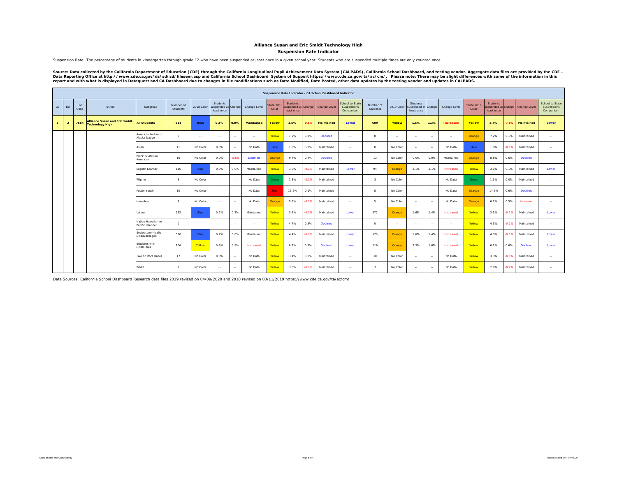### **Alliance Susan and Eric Smidt Technology High**

**Suspension Rate Indicator**

Suspension Rate: The percentage of students in kindergarten through grade 12 who have been suspended at least once in a given school year. Students who are suspended multiple times are only counted once.

Source: Data collected by the California Department of Education (CDE) through the California Longitudinal Pupil Achievement Data System (CALPADS), California School Dashboard, and testing vendor. Aggregate data files are

|    |                |             |                                                                |                                        |                         |               |                                              |               |                   |                    |                                                      |         | Suspension Rate Indicator - CA School Dashboard Indicator |                                                     |                         |               |                                               |                |                  |                     |                                                     |         |                 |                                              |
|----|----------------|-------------|----------------------------------------------------------------|----------------------------------------|-------------------------|---------------|----------------------------------------------|---------------|-------------------|--------------------|------------------------------------------------------|---------|-----------------------------------------------------------|-----------------------------------------------------|-------------------------|---------------|-----------------------------------------------|----------------|------------------|---------------------|-----------------------------------------------------|---------|-----------------|----------------------------------------------|
| LD | <b>BD</b>      | Loc<br>Code | School                                                         | Subgroup                               | Number of<br>Students   | 2018 Color    | Students<br>uspended at Change<br>least once |               | Change Level      | State 201<br>Color | <b>Students</b><br>suspended at Change<br>least once |         | Change Level                                              | <b>School to State</b><br>Suspensions<br>Comparison | Number of<br>Students   | 2019 Color    | Students<br>suspended at Change<br>least once |                | Change Level     | State 2019<br>Color | <b>Students</b><br>uspended at Change<br>least once |         | Change Level    | School to State<br>Suspensions<br>Comparison |
| E. | $\overline{2}$ | 7684        | <b>Alliance Susan and Eric Smidt</b><br><b>Technology High</b> | <b>All Students</b>                    | 611                     | <b>Blue</b>   | 0.2%                                         | 0.0%          | <b>Maintained</b> | <b>Yellow</b>      | 3.5%                                                 | $-0.1%$ | <b>Maintained</b>                                         | Lower                                               | 609                     | Yellow        | 1.5%                                          | 1.3%           | <b>Increased</b> | Yellow              | 3.4%                                                | $-0.1%$ | Maintained      | Lower                                        |
|    |                |             |                                                                | American Indian or<br>Alaska Native    | $\Omega$                | $\sim$ $\sim$ | $\sim$ $\sim$                                | $\sim$ $\sim$ | $\sim$ $\sim$     | Yellow             | 7.2%                                                 | 0.3%    | <b>Declined</b>                                           | $\sim$ $\sim$                                       | $\Omega$                | $\sim$ $\sim$ | $\sim$                                        | $\sim$         | $\sim$           | Orange              | 7.2%                                                | 0.1%    | Maintained      | $\sim$                                       |
|    |                |             |                                                                | Asian                                  | 11                      | No Color      | 0.0%                                         | $\sim$        | No Data           | Blue               | 1.0%                                                 | 0.0%    | Maintained                                                | $\cdots$                                            | 8                       | No Color      | $\sim$                                        | $\sim$         | No Data          | Blue                | 1.0%                                                | $-0.1%$ | Maintained      | $\sim$                                       |
|    |                |             |                                                                | Black or African<br>American           | 16                      | No Color      | 0.0%                                         | $-5.6%$       | <b>Declined</b>   | Orange             | 9.4%                                                 | 0.4%    | Declined                                                  | $\sim$                                              | 13                      | No Color      | 0.0%                                          | 0.0%           | Maintained       | Orange              | 8.8%                                                | 0.6%    | Declined        | $\sim$                                       |
|    |                |             |                                                                | English Learner                        | 116                     | Blue          | 0.0%                                         | 0.0%          | Maintained        | Yellow             | 3.0%                                                 | $-0.1%$ | Maintained                                                | Lower                                               | 94                      | Orange        | 2.1%                                          | 2.1%           | Increased        | Yellow              | 3.1%                                                | 0.1%    | Maintained      | Lower                                        |
|    |                |             |                                                                | Filipino                               | $\overline{\mathbf{3}}$ | No Color      | $\sim$                                       | $\sim$        | No Data           | Green              | 1.3%                                                 | $-0.1%$ | Maintained                                                | $\sim$                                              | $\overline{\mathbf{3}}$ | No Color      | $\sim$                                        | <b>Service</b> | No Data          | Green               | 1.3%                                                | 0.0%    | Maintained      | $\sim$ $-$                                   |
|    |                |             |                                                                | Foster Youth                           | 10                      | No Color      | $\sim$ $\sim$                                | $\sim$        | No Data           | Red                | 15.2%                                                | 0.1%    | Maintained                                                | $\sim$                                              | $\mathbf{a}$            | No Color      | $\sim$                                        | $\sim$         | No Data          | Orange              | 14.6%                                               | 0.6%    | <b>Declined</b> | $\sim$ $\sim$                                |
|    |                |             |                                                                | Homeless                               | $\overline{\mathbf{3}}$ | No Color      | $\cdots$                                     | $\sim$        | No Data           | Orange             | 5.6%                                                 | $-0.1%$ | Maintained                                                | $\sim$ $\sim$                                       | 5                       | No Color      | $\sim$                                        | $\sim$         | No Data          | Orange              | 6.2%                                                | 0.5%    | Increased       | $\sim$                                       |
|    |                |             |                                                                | Latino                                 | 562                     | Blue          | 0.2%                                         | 0.2%          | Maintained        | Yellow             | 3.6%                                                 | $-0.1%$ | Maintained                                                | Lower                                               | 572                     | Orange        | 1.6%                                          | 1.4%           | Increased        | Yellow              | 3.5%                                                | $-0.1%$ | Maintained      | Lower                                        |
|    |                |             |                                                                | Native Hawaiian or<br>Pacific Islander | $\circ$                 | $\sim$ $\sim$ | $\sim$ $\sim$                                | $\sim$        | $\sim$ $\sim$     | Yellow             | 4.7%                                                 | 0.3%    | <b>Declined</b>                                           | $\sim$                                              | $\circ$                 | $\sim$ $\sim$ | $\sim$                                        | $\sim$         | $\sim$           | Yellow              | 4.5%                                                | $-0.2%$ | Maintained      | $\sim$                                       |
|    |                |             |                                                                | Socioeconomically<br>Disadvantaged     | 580                     | Blue          | 0.2%                                         | 0.0%          | Maintained        | Yellow             | 4.4%                                                 | $-0.2%$ | Maintained                                                | Lower                                               | 570                     | Orange        | 1.6%                                          | 1.4%           | Increased        | Yellow              | 4.3%                                                | $-0.1%$ | Maintained      | Lower                                        |
|    |                |             |                                                                | Students with<br><b>Disabilities</b>   | 106                     | Yellow        | 0.9%                                         | 0.9%          | Increased         | Yellow             | 6.8%                                                 | 0.3%    | <b>Declined</b>                                           | Lower                                               | 119                     | Orange        | 2.5%                                          | 1.6%           | Increased        | Yellow              | 6.2%                                                | 0.6%    | Declined        | Lower                                        |
|    |                |             |                                                                | Two or More Races                      | 17                      | No Color      | 0.0%                                         | $\sim$        | No Data           | Yellow             | 3.4%                                                 | 0.0%    | Maintained                                                | $\sim$                                              | 10                      | No Color      | $\sim$                                        | $\sim$         | No Data          | Yellow              | 3.3%                                                | $-0.1%$ | Maintained      | $\sim$                                       |
|    |                |             |                                                                | White                                  | $\overline{2}$          | No Color      | $\sim$ $\sim$                                | $\sim$        | No Data           | Yellow             | 3.0%                                                 | $-0.1%$ | Maintained                                                | $\ddotsc$                                           | $\mathbf{3}$            | No Color      | $\sim$                                        | $\sim$ $-$     | No Data          | Yellow              | 2.9%                                                | $-0.2%$ | Maintained      | $\sim$                                       |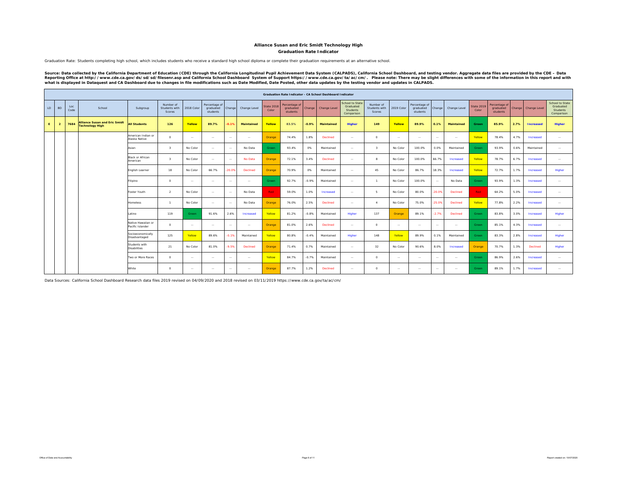### **Graduation Rate IndicatorAlliance Susan and Eric Smidt Technology High**

Graduation Rate: Students completing high school, which includes students who receive a standard high school diploma or complete their graduation requirements at an alternative school.

Source: Data collected by the California Department of Education (CDE) through the California Longitudinal Pupil Achievement Data System (CALPADS), California School Dashboard, and testing vendor. Aggregate data files are

|    |                |             |                                                                |                                        |                                      |            |                                        |         |               |                            |                                        |         | <b>Graduation Rate Indicator - CA School Dashboard Indicator</b> |                                                               |                                      |               |                                        |          |              |                            |                                        |        |                  |                                                                      |
|----|----------------|-------------|----------------------------------------------------------------|----------------------------------------|--------------------------------------|------------|----------------------------------------|---------|---------------|----------------------------|----------------------------------------|---------|------------------------------------------------------------------|---------------------------------------------------------------|--------------------------------------|---------------|----------------------------------------|----------|--------------|----------------------------|----------------------------------------|--------|------------------|----------------------------------------------------------------------|
| LD | <b>BD</b>      | Loc<br>Code | School                                                         | Subgroup                               | Number of<br>Students with<br>Scores | 2018 Color | Percentage of<br>graduated<br>students | Change  | Change Level  | <b>State 2018</b><br>Color | Percentage of<br>graduated<br>students | Change  | Change Level                                                     | School to State<br>Graduated<br><b>Students</b><br>Comparison | Number of<br>Students with<br>Scores | 2019 Color    | Percentage of<br>graduated<br>students | Change   | Change Level | <b>State 2019</b><br>Color | Percentage of<br>graduated<br>students | Change | Change Level     | <b>School to State</b><br>Graduated<br><b>Students</b><br>Comparison |
| E. | $\overline{2}$ | 7684        | <b>Alliance Susan and Eric Smidt</b><br><b>Technology High</b> | <b>All Students</b>                    | 126                                  | Yellow     | 89.7%                                  | 0.1%    | Maintained    | Yellow                     | 83.5%                                  | $-0.9%$ | Maintained                                                       | <b>Higher</b>                                                 | 149                                  | Yellow        | 89.9%                                  | 0.1%     | Maintained   | Green                      | 85.9%                                  | 2.7%   | <b>Increased</b> | <b>Higher</b>                                                        |
|    |                |             |                                                                | American Indian or<br>Alaska Native    | $\Omega$                             | $\sim$     | $\sim$                                 | $\sim$  | $\sim$        | Orange                     | 74.4%                                  | 1.8%    | Declined                                                         | $\sim$                                                        | $\Omega$                             | $\sim$        | $\sim$                                 | $\sim$   | $\ddotsc$    | Yellow                     | 78.4%                                  | 4.7%   | Increased        | $\sim$                                                               |
|    |                |             |                                                                | Asian                                  | $\overline{\mathbf{3}}$              | No Color   | $\sim$                                 | $\sim$  | No Data       | Green                      | 93.4%                                  | 0%      | Maintained                                                       | $\sim$ $\sim$                                                 | $\mathcal{R}$                        | No Color      | 100.0%                                 | 0.0%     | Maintained   | Green                      | 93.9%                                  | 0.6%   | Maintained       | $\sim$                                                               |
|    |                |             |                                                                | Black or African<br>American           | $\mathbf{3}$                         | No Color   | $\sim$                                 | $\sim$  | No Data       | Orange                     | 72.1%                                  | 3.4%    | Declined                                                         | $\sim$ $\sim$                                                 |                                      | No Color      | 100.0%                                 | 66.7%    | Increased    | Yellow                     | 78.7%                                  | 6.7%   | Increased        | $\sim$                                                               |
|    |                |             |                                                                | English Learner                        | 18                                   | No Color   | 66.7%                                  | 20.0%   | Declined      | Orange                     | 70.9%                                  | 0%      | Maintained                                                       | $\sim$                                                        | 45                                   | No Color      | 86.7%                                  | 18.3%    | Increased    | Yellow                     | 72.7%                                  | 1.7%   | Increased        | Higher                                                               |
|    |                |             |                                                                | Filipino                               | $^{\circ}$                           | $\sim$     | $\sim$                                 | $\sim$  | $\sim$        | Green                      | 92.7%                                  | $-0.9%$ | Maintained                                                       | $\sim$                                                        |                                      | No Color      | 100.0%                                 | $\sim$   | No Data      | Green                      | 93.9%                                  | 1.3%   | Increased        | $\sim$                                                               |
|    |                |             |                                                                | Foster Youth                           | $\overline{2}$                       | No Color   | $\sim$ $\sim$                          | $\sim$  | No Data       | Red                        | 59.0%                                  | 1.0%    | Increased                                                        | $\sim$ $\sim$                                                 |                                      | No Color      | 80.0%                                  | $-20.0%$ | Declined     | Red                        | 64.2%                                  | 5.0%   | Increased        | $\sim$                                                               |
|    |                |             |                                                                | <b>Homeless</b>                        | $\mathbf{1}$                         | No Color   | $\sim$                                 | $\sim$  | No Data       | Orange                     | 76.0%                                  | 2.5%    | Declined                                                         | $\sim$ $\sim$                                                 |                                      | No Color      | 75.0%                                  | $-25.0%$ | Declined     | Yellow                     | 77.8%                                  | 2.2%   | Increased        | $\sim$                                                               |
|    |                |             |                                                                | Latino                                 | 119                                  | Green      | 91.6%                                  | 2.6%    | Increased     | Yellow                     | 81.2%                                  | $-0.8%$ | Maintained                                                       | Higher                                                        | 137                                  | Orange        | 89.1%                                  | $-2.7%$  | Declined     | Green                      | 83.8%                                  | 3.0%   | Increased        | Higher                                                               |
|    |                |             |                                                                | Native Hawaiian or<br>Pacific Islander | $\Omega$                             | $\sim$     | $\sim$                                 | $\sim$  | $\sim$ $\sim$ | Orange                     | 81.0%                                  | 2.6%    | Declined                                                         | $\sim$ $\sim$                                                 | $\Omega$                             | $\sim$ $\sim$ | $\sim$ $\sim$                          | $\sim$   | $\sim$       | Green                      | 85.1%                                  | 4.3%   | Increased        | $\sim$                                                               |
|    |                |             |                                                                | Socioeconomically<br>Disadvantaged     | 125                                  | Yellow     | 89.6%                                  | $-0.1%$ | Maintained    | Yellow                     | 80.8%                                  | $-0.4%$ | Maintained                                                       | Higher                                                        | 148                                  | Yellow        | 89.9%                                  | 0.1%     | Maintained   | Green                      | 83.3%                                  | 2.8%   | Increased        | Higher                                                               |
|    |                |             |                                                                | Students with<br><b>Disabilities</b>   | 21                                   | No Color   | 81.0%                                  | $-9.5%$ | Declined      | Orange                     | 71.4%                                  | 0.7%    | Maintained                                                       | $\sim$                                                        | 32                                   | No Color      | 90.6%                                  | 8.0%     | Increased    | Orange                     | 70.7%                                  | 1.3%   | Declined         | Higher                                                               |
|    |                |             |                                                                | Two or More Races                      | $\Omega$                             | $\sim$     | $\sim$                                 | $\sim$  | $\sim$ $\sim$ | Yellow                     | 84.7%                                  | $-0.7%$ | Maintained                                                       | $\sim$ $\sim$                                                 | $\circ$                              | $\sim$ $\sim$ | <b>COL</b>                             | $\sim$   | $\sim$       | Green                      | 86.9%                                  | 2.6%   | Increased        | $\sim$                                                               |
|    |                |             |                                                                | White                                  | $\Omega$                             | $\sim$     | $\sim$ $\sim$                          | $\sim$  | $\sim$        | Orange                     | 87.7%                                  | 1.2%    | Declined                                                         | $\sim$ $\sim$                                                 | $\Omega$                             | $\sim$ $\sim$ | $\sim$ $\sim$                          | $\sim$   | $\sim$       | Green                      | 89.1%                                  | 1.7%   | Increased        | $\sim$                                                               |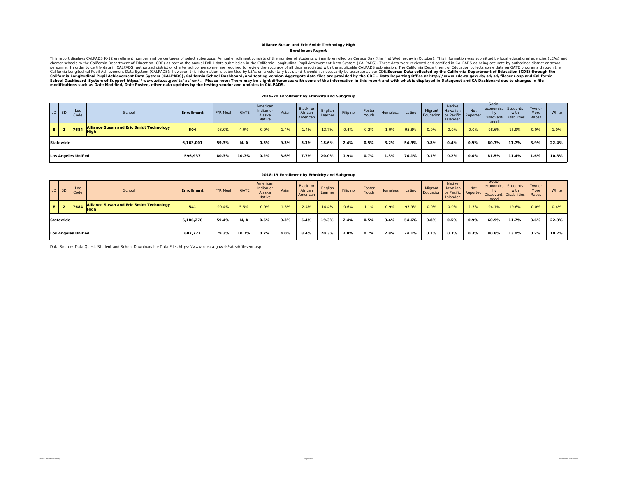### **Enrollment Report Alliance Susan and Eric Smidt Technology High**

This report displays CALPADS K-12 enrollment number and percentages of select subgroups. Annual enrollment consists of the number of students primarily enrolled on Census Day (the first Wednesday in October). This informat California Longitudinal Pupil Achievement Data System (CALPADS), California School Dashboard, and testing vendor. Aggregate data files are provided by the CDE – Data Reporting Office at http://www.cde.ca.gov/ds/sd/sid/sile

#### **2019-20 Enrollment by Ethnicity and Subgroup**

| LD BD     | Loc<br>Code                | School                                                    | Enrollment | F/R Meal | <b>GATE</b> | American<br>Indian or<br>Alaska<br>Native | Asian | Black or<br>African<br>American | English<br>Learner | Filipino | Foster<br>Youth | <b>Homeless</b> | Latino | Migrant | Native<br>Hawaiian<br>Islander | <b>Not</b> | Socio-<br>aged | economica Students<br>with<br>Education or Pacific Reported Disadvant-Disabilities | Two or<br>More<br>Races | White |
|-----------|----------------------------|-----------------------------------------------------------|------------|----------|-------------|-------------------------------------------|-------|---------------------------------|--------------------|----------|-----------------|-----------------|--------|---------|--------------------------------|------------|----------------|------------------------------------------------------------------------------------|-------------------------|-------|
|           |                            | Alliance Susan and Eric Smidt Technology<br>$-$ 7684 High | 504        | 98.0%    | 4.0%        | 0.0%                                      | 1.4%  | 1.4%                            | 13.7%              | 0.4%     | 0.2%            | 1.0%            | 95.8%  | 0.0%    | 0.0%                           | 0.0%       | 98.6%          | 15.9%                                                                              | 0.0%                    | 1.0%  |
| Statewide |                            |                                                           | 6,163,001  | 59.3%    | N/A         | 0.5%                                      | 9.3%  | 5.3%                            | 18.6%              | 2.4%     | 0.5%            | 3.2%            | 54.9%  | 0.8%    | 0.4%                           | 0.9%       | 60.7%          | 11.7%                                                                              | 3.9%                    | 22.4% |
|           | <b>Los Angeles Unified</b> |                                                           | 596,937    | 80.3%    | 10.7%       | $0.2\%$                                   | 3.6%  | 7.7%                            | 20.0%              | 1.9%     | 0.7%            | 1.3%            | 74.1%  | 0.1%    | 0.2%                           | 0.4%       | 81.5%          | 11.4%                                                                              | 1.6%                    | 10.3% |

|      | LD BD     | Loc<br>Code         | School                                                  | Enrollment | F/R Meal | <b>GATE</b> | American<br>Indian or<br>Alaska<br><b>Native</b> | Asian | Black or<br>African<br>American | English<br>Learner | Filipino | Foster<br>Youth | Homeless | Latino | Migrant | Native<br>Hawaiian<br>Islander | <b>Not</b> | Socio-<br>economica Students<br>llv<br>aged | with<br>Education or Pacific Reported Disadvant- Disabilities | Two or<br>More<br>Races | White |
|------|-----------|---------------------|---------------------------------------------------------|------------|----------|-------------|--------------------------------------------------|-------|---------------------------------|--------------------|----------|-----------------|----------|--------|---------|--------------------------------|------------|---------------------------------------------|---------------------------------------------------------------|-------------------------|-------|
| -E I |           | 7684                | Alliance Susan and Eric Smidt Technology<br><b>High</b> | 541        | 90.4%    | 5.5%        | 0.0%                                             | 1.5%  | 2.4%                            | 14.4%              | 0.6%     | 1.1%            | 0.9%     | 93.9%  | 0.0%    | 0.0%                           | 1.3%       | 94.1%                                       | 19.6%                                                         | 0.0%                    | 0.4%  |
|      | Statewide |                     |                                                         | 6.186.278  | 59.4%    | N/A         | 0.5%                                             | 9.3%  | 5.4%                            | 19.3%              | 2.4%     | 0.5%            | 3.4%     | 54.6%  | 0.8%    | 0.5%                           | 0.9%       | 60.9%                                       | 11.7%                                                         | 3.6%                    | 22.9% |
|      |           | Los Angeles Unified |                                                         | 607,723    | 79.3%    | 10.7%       | 0.2%                                             | 4.0%  | 8.4%                            | 20.3%              | 2.0%     | 0.7%            | 2.8%     | 74.1%  | 0.1%    | 0.3%                           | 0.3%       | 80.8%                                       | 13.0%                                                         | 0.2%                    | 10.7% |

**2018-19 Enrollment by Ethnicity and Subgroup**

Data Source: Data Quest, Student and School Downloadable Data Files https://www.cde.ca.gov/ds/sd/sd/filesenr.asp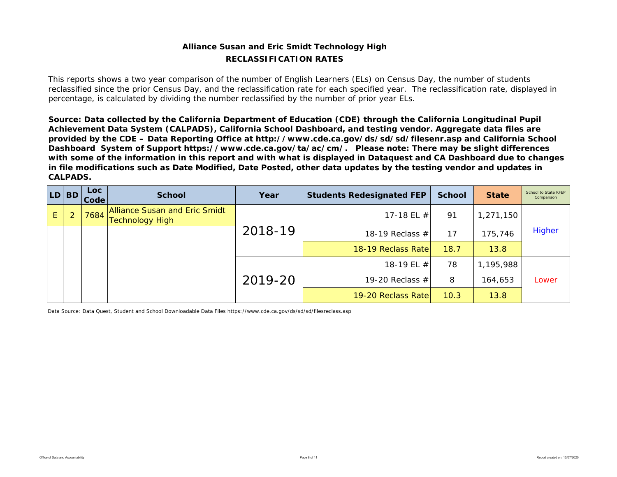## **Alliance Susan and Eric Smidt Technology High RECLASSIFICATION RATES**

This reports shows a two year comparison of the number of English Learners (ELs) on Census Day, the number of students reclassified since the prior Census Day, and the reclassification rate for each specified year. The reclassification rate, displayed in percentage, is calculated by dividing the number reclassified by the number of prior year ELs.

*Source: Data collected by the California Department of Education (CDE) through the California Longitudinal Pupil Achievement Data System (CALPADS), California School Dashboard, and testing vendor. Aggregate data files are provided by the CDE – Data Reporting Office at http://www.cde.ca.gov/ds/sd/sd/filesenr.asp and California School Dashboard System of Support https://www.cde.ca.gov/ta/ac/cm/. Please note: There may be slight differences with some of the information in this report and with what is displayed in Dataquest and CA Dashboard due to changes in file modifications such as Date Modified, Date Posted, other data updates by the testing vendor and updates in CALPADS.* 

| LD. | <b>BD</b> | <b>Loc</b><br>Code | <b>School</b>                                           | Year    | <b>Students Redesignated FEP</b> | <b>School</b> | <b>State</b> | School to State RFEP<br>Comparison |
|-----|-----------|--------------------|---------------------------------------------------------|---------|----------------------------------|---------------|--------------|------------------------------------|
| E.  |           | 7684               | Alliance Susan and Eric Smidt<br><b>Technology High</b> |         | 17-18 EL $#$                     | 91            | 1,271,150    |                                    |
|     |           |                    |                                                         | 2018-19 | 18-19 Reclass $#$                | 17            | 175,746      | <b>Higher</b>                      |
|     |           |                    |                                                         |         | 18-19 Reclass Rate               | 18.7          | 13.8         |                                    |
|     |           |                    |                                                         |         | 18-19 EL #                       | 78            | 1,195,988    |                                    |
|     |           |                    |                                                         | 2019-20 | 19-20 Reclass $#$                | 8             | 164,653      | Lower                              |
|     |           |                    |                                                         |         | 19-20 Reclass Rate               | 10.3          | 13.8         |                                    |

Data Source: Data Quest, Student and School Downloadable Data Files https://www.cde.ca.gov/ds/sd/sd/filesreclass.asp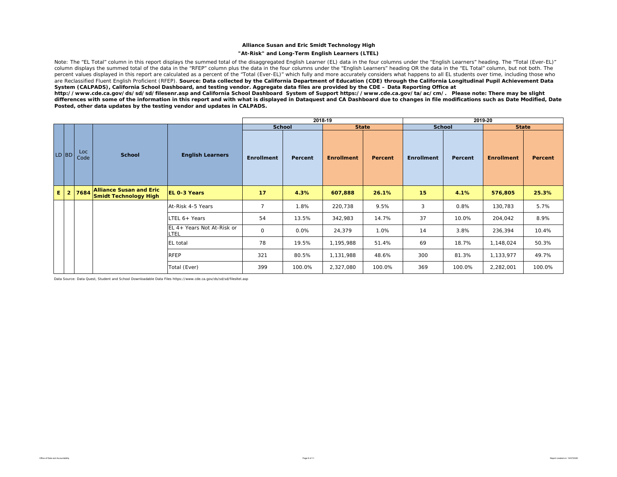### **Alliance Susan and Eric Smidt Technology High**

### **"At-Risk" and Long-Term English Learners (LTEL)**

Note: The "EL Total" column in this report displays the summed total of the disaggregated English Learner (EL) data in the four columns under the "English Learners" heading. The "Total (Ever-EL)" column displays the summed total of the data in the "RFEP" column plus the data in the four columns under the "English Learners" heading OR the data in the "EL Total" column, but not both. The percent values displayed in this report are calculated as a percent of the "Total (Ever-EL)" which fully and more accurately considers what happens to all EL students over time, including those who are Reclassified Fluent English Proficient (RFEP). **Source: Data collected by the California Department of Education (CDE) through the California Longitudinal Pupil Achievement Data** *System (CALPADS), California School Dashboard, and testing vendor. Aggregate data files are provided by the CDE – Data Reporting Office at* 

*http://www.cde.ca.gov/ds/sd/sd/filesenr.asp and California School Dashboard System of Support https://www.cde.ca.gov/ta/ac/cm/. Please note: There may be slight differences with some of the information in this report and with what is displayed in Dataquest and CA Dashboard due to changes in file modifications such as Date Modified, Date Posted, other data updates by the testing vendor and updates in CALPADS.* 

|       |                |             |                                                                |                                    |                   |               | 2018-19           |         |                   |               | 2019-20           |         |
|-------|----------------|-------------|----------------------------------------------------------------|------------------------------------|-------------------|---------------|-------------------|---------|-------------------|---------------|-------------------|---------|
|       |                |             |                                                                |                                    |                   | <b>School</b> | <b>State</b>      |         |                   | <b>School</b> | <b>State</b>      |         |
| LD BD |                | Loc<br>Code | <b>School</b>                                                  | <b>English Learners</b>            | <b>Enrollment</b> | Percent       | <b>Enrollment</b> | Percent | <b>Enrollment</b> | Percent       | <b>Enrollment</b> | Percent |
| E.    | $\overline{2}$ | 7684        | <b>Alliance Susan and Eric</b><br><b>Smidt Technology High</b> | <b>EL 0-3 Years</b>                | 17                | 4.3%          | 607,888           | 26.1%   | 15                | 4.1%          | 576,805           | 25.3%   |
|       |                |             |                                                                | At-Risk 4-5 Years                  | $\overline{7}$    | 1.8%          | 220,738           | 9.5%    | 3                 | 0.8%          | 130,783           | 5.7%    |
|       |                |             |                                                                | LTEL 6+ Years                      | 54                | 13.5%         | 342,983           | 14.7%   | 37                | 10.0%         | 204,042           | 8.9%    |
|       |                |             |                                                                | EL 4+ Years Not At-Risk or<br>LTEL | $\mathbf 0$       | 0.0%          | 24,379            | 1.0%    | 14                | 3.8%          | 236,394           | 10.4%   |
|       |                |             |                                                                | <b>EL</b> total                    | 78                | 19.5%         | 1,195,988         | 51.4%   | 69                | 18.7%         | 1,148,024         | 50.3%   |
|       |                |             | <b>RFEP</b>                                                    | 321                                | 80.5%             | 1,131,988     | 48.6%             | 300     | 81.3%             | 1,133,977     | 49.7%             |         |
|       |                |             |                                                                | Total (Ever)                       | 399               | 100.0%        | 2,327,080         | 100.0%  | 369               | 100.0%        | 2,282,001         | 100.0%  |

Data Source: Data Quest, Student and School Downloadable Data Files https://www.cde.ca.gov/ds/sd/sd/filesltel.asp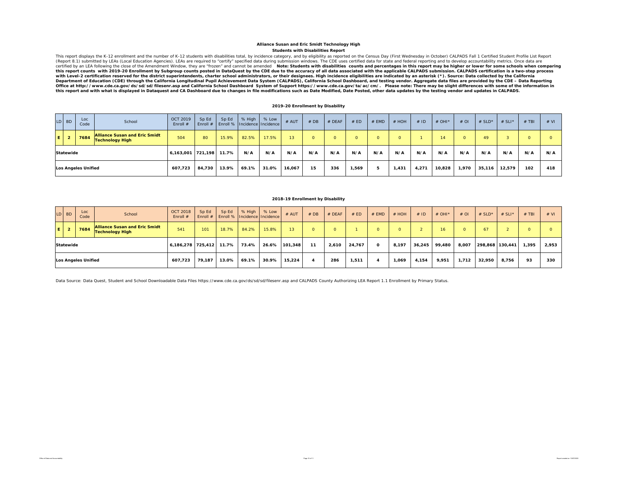#### **Students with Disabilities Report Alliance Susan and Eric Smidt Technology High**

This report displays the K-12 enrollment and the number of K-12 students with disabilities total, by incidence category, and by eligibility as reported on the Census Day (First Wednesday in October) CALPADS Fall 1 Certifie with Level-2 certification reserved for the district superintendents, charter school administrators, or their designees. High incidence eligibilities are indicated by an asterisk (\*). Source: Data collected by the Californ n and the state of Education (CDE) through the California Longitudinal Pupil Achievement Data System (CALPADS), California School Dashboard, and testing vendor. Aggregate data files are provided by the CDE - Data Reporting Office at http://www.cde.ca.gov/ds/sd/sd/filesenr.asp and California School Dashboard System of Support https://www.cde.ca.gov/ta/ac/cm/. Please note: There may be slight differences with some of the information in<br>this

### **2019-20 Enrollment by Disability**

|   | $LD$ BD             | Loc<br>Code | School                                                         | OCT 2019<br>Enroll # | Sp Ed<br>Enroll $#$ | Sp Ed | % High<br>Enroll %   Incidence   Incidence | % Low | # AUT  | #DB | # DEAF   | # ED     | $#$ EMD | $#$ HOH      | # ID  | # OHI $*$ | #OI    | # $SLD^*$ | $# SLI*$ | $#$ TBI | # VI |
|---|---------------------|-------------|----------------------------------------------------------------|----------------------|---------------------|-------|--------------------------------------------|-------|--------|-----|----------|----------|---------|--------------|-------|-----------|--------|-----------|----------|---------|------|
| E | $\overline{2}$      | 7684        | <b>Alliance Susan and Eric Smidt</b><br><b>Technology High</b> | 504                  | 80                  | 15.9% | 82.5%                                      | 17.5% | 13     |     | $\Omega$ | $\Omega$ |         | <sup>n</sup> |       | 14        |        | 49        |          |         |      |
|   | <b>Statewide</b>    |             |                                                                | 6,163,001            | 721,198             | 11.7% | N/A                                        | N/A   | N/A    | N/A | N/A      | N/A      | N/A     | N/A          | N/A   | N/A       | N/A    | N/A       | N/A      | N/A     | N/A  |
|   | Los Angeles Unified |             |                                                                | 607.723              | 84,730              | 13.9% | 69.1%                                      | 31.0% | 16,067 | 15  | 336      | 1,569    |         | 1,431        | 4,271 | 10,828    | 970, ا | 35,116    | 12,579   | 102     | 418  |

### **2018-19 Enrollment by Disability**

|     | $LD$ BD     | Loc<br>Code         | School                                                         | <b>OCT 2018</b><br>Enroll $#$ | Sp Ed  | Sp Ed | % High<br>Enroll # Enroll %   Incidence   Incidence | % Low | # AUT           | #DB      | $#$ DEAF | # ED   | $#$ EMD  | $#$ HOH | #ID    | # OHI* | $#$ OI   | # $SLD^*$       | # SLI* | $#$ TBI | # VI  |
|-----|-------------|---------------------|----------------------------------------------------------------|-------------------------------|--------|-------|-----------------------------------------------------|-------|-----------------|----------|----------|--------|----------|---------|--------|--------|----------|-----------------|--------|---------|-------|
| ΙEΙ | $2^{\circ}$ | 7684                | <b>Alliance Susan and Eric Smidt</b><br><b>Technology High</b> | 541                           | 101    | 18.7% | 84.2%                                               | 15.8% | 13 <sup>2</sup> | $\Omega$ |          |        |          | O.      |        | 16     | $\Omega$ | 67              |        | o       |       |
|     | Statewide   |                     |                                                                | 6,186,278 725,412             |        | 11.7% | 73.4%                                               | 26.6% | 101,348         | 11       | 2,610    | 24,767 | $\Omega$ | 8,197   | 36,245 | 99.480 | 8,007    | 298,868 130,441 |        | 1.395   | 2,953 |
|     |             | Los Angeles Unified |                                                                | 607.723                       | 79.187 | 13.0% | 69.1%                                               | 30.9% | 15,224          |          | 286      | 1,511  |          | 1,069   | 4,154  | 9,951  | 1,712    | 32,950          | 8,756  | 93      | 330   |

Data Source: Data Quest, Student and School Downloadable Data Files https://www.cde.ca.gov/ds/sd/sd/filesenr.asp and CALPADS County Authorizing LEA Report 1.1 Enrollment by Primary Status.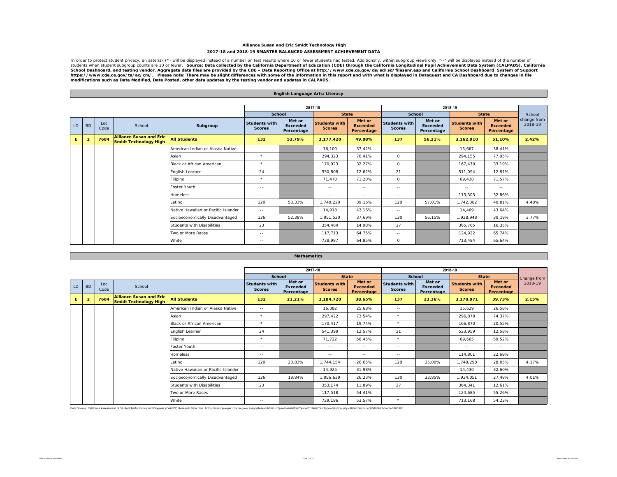### **Alliance Susan and Eric Smidt Technology High 2017-18 and 2018-19 SMARTER BALANCED ASSESSMENT ACHIEVEMENT DATA**

In order to protect student privacy, an asterisk (\*) will be displayed instead of a number on test results where 10 or fewer students had tested. Additionally, within subgroup views only, "--" will be displayed instead of School Dashboard, and testing vendor. Aggregate data files are provided by the CDE – Data Reporting Office at http://www.cde.ca.gov/ds/sd/sd/filesenr.asp and California School Dashboard System of Support<br>https://www.cde.ca

|    |                 |             |                                                         |                                     |                                       | English Language Arts/Literacy          |                                       |                                         |                                       |                                         |                                       |                                         |                        |
|----|-----------------|-------------|---------------------------------------------------------|-------------------------------------|---------------------------------------|-----------------------------------------|---------------------------------------|-----------------------------------------|---------------------------------------|-----------------------------------------|---------------------------------------|-----------------------------------------|------------------------|
|    |                 |             |                                                         |                                     |                                       |                                         |                                       |                                         |                                       |                                         |                                       |                                         |                        |
|    |                 |             |                                                         |                                     |                                       |                                         | 2017-18                               |                                         |                                       |                                         | 2018-19                               |                                         |                        |
|    |                 |             |                                                         |                                     | <b>School</b>                         |                                         | <b>State</b>                          |                                         | School                                |                                         | <b>State</b>                          |                                         | School                 |
| LD | <b>BD</b>       | Loc<br>Code | School                                                  | Subgroup                            | <b>Students with</b><br><b>Scores</b> | Met or<br><b>Exceeded</b><br>Percentage | <b>Students with</b><br><b>Scores</b> | Met or<br><b>Exceeded</b><br>Percentage | <b>Students with</b><br><b>Scores</b> | Met or<br><b>Exceeded</b><br>Percentage | <b>Students with</b><br><b>Scores</b> | Met or<br><b>Exceeded</b><br>Percentage | change from<br>2018-19 |
| Ε. | $\overline{2}$  | 7684        | <b>Alliance Susan and Eric</b><br>Smidt Technology High | <b>All Students</b>                 | 132                                   | 53.79%                                  | 3,177,420                             | 49.88%                                  | 137                                   | 56.21%                                  | 3,162,910                             | 51.10%                                  | 2.42%                  |
|    |                 |             |                                                         | American Indian or Alaska Native    | $\sim$ $-$                            |                                         | 16,100                                | 37.42%                                  | $\sim$ $-$                            |                                         | 15,667                                | 38.41%                                  |                        |
|    |                 |             |                                                         | Asian                               | $\star$                               |                                         | 294,323                               | 76.41%                                  | $\circ$                               |                                         | 294,155                               | 77.05%                                  |                        |
|    |                 |             |                                                         | <b>Black or African American</b>    | $\star$                               |                                         | 170,923                               | 32.27%                                  | $\circ$                               |                                         | 167,470                               | 33.19%                                  |                        |
|    | English Learner |             |                                                         |                                     | 24                                    |                                         | 530.808                               | 12.62%                                  | 21                                    |                                         | 511.094                               | 12.81%                                  |                        |
|    |                 |             |                                                         | Filipino                            | $\star$                               |                                         | 71,470                                | 71.20%                                  | $\circ$                               |                                         | 69,420                                | 71.57%                                  |                        |
|    |                 |             |                                                         | Foster Youth                        | $\sim$ $-$                            |                                         | $\sim$ $-$                            | $\sim$ $-$                              | $\sim$ $-$                            |                                         | $\sim$ $\sim$                         | $\sim$ $-$                              |                        |
|    |                 |             |                                                         | <b>Homeless</b>                     | $\sim$ $-$                            |                                         | $\sim$ $-$                            | $\sim$ $-$                              | $\sim$ $-$                            |                                         | 113,303                               | 32.86%                                  |                        |
|    |                 |             |                                                         | Latino                              | 120                                   | 53.33%                                  | 1,740,220                             | 39.16%                                  | 128                                   | 57.81%                                  | 1,742,382                             | 40.81%                                  | 4.48%                  |
|    |                 |             |                                                         | Native Hawaiian or Pacific Islander | $\sim$ $-$                            |                                         | 14.918                                | 43.16%                                  | $\sim$ $-$                            |                                         | 14.469                                | 43.64%                                  |                        |
|    |                 |             |                                                         | Socioeconomically Disadvantaged     | 126                                   | 52.38%                                  | 1,951,520                             | 37.69%                                  | 130                                   | 56.15%                                  | 1,928,948                             | 39.19%                                  | 3.77%                  |
|    |                 |             |                                                         | Students with Disabilities          | 23                                    |                                         | 354,484                               | 14.98%                                  | 27                                    |                                         | 365,765                               | 16.35%                                  |                        |
|    |                 |             |                                                         | Two or More Races                   | $\sim$ $-$                            |                                         | 117,713                               | 64.75%                                  | $\sim$ $-$                            |                                         | 124,922                               | 65.74%                                  |                        |
|    |                 |             |                                                         | White                               | $\sim$ $-$                            |                                         | 728.987                               | 64.85%                                  | $\circ$                               |                                         | 713.484                               | 65.64%                                  |                        |

|     |                |             |                                                                |                                     |                                       |                                         | 2017-18                               |                                         |                                |                                         | 2018-19                        |                                         |             |
|-----|----------------|-------------|----------------------------------------------------------------|-------------------------------------|---------------------------------------|-----------------------------------------|---------------------------------------|-----------------------------------------|--------------------------------|-----------------------------------------|--------------------------------|-----------------------------------------|-------------|
|     |                |             |                                                                |                                     | <b>School</b>                         |                                         | <b>State</b>                          |                                         | <b>School</b>                  |                                         | <b>State</b>                   |                                         | Change from |
| LD. | <b>BD</b>      | Loc<br>Code | School                                                         |                                     | <b>Students with</b><br><b>Scores</b> | Met or<br><b>Exceeded</b><br>Percentage | <b>Students with</b><br><b>Scores</b> | Met or<br><b>Exceeded</b><br>Percentage | Students with<br><b>Scores</b> | Met or<br><b>Exceeded</b><br>Percentage | Students with<br><b>Scores</b> | Met or<br><b>Exceeded</b><br>Percentage | 2018-19     |
| E.  | $\overline{2}$ | 7684        | <b>Alliance Susan and Eric</b><br><b>Smidt Technology High</b> | <b>All Students</b>                 | 132                                   | 21.21%                                  | 3,184,720                             | 38.65%                                  | 137                            | 23.36%                                  | 3,170,971                      | 39.73%                                  | 2.15%       |
|     |                |             |                                                                | American Indian or Alaska Native    | $\sim$ $-$                            |                                         | 16,082                                | 25.68%                                  | $\sim$ $-$                     |                                         | 15,629                         | 26.58%                                  |             |
|     |                |             |                                                                | Asian                               | $\star$                               |                                         | 297,422                               | 73.54%                                  | $\star$                        |                                         | 296,878                        | 74.37%                                  |             |
|     |                |             |                                                                | <b>Black or African American</b>    | $\star$                               |                                         | 170.417                               | 19.74%                                  | $\star$                        |                                         | 166,870                        | 20.55%                                  |             |
|     |                |             |                                                                | English Learner                     | 24                                    |                                         | 541.399                               | 12.57%                                  | 21                             |                                         | 523,959                        | 12.58%                                  |             |
|     |                |             |                                                                | Filipino                            | $\star$                               |                                         | 71,722                                | 58.45%                                  | $\star$                        |                                         | 69.665                         | 59.52%                                  |             |
|     |                |             |                                                                | Foster Youth                        | $\sim$ $-$                            |                                         | $\sim$ $-$                            | $\sim$ $-$                              | $\sim$ $\sim$                  |                                         | $\sim$ $-$                     | $\sim$ $-$                              |             |
|     |                |             |                                                                | <b>Homeless</b>                     | $\sim$ $-$                            |                                         | $\sim$ $-$                            | $\sim$ $-$                              | $\sim$ $-$                     |                                         | 114,801                        | 22.69%                                  |             |
|     |                |             |                                                                | Latino                              | 120                                   | 20.83%                                  | 1,744,154                             | 26.65%                                  | 128                            | 25.00%                                  | 1,748,298                      | 28.05%                                  | 4.17%       |
|     |                |             |                                                                | Native Hawaiian or Pacific Islander | $\sim$ $-$                            |                                         | 14,925                                | 31.98%                                  | $\sim$ $-$                     |                                         | 14,430                         | 32.60%                                  |             |
|     |                |             |                                                                | Socioeconomically Disadvantaged     | 126                                   | 19.84%                                  | 1,956,639                             | 26.23%                                  | 130                            | 23.85%                                  | 1,934,051                      | 27.48%                                  | 4.01%       |
|     |                |             |                                                                | Students with Disabilities          | 23                                    |                                         | 353,174                               | 11.89%                                  | 27                             |                                         | 364,341                        | 12.61%                                  |             |
|     |                |             |                                                                | Two or More Races                   | $\sim$ $\sim$                         |                                         | 117,518                               | 54.41%                                  | $\sim$ $\sim$                  |                                         | 124,685                        | 55.26%                                  |             |
|     |                |             |                                                                | White                               | $\sim$ $\sim$                         |                                         | 729,186                               | 53.57%                                  | $\star$                        |                                         | 713,168                        | 54.23%                                  |             |

Data Source: California Assessment of Student Performance and Progress (CAASPP) Research Data Files. https://caaspp-elpac.cde.ca.gov/caaspp/ResearchFileList?ps=true&istTestYear=2019&istTestType=B&istCounty=00&istDistrict=0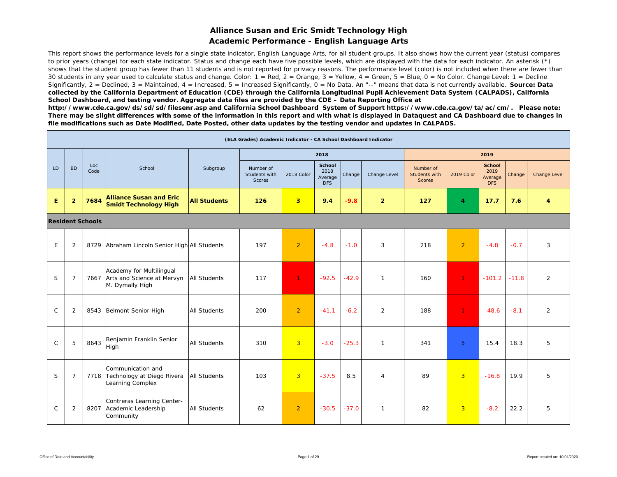## **Alliance Susan and Eric Smidt Technology High Academic Performance - English Language Arts**

This report shows the performance levels for a single state indicator, English Language Arts, for all student groups. It also shows how the current year (status) compares to prior years (change) for each state indicator. Status and change each have five possible levels, which are displayed with the data for each indicator. An asterisk (\*) shows that the student group has fewer than 11 students and is not reported for privacy reasons. The performance level (color) is not included when there are fewer than 30 students in any year used to calculate status and change. Color:  $1 = \text{Red}$ ,  $2 = \text{Orange}$ ,  $3 = \text{Yellow}$ ,  $4 = \text{Green}$ ,  $5 = \text{Blue}$ ,  $0 = \text{No Color}$ . Change Level:  $1 = \text{Decline}$ Significantly, 2 = Declined, 3 = Maintained, 4 = Increased, 5 = Increased Significantly, 0 = No Data. An "--" means that data is not currently available. **Source: Data** *collected by the California Department of Education (CDE) through the California Longitudinal Pupil Achievement Data System (CALPADS), California School Dashboard, and testing vendor. Aggregate data files are provided by the CDE – Data Reporting Office at* 

*http://www.cde.ca.gov/ds/sd/sd/filesenr.asp and California School Dashboard System of Support https://www.cde.ca.gov/ta/ac/cm/. Please note: There may be slight differences with some of the information in this report and with what is displayed in Dataquest and CA Dashboard due to changes in file modifications such as Date Modified, Date Posted, other data updates by the testing vendor and updates in CALPADS.* 

|              |                |                         |                                                                                |                     | (ELA Grades) Academic Indicator - CA School Dashboard Indicator |                |                                         |         |                |                                             |                |                                                |        |                     |
|--------------|----------------|-------------------------|--------------------------------------------------------------------------------|---------------------|-----------------------------------------------------------------|----------------|-----------------------------------------|---------|----------------|---------------------------------------------|----------------|------------------------------------------------|--------|---------------------|
|              |                |                         |                                                                                |                     |                                                                 |                | 2018                                    |         |                |                                             |                | 2019                                           |        |                     |
| LD           | <b>BD</b>      | Loc<br>Code             | School                                                                         | Subgroup            | Number of<br>Students with<br>Scores                            | 2018 Color     | <b>School</b><br>2018<br>Average<br>DFS | Change  | Change Level   | Number of<br>Students with<br><b>Scores</b> | 2019 Color     | <b>School</b><br>2019<br>Average<br><b>DFS</b> | Change | <b>Change Level</b> |
| E.           | $\overline{2}$ | 7684                    | <b>Alliance Susan and Eric</b><br><b>Smidt Technology High</b>                 | <b>All Students</b> | 126                                                             | 3 <sup>2</sup> | 9.4                                     | $-9.8$  | $\overline{2}$ | 127                                         | 4              | 17.7                                           | 7.6    | 4                   |
|              |                | <b>Resident Schools</b> |                                                                                |                     |                                                                 |                |                                         |         |                |                                             |                |                                                |        |                     |
| E            | $\overline{2}$ |                         | 8729 Abraham Lincoln Senior High All Students                                  |                     | 197                                                             | $\overline{2}$ | $-4.8$                                  | $-1.0$  | 3              | 218                                         | $\overline{2}$ | $-4.8$                                         | $-0.7$ | 3                   |
| S            | $\overline{7}$ |                         | Academy for Multilingual<br>7667 Arts and Science at Mervyn<br>M. Dymally High | All Students        | 117                                                             | $\mathbf{1}$   | $-92.5$                                 | $-42.9$ | $\mathbf{1}$   | 160                                         | $\mathbf{1}$   | $-101.2$ $-11.8$                               |        | $\overline{2}$      |
| $\mathsf{C}$ | 2              |                         | 8543 Belmont Senior High                                                       | <b>All Students</b> | 200                                                             | $\overline{2}$ | $-41.1$                                 | $-6.2$  | 2              | 188                                         | $\mathbf{1}$   | $-48.6$                                        | $-8.1$ | $\overline{2}$      |
| $\mathsf{C}$ | 5              | 8643                    | Benjamin Franklin Senior<br>High                                               | All Students        | 310                                                             | $\overline{3}$ | $-3.0$                                  | $-25.3$ | $\mathbf{1}$   | 341                                         | $\overline{5}$ | 15.4                                           | 18.3   | 5                   |
| S            | $\overline{7}$ |                         | Communication and<br>7718 Technology at Diego Rivera<br>Learning Complex       | <b>All Students</b> | 103                                                             | $\overline{3}$ | $-37.5$                                 | 8.5     | $\overline{4}$ | 89                                          | $\overline{3}$ | $-16.8$                                        | 19.9   | 5                   |
| $\mathsf{C}$ | 2              | 8207                    | Contreras Learning Center-<br>Academic Leadership<br>Community                 | <b>All Students</b> | 62                                                              | $\overline{2}$ | $-30.5$                                 | $-37.0$ | $\mathbf{1}$   | 82                                          | $\overline{3}$ | $-8.2$                                         | 22.2   | 5                   |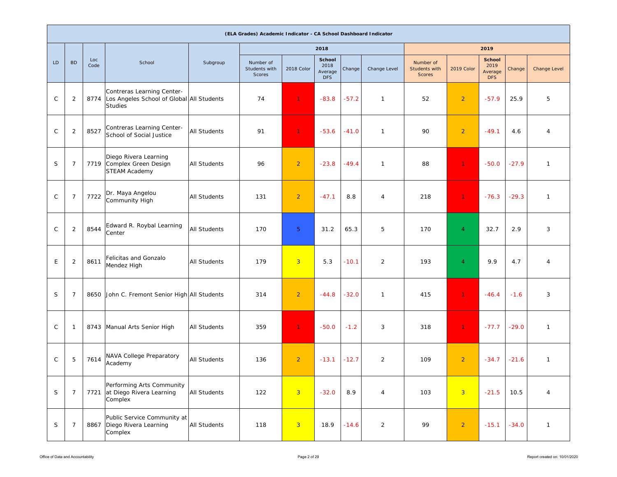|              |                |             |                                                                                           |                     | (ELA Grades) Academic Indicator - CA School Dashboard Indicator |                |                                                |         |                |                                             |                |                                                |         |                     |
|--------------|----------------|-------------|-------------------------------------------------------------------------------------------|---------------------|-----------------------------------------------------------------|----------------|------------------------------------------------|---------|----------------|---------------------------------------------|----------------|------------------------------------------------|---------|---------------------|
|              |                |             |                                                                                           |                     |                                                                 |                | 2018                                           |         |                |                                             |                | 2019                                           |         |                     |
| LD           | <b>BD</b>      | Loc<br>Code | School                                                                                    | Subgroup            | Number of<br>Students with<br>Scores                            | 2018 Color     | <b>School</b><br>2018<br>Average<br><b>DFS</b> | Change  | Change Level   | Number of<br>Students with<br><b>Scores</b> | 2019 Color     | <b>School</b><br>2019<br>Average<br><b>DFS</b> | Change  | <b>Change Level</b> |
| $\mathsf{C}$ | $\overline{2}$ | 8774        | Contreras Learning Center-<br>Los Angeles School of Global All Students<br><b>Studies</b> |                     | 74                                                              | $\mathbf{1}$   | $-83.8$                                        | $-57.2$ | $\mathbf{1}$   | 52                                          | $\overline{2}$ | $-57.9$                                        | 25.9    | 5                   |
| $\mathsf{C}$ | 2              | 8527        | Contreras Learning Center-<br>School of Social Justice                                    | <b>All Students</b> | 91                                                              | $\mathbf{1}$   | $-53.6$                                        | $-41.0$ | $\mathbf{1}$   | 90                                          | $\overline{2}$ | $-49.1$                                        | 4.6     | $\overline{4}$      |
| S            | $\overline{7}$ |             | Diego Rivera Learning<br>7719 Complex Green Design<br>STEAM Academy                       | <b>All Students</b> | 96                                                              | $\overline{2}$ | $-23.8$                                        | $-49.4$ | $\mathbf{1}$   | 88                                          | $\mathbf{1}$   | $-50.0$                                        | $-27.9$ | $\mathbf{1}$        |
| $\mathsf C$  | $\overline{7}$ | 7722        | Dr. Maya Angelou<br>Community High                                                        | <b>All Students</b> | 131                                                             | $\overline{2}$ | $-47.1$                                        | 8.8     | $\overline{4}$ | 218                                         | $\mathbf{1}$   | $-76.3$                                        | $-29.3$ | $\mathbf{1}$        |
| $\mathsf{C}$ | $\overline{2}$ | 8544        | Edward R. Roybal Learning<br>Center                                                       | <b>All Students</b> | 170                                                             | 5 <sup>5</sup> | 31.2                                           | 65.3    | 5              | 170                                         | $\overline{4}$ | 32.7                                           | 2.9     | 3                   |
| E            | 2              | 8611        | Felicitas and Gonzalo<br>Mendez High                                                      | <b>All Students</b> | 179                                                             | $\overline{3}$ | 5.3                                            | $-10.1$ | 2              | 193                                         | $\overline{4}$ | 9.9                                            | 4.7     | $\overline{4}$      |
| S            | $\overline{7}$ |             | 8650 John C. Fremont Senior High All Students                                             |                     | 314                                                             | $\overline{2}$ | $-44.8$                                        | $-32.0$ | $\mathbf{1}$   | 415                                         | 1.             | $-46.4$                                        | $-1.6$  | 3                   |
| $\mathsf C$  | -1             |             | 8743 Manual Arts Senior High                                                              | All Students        | 359                                                             | ♦              | $-50.0$                                        | $-1.2$  | 3              | 318                                         | 1.             | $-77.7$                                        | $-29.0$ | $\mathbf{1}$        |
| C            | 5              | 7614        | NAVA College Preparatory<br>Academy                                                       | <b>All Students</b> | 136                                                             | $\overline{2}$ | $-13.1$                                        | $-12.7$ | $\overline{2}$ | 109                                         | $\overline{2}$ | $-34.7$                                        | $-21.6$ | $\mathbf{1}$        |
| $\mathsf S$  | $\overline{7}$ |             | Performing Arts Community<br>7721 at Diego Rivera Learning<br>Complex                     | All Students        | 122                                                             | $\overline{3}$ | $-32.0$                                        | 8.9     | $\overline{4}$ | 103                                         | $\overline{3}$ | $-21.5$                                        | 10.5    | $\overline{4}$      |
| $\mathsf S$  | $\overline{7}$ | 8867        | Public Service Community at<br>Diego Rivera Learning<br>Complex                           | <b>All Students</b> | 118                                                             | $\overline{3}$ | 18.9                                           | $-14.6$ | $\overline{2}$ | 99                                          | $\overline{2}$ | $-15.1$                                        | $-34.0$ | $\mathbf{1}$        |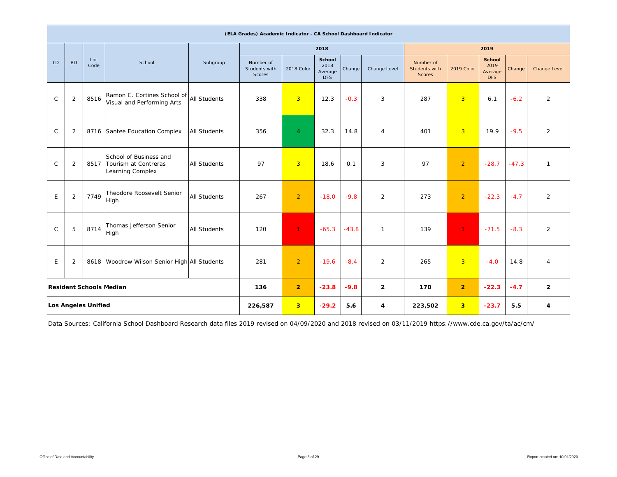|              |                |                            |                                                                    |                     | (ELA Grades) Academic Indicator - CA School Dashboard Indicator |                |                                         |         |                |                                             |                |                                                |         |                         |
|--------------|----------------|----------------------------|--------------------------------------------------------------------|---------------------|-----------------------------------------------------------------|----------------|-----------------------------------------|---------|----------------|---------------------------------------------|----------------|------------------------------------------------|---------|-------------------------|
|              |                |                            |                                                                    |                     |                                                                 |                | 2018                                    |         |                |                                             |                | 2019                                           |         |                         |
| LD           | <b>BD</b>      | Loc<br>Code                | School                                                             | Subgroup            | Number of<br>Students with<br>Scores                            | 2018 Color     | School<br>2018<br>Average<br><b>DFS</b> | Change  | Change Level   | Number of<br>Students with<br><b>Scores</b> | 2019 Color     | <b>School</b><br>2019<br>Average<br><b>DFS</b> | Change  | <b>Change Level</b>     |
| $\mathsf C$  | $\overline{2}$ | 8516                       | Ramon C. Cortines School of<br>Visual and Performing Arts          | <b>All Students</b> | 338                                                             | $\overline{3}$ | 12.3                                    | $-0.3$  | 3              | 287                                         | 3              | 6.1                                            | $-6.2$  | $\overline{2}$          |
| $\mathsf{C}$ | 2              |                            | 8716 Santee Education Complex                                      | <b>All Students</b> | 356                                                             | $\overline{4}$ | 32.3                                    | 14.8    | 4              | 401                                         | $\overline{3}$ | 19.9                                           | $-9.5$  | 2                       |
| $\mathsf{C}$ | $\overline{2}$ | 8517                       | School of Business and<br>Tourism at Contreras<br>Learning Complex | <b>All Students</b> | 97                                                              | $\overline{3}$ | 18.6                                    | 0.1     | 3              | 97                                          | $\overline{2}$ | $-28.7$                                        | $-47.3$ | $\mathbf{1}$            |
| E            | $\overline{2}$ | 7749                       | Theodore Roosevelt Senior<br>High                                  | <b>All Students</b> | 267                                                             | $\overline{2}$ | $-18.0$                                 | $-9.8$  | 2              | 273                                         | $\overline{2}$ | $-22.3$                                        | $-4.7$  | 2                       |
| $\mathsf{C}$ | 5              | 8714                       | Thomas Jefferson Senior<br>High                                    | <b>All Students</b> | 120                                                             | $\mathbf{1}$   | $-65.3$                                 | $-43.8$ | $\mathbf{1}$   | 139                                         | $\mathbf{1}$   | $-71.5$                                        | $-8.3$  | $\overline{2}$          |
| E            | $\overline{2}$ |                            | 8618 Woodrow Wilson Senior High All Students                       |                     | 281                                                             | $\overline{2}$ | $-19.6$                                 | $-8.4$  | $\overline{2}$ | 265                                         | 3              | $-4.0$                                         | 14.8    | $\overline{4}$          |
|              |                |                            | <b>Resident Schools Median</b>                                     |                     | 136                                                             | $\overline{2}$ | $-23.8$                                 | $-9.8$  | $\overline{2}$ | 170                                         | $\overline{2}$ | $-22.3$                                        | $-4.7$  | $\overline{2}$          |
|              |                | <b>Los Angeles Unified</b> |                                                                    |                     | 226,587                                                         | 3 <sup>7</sup> | $-29.2$                                 | 5.6     | 4              | 223,502                                     | 3 <sup>2</sup> | $-23.7$                                        | 5.5     | $\overline{\mathbf{4}}$ |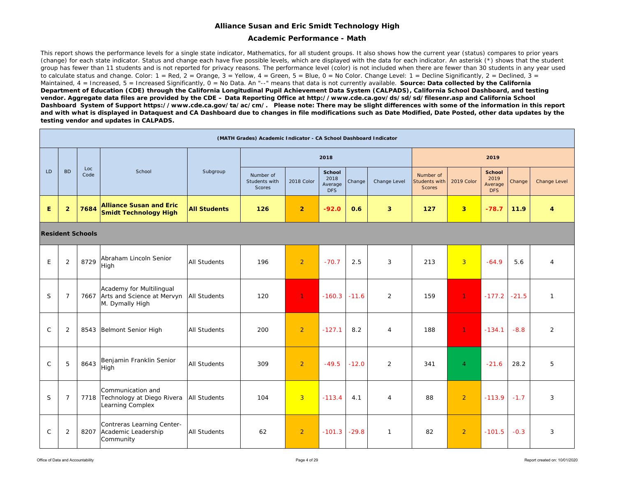### **Alliance Susan and Eric Smidt Technology High**

### **Academic Performance - Math**

This report shows the performance levels for a single state indicator, Mathematics, for all student groups. It also shows how the current year (status) compares to prior years (change) for each state indicator. Status and change each have five possible levels, which are displayed with the data for each indicator. An asterisk (\*) shows that the student group has fewer than 11 students and is not reported for privacy reasons. The performance level (color) is not included when there are fewer than 30 students in any year used to calculate status and change. Color:  $1 = \text{Red}$ ,  $2 = \text{Orange}$ ,  $3 = \text{Yellow}$ ,  $4 = \text{Green}$ ,  $5 = \text{Blue}$ ,  $0 = \text{No Color}$ . Change Level:  $1 = \text{Decline Significantly}$ ,  $2 = \text{Decline}$ ,  $3 = \text{Per}$ Maintained, 4 = Increased, 5 = Increased Significantly, 0 = No Data. An "--" means that data is not currently available. **Source: Data collected by the California** *Department of Education (CDE) through the California Longitudinal Pupil Achievement Data System (CALPADS), California School Dashboard, and testing vendor. Aggregate data files are provided by the CDE – Data Reporting Office at http://www.cde.ca.gov/ds/sd/sd/filesenr.asp and California School Dashboard System of Support https://www.cde.ca.gov/ta/ac/cm/. Please note: There may be slight differences with some of the information in this report and with what is displayed in Dataquest and CA Dashboard due to changes in file modifications such as Date Modified, Date Posted, other data updates by the testing vendor and updates in CALPADS.* 

|              |                |                         |                                                                                |                     | (MATH Grades) Academic Indicator - CA School Dashboard Indicator |                |                                                |         |                |                                             |                         |                                                |         |              |
|--------------|----------------|-------------------------|--------------------------------------------------------------------------------|---------------------|------------------------------------------------------------------|----------------|------------------------------------------------|---------|----------------|---------------------------------------------|-------------------------|------------------------------------------------|---------|--------------|
|              |                |                         |                                                                                |                     |                                                                  |                | 2018                                           |         |                |                                             |                         | 2019                                           |         |              |
| <b>LD</b>    | <b>BD</b>      | Loc<br>Code             | School                                                                         | Subgroup            | Number of<br>Students with<br><b>Scores</b>                      | 2018 Color     | <b>School</b><br>2018<br>Average<br><b>DFS</b> | Change  | Change Level   | Number of<br>Students with<br><b>Scores</b> | 2019 Color              | <b>School</b><br>2019<br>Average<br><b>DFS</b> | Change  | Change Level |
| E            | $\overline{2}$ | 7684                    | <b>Alliance Susan and Eric</b><br><b>Smidt Technology High</b>                 | <b>All Students</b> | 126                                                              | $\overline{2}$ | $-92.0$                                        | 0.6     | 3              | 127                                         | $\overline{\mathbf{3}}$ | $-78.7$                                        | 11.9    | 4            |
|              |                | <b>Resident Schools</b> |                                                                                |                     |                                                                  |                |                                                |         |                |                                             |                         |                                                |         |              |
| E            | 2              | 8729                    | Abraham Lincoln Senior<br>High                                                 | <b>All Students</b> | 196                                                              | $\overline{2}$ | $-70.7$                                        | 2.5     | 3              | 213                                         | $\overline{3}$          | $-64.9$                                        | 5.6     | 4            |
| <sub>S</sub> | $\overline{7}$ |                         | Academy for Multilingual<br>7667 Arts and Science at Mervyn<br>M. Dymally High | <b>All Students</b> | 120                                                              | 1.             | $-160.3$                                       | $-11.6$ | 2              | 159                                         | $\mathbf{1}$            | $-177.2$                                       | $-21.5$ | $\mathbf{1}$ |
| $\mathsf{C}$ | 2              |                         | 8543 Belmont Senior High                                                       | <b>All Students</b> | 200                                                              | 2              | $-127.1$                                       | 8.2     | $\overline{4}$ | 188                                         | $\mathbf{1}$            | $-134.1$                                       | $-8.8$  | 2            |
| $\mathsf{C}$ | 5              | 8643                    | Benjamin Franklin Senior<br>High                                               | <b>All Students</b> | 309                                                              | $\overline{2}$ | $-49.5$                                        | $-12.0$ | 2              | 341                                         | $\overline{4}$          | $-21.6$                                        | 28.2    | 5            |
| S            | $\overline{7}$ |                         | Communication and<br>7718 Technology at Diego Rivera<br>Learning Complex       | <b>All Students</b> | 104                                                              | $\overline{3}$ | $-113.4$                                       | 4.1     | $\overline{4}$ | 88                                          | $\overline{2}$          | $-113.9$                                       | $-1.7$  | 3            |
| $\mathsf{C}$ | 2              |                         | Contreras Learning Center-<br>8207 Academic Leadership<br>Community            | <b>All Students</b> | 62                                                               | $\overline{2}$ | $-101.3$                                       | $-29.8$ | $\mathbf{1}$   | 82                                          | $\overline{2}$          | $-101.5$                                       | $-0.3$  | 3            |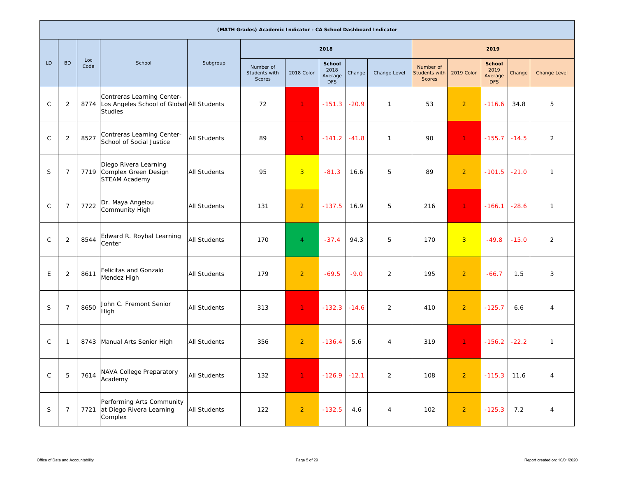|              |                |             |                                                                                           |                     | (MATH Grades) Academic Indicator - CA School Dashboard Indicator |                |                                         |         |                |                                                    |                |                                                |         |                |
|--------------|----------------|-------------|-------------------------------------------------------------------------------------------|---------------------|------------------------------------------------------------------|----------------|-----------------------------------------|---------|----------------|----------------------------------------------------|----------------|------------------------------------------------|---------|----------------|
|              |                |             |                                                                                           |                     |                                                                  |                | 2018                                    |         |                |                                                    |                | 2019                                           |         |                |
| LD           | <b>BD</b>      | Loc<br>Code | School                                                                                    | Subgroup            | Number of<br>Students with<br><b>Scores</b>                      | 2018 Color     | School<br>2018<br>Average<br><b>DFS</b> | Change  | Change Level   | Number of<br><b>Students with</b><br><b>Scores</b> | 2019 Color     | <b>School</b><br>2019<br>Average<br><b>DFS</b> | Change  | Change Level   |
| $\mathsf{C}$ | $\overline{2}$ | 8774        | Contreras Learning Center-<br>Los Angeles School of Global All Students<br><b>Studies</b> |                     | 72                                                               | $\mathbf{1}$   | $-151.3$                                | $-20.9$ | $\mathbf{1}$   | 53                                                 | $\overline{2}$ | $-116.6$                                       | 34.8    | 5              |
| $\mathsf{C}$ | $\overline{2}$ | 8527        | Contreras Learning Center-<br>School of Social Justice                                    | <b>All Students</b> | 89                                                               | $\mathbf{1}$   | $-141.2 - 41.8$                         |         | $\mathbf{1}$   | 90                                                 | $\mathbf{1}$   | $-155.7$                                       | $-14.5$ | $\overline{2}$ |
| S            | $\overline{7}$ | 7719        | Diego Rivera Learning<br>Complex Green Design<br>STEAM Academy                            | <b>All Students</b> | 95                                                               | $\overline{3}$ | $-81.3$                                 | 16.6    | 5              | 89                                                 | $\overline{2}$ | $-101.5$                                       | $-21.0$ | $\mathbf{1}$   |
| ${\rm C}$    | $\overline{7}$ | 7722        | Dr. Maya Angelou<br>Community High                                                        | <b>All Students</b> | 131                                                              | $\overline{2}$ | $-137.5$                                | 16.9    | 5              | 216                                                | $\mathbf{1}$   | $-166.1$                                       | $-28.6$ | $\mathbf{1}$   |
| $\mathsf{C}$ | $\overline{2}$ | 8544        | Edward R. Roybal Learning<br>Center                                                       | <b>All Students</b> | 170                                                              | $\overline{4}$ | $-37.4$                                 | 94.3    | 5              | 170                                                | $\overline{3}$ | $-49.8$                                        | $-15.0$ | $\overline{2}$ |
| E            | $\overline{2}$ | 8611        | Felicitas and Gonzalo<br>Mendez High                                                      | <b>All Students</b> | 179                                                              | $\overline{2}$ | $-69.5$                                 | $-9.0$  | $\overline{2}$ | 195                                                | $\overline{2}$ | $-66.7$                                        | 1.5     | 3              |
| S            | $\overline{7}$ | 8650        | John C. Fremont Senior<br>High                                                            | <b>All Students</b> | 313                                                              | $\mathbf{1}$   | $-132.3$                                | $-14.6$ | $\overline{2}$ | 410                                                | $\overline{2}$ | $-125.7$                                       | 6.6     | $\overline{4}$ |
| $\mathsf{C}$ | $\mathbf{1}$   | 8743        | Manual Arts Senior High                                                                   | <b>All Students</b> | 356                                                              | $\overline{2}$ | $-136.4$                                | 5.6     | $\overline{4}$ | 319                                                | $\mathbf{1}$   | $-156.2$                                       | $-22.2$ | $\mathbf{1}$   |
| $\mathsf C$  | 5              | 7614        | NAVA College Preparatory<br>Academy                                                       | All Students        | 132                                                              | $\overline{1}$ | $-126.9 - 12.1$                         |         | $\overline{2}$ | 108                                                | 2 <sup>1</sup> | $-115.3$                                       | 11.6    | $\overline{4}$ |
| $\mathsf S$  | $\overline{7}$ | 7721        | Performing Arts Community<br>at Diego Rivera Learning<br>Complex                          | All Students        | 122                                                              | $\overline{2}$ | $-132.5$                                | 4.6     | 4              | 102                                                | $\overline{2}$ | $-125.3$                                       | 7.2     | $\overline{4}$ |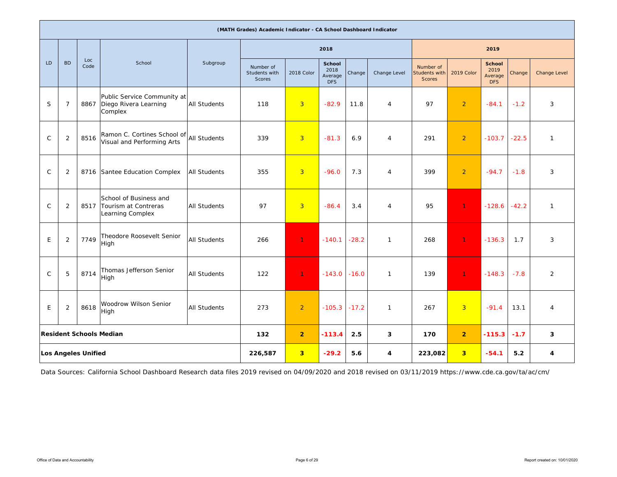|              |                |                            |                                                                    |                     | (MATH Grades) Academic Indicator - CA School Dashboard Indicator |                         |                                         |         |                |                                             |                         |                                                |         |                |
|--------------|----------------|----------------------------|--------------------------------------------------------------------|---------------------|------------------------------------------------------------------|-------------------------|-----------------------------------------|---------|----------------|---------------------------------------------|-------------------------|------------------------------------------------|---------|----------------|
|              |                |                            |                                                                    |                     |                                                                  |                         | 2018                                    |         |                |                                             |                         | 2019                                           |         |                |
| <b>LD</b>    | <b>BD</b>      | Loc<br>Code                | School                                                             | Subgroup            | Number of<br>Students with<br>Scores                             | 2018 Color              | School<br>2018<br>Average<br><b>DFS</b> | Change  | Change Level   | Number of<br><b>Students with</b><br>Scores | 2019 Color              | <b>School</b><br>2019<br>Average<br><b>DFS</b> | Change  | Change Level   |
| S            | $\overline{7}$ | 8867                       | Public Service Community at<br>Diego Rivera Learning<br>Complex    | <b>All Students</b> | 118                                                              | $\overline{3}$          | $-82.9$                                 | 11.8    | $\overline{4}$ | 97                                          | $\overline{2}$          | $-84.1$                                        | $-1.2$  | 3              |
| $\mathsf{C}$ | $\overline{2}$ | 8516                       | Ramon C. Cortines School of<br>Visual and Performing Arts          | <b>All Students</b> | 339                                                              | $\overline{3}$          | $-81.3$                                 | 6.9     | $\overline{4}$ | 291                                         | $\overline{2}$          | $-103.7$                                       | $-22.5$ | $\mathbf{1}$   |
| $\mathsf{C}$ | $\overline{2}$ | 8716                       | Santee Education Complex                                           | <b>All Students</b> | 355                                                              | $\overline{3}$          | $-96.0$                                 | 7.3     | $\overline{4}$ | 399                                         | $\overline{2}$          | $-94.7$                                        | $-1.8$  | $\mathbf{3}$   |
| $\mathsf{C}$ | $\overline{2}$ | 8517                       | School of Business and<br>Tourism at Contreras<br>Learning Complex | <b>All Students</b> | 97                                                               | $\overline{3}$          | $-86.4$                                 | 3.4     | $\overline{4}$ | 95                                          | $\mathbf{1}$            | $-128.6$                                       | $-42.2$ | $\mathbf{1}$   |
| E            | $\overline{2}$ | 7749                       | Theodore Roosevelt Senior<br>High                                  | <b>All Students</b> | 266                                                              | $\mathbf{1}$            | $-140.1$                                | $-28.2$ | $\mathbf{1}$   | 268                                         | 1                       | $-136.3$                                       | 1.7     | 3              |
| $\mathsf{C}$ | 5              | 8714                       | Thomas Jefferson Senior<br>High                                    | <b>All Students</b> | 122                                                              | $\overline{1}$          | $-143.0$                                | $-16.0$ | $\mathbf{1}$   | 139                                         | $\mathbf{1}$            | $-148.3$                                       | $-7.8$  | $\overline{2}$ |
| E            | 2              | 8618                       | Woodrow Wilson Senior<br>High                                      | <b>All Students</b> | 273                                                              | 2                       | $-105.3$                                | $-17.2$ | $\mathbf{1}$   | 267                                         | $\overline{3}$          | $-91.4$                                        | 13.1    | $\overline{4}$ |
|              |                |                            | <b>Resident Schools Median</b>                                     |                     | 132                                                              | $\overline{2}$          | $-113.4$                                | 2.5     | 3              | 170                                         | $\overline{2}$          | $-115.3$                                       | $-1.7$  | 3              |
|              |                | <b>Los Angeles Unified</b> |                                                                    |                     | 226,587                                                          | $\overline{\mathbf{3}}$ | $-29.2$                                 | 5.6     | 4              | 223,082                                     | $\overline{\mathbf{3}}$ | $-54.1$                                        | 5.2     | 4              |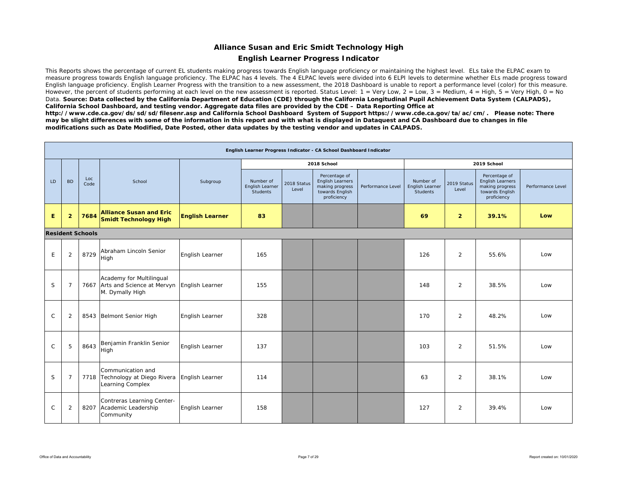### **Alliance Susan and Eric Smidt Technology High**

### **English Learner Progress Indicator**

This Reports shows the percentage of current EL students making progress towards English language proficiency or maintaining the highest level. ELs take the ELPAC exam to measure progress towards English language proficiency. The ELPAC has 4 levels. The 4 ELPAC levels were divided into 6 ELPI levels to determine whether ELs made progress toward English language proficiency. English Learner Progress with the transition to a new assessment, the 2018 Dashboard is unable to report a performance level (color) for this measure. However, the percent of students performing at each level on the new assessment is reported. Status Level: 1 = Very Low, 2 = Low, 3 = Medium, 4 = High, 5 = Very High, 0 = No Data. Source: Data collected by the California Department of Education (CDE) through the California Longitudinal Pupil Achievement Data System (CALPADS), *California School Dashboard, and testing vendor. Aggregate data files are provided by the CDE – Data Reporting Office at* 

*http://www.cde.ca.gov/ds/sd/sd/filesenr.asp and California School Dashboard System of Support https://www.cde.ca.gov/ta/ac/cm/. Please note: There may be slight differences with some of the information in this report and with what is displayed in Dataquest and CA Dashboard due to changes in file modifications such as Date Modified, Date Posted, other data updates by the testing vendor and updates in CALPADS.* 

|               |                |                         |                                                                                |                        |                                          |                      | English Learner Progress Indicator - CA School Dashboard Indicator                     |                   |                                          |                      |                                                                                        |                   |
|---------------|----------------|-------------------------|--------------------------------------------------------------------------------|------------------------|------------------------------------------|----------------------|----------------------------------------------------------------------------------------|-------------------|------------------------------------------|----------------------|----------------------------------------------------------------------------------------|-------------------|
|               |                |                         |                                                                                |                        |                                          |                      | 2018 School                                                                            |                   |                                          |                      | 2019 School                                                                            |                   |
| LD            | <b>BD</b>      | Loc<br>Code             | School                                                                         | Subgroup               | Number of<br>English Learner<br>Students | 2018 Status<br>Level | Percentage of<br>English Learners<br>making progress<br>towards English<br>proficiency | Performance Level | Number of<br>English Learner<br>Students | 2019 Status<br>Level | Percentage of<br>English Learners<br>making progress<br>towards English<br>proficiency | Performance Level |
| E             | $\overline{2}$ | 7684                    | <b>Alliance Susan and Eric</b><br><b>Smidt Technology High</b>                 | <b>English Learner</b> | 83                                       |                      |                                                                                        |                   | 69                                       | $\overline{2}$       | 39.1%                                                                                  | Low               |
|               |                | <b>Resident Schools</b> |                                                                                |                        |                                          |                      |                                                                                        |                   |                                          |                      |                                                                                        |                   |
| E             | $\overline{2}$ | 8729                    | Abraham Lincoln Senior<br>High                                                 | English Learner        | 165                                      |                      |                                                                                        |                   | 126                                      | 2                    | 55.6%                                                                                  | Low               |
| S             | $\overline{7}$ |                         | Academy for Multilingual<br>7667 Arts and Science at Mervyn<br>M. Dymally High | English Learner        | 155                                      |                      |                                                                                        |                   | 148                                      | 2                    | 38.5%                                                                                  | Low               |
| $\mathsf{C}$  | $\overline{2}$ | 8543                    | <b>Belmont Senior High</b>                                                     | English Learner        | 328                                      |                      |                                                                                        |                   | 170                                      | 2                    | 48.2%                                                                                  | Low               |
| $\mathcal{C}$ | 5              | 8643                    | Benjamin Franklin Senior<br>High                                               | English Learner        | 137                                      |                      |                                                                                        |                   | 103                                      | 2                    | 51.5%                                                                                  | Low               |
| S             | $\overline{7}$ |                         | Communication and<br>7718 Technology at Diego Rivera<br>Learning Complex       | English Learner        | 114                                      |                      |                                                                                        |                   | 63                                       | $\overline{2}$       | 38.1%                                                                                  | Low               |
| $\mathsf{C}$  | $\overline{2}$ | 8207                    | Contreras Learning Center-<br>Academic Leadership<br>Community                 | English Learner        | 158                                      |                      |                                                                                        |                   | 127                                      | 2                    | 39.4%                                                                                  | Low               |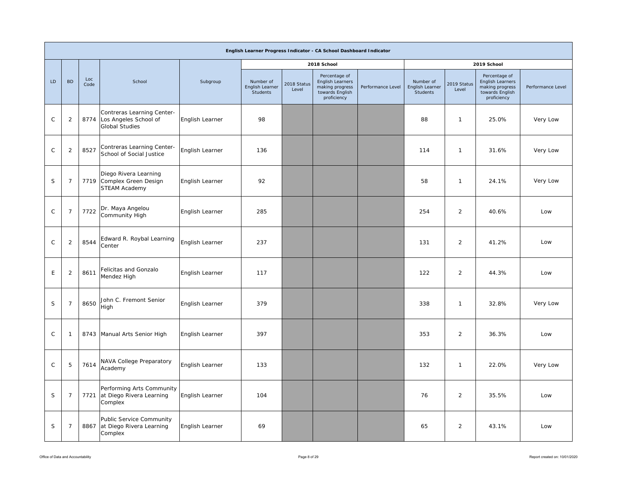|              |                |             |                                                                                   |                 |                                          |                      | English Learner Progress Indicator - CA School Dashboard Indicator                     |                   |                                          |                      |                                                                                        |                   |
|--------------|----------------|-------------|-----------------------------------------------------------------------------------|-----------------|------------------------------------------|----------------------|----------------------------------------------------------------------------------------|-------------------|------------------------------------------|----------------------|----------------------------------------------------------------------------------------|-------------------|
|              |                |             |                                                                                   |                 |                                          |                      | 2018 School                                                                            |                   |                                          |                      | 2019 School                                                                            |                   |
| LD           | <b>BD</b>      | Loc<br>Code | School                                                                            | Subgroup        | Number of<br>English Learner<br>Students | 2018 Status<br>Level | Percentage of<br>English Learners<br>making progress<br>towards English<br>proficiency | Performance Level | Number of<br>English Learner<br>Students | 2019 Status<br>Level | Percentage of<br>English Learners<br>making progress<br>towards English<br>proficiency | Performance Level |
| $\mathsf{C}$ | 2              |             | Contreras Learning Center-<br>8774 Los Angeles School of<br><b>Global Studies</b> | English Learner | 98                                       |                      |                                                                                        |                   | 88                                       | $\mathbf{1}$         | 25.0%                                                                                  | Very Low          |
| $\mathsf{C}$ | $\overline{2}$ | 8527        | Contreras Learning Center-<br>School of Social Justice                            | English Learner | 136                                      |                      |                                                                                        |                   | 114                                      | $\mathbf{1}$         | 31.6%                                                                                  | Very Low          |
| S            | $\overline{7}$ |             | Diego Rivera Learning<br>7719 Complex Green Design<br>STEAM Academy               | English Learner | 92                                       |                      |                                                                                        |                   | 58                                       | $\mathbf{1}$         | 24.1%                                                                                  | Very Low          |
| $\mathsf C$  | $\overline{7}$ | 7722        | Dr. Maya Angelou<br>Community High                                                | English Learner | 285                                      |                      |                                                                                        |                   | 254                                      | $\overline{2}$       | 40.6%                                                                                  | Low               |
| $\mathsf C$  | 2              | 8544        | Edward R. Roybal Learning<br>Center                                               | English Learner | 237                                      |                      |                                                                                        |                   | 131                                      | $\overline{2}$       | 41.2%                                                                                  | Low               |
| $\mathsf E$  | $\sqrt{2}$     | 8611        | Felicitas and Gonzalo<br>Mendez High                                              | English Learner | 117                                      |                      |                                                                                        |                   | 122                                      | $\overline{2}$       | 44.3%                                                                                  | Low               |
| S            | $\overline{7}$ | 8650        | John C. Fremont Senior<br>High                                                    | English Learner | 379                                      |                      |                                                                                        |                   | 338                                      | $\overline{1}$       | 32.8%                                                                                  | Very Low          |
| $\mathsf C$  | $\overline{1}$ |             | 8743 Manual Arts Senior High                                                      | English Learner | 397                                      |                      |                                                                                        |                   | 353                                      | $\overline{2}$       | 36.3%                                                                                  | Low               |
| $\mathsf{C}$ | 5              | 7614        | NAVA College Preparatory<br>Academy                                               | English Learner | 133                                      |                      |                                                                                        |                   | 132                                      | $\overline{1}$       | 22.0%                                                                                  | Very Low          |
| S            | $\overline{7}$ |             | Performing Arts Community<br>7721 at Diego Rivera Learning<br>Complex             | English Learner | 104                                      |                      |                                                                                        |                   | 76                                       | $\overline{2}$       | 35.5%                                                                                  | Low               |
| $\mathsf S$  | $\overline{7}$ |             | Public Service Community<br>8867 at Diego Rivera Learning<br>Complex              | English Learner | 69                                       |                      |                                                                                        |                   | 65                                       | $\overline{2}$       | 43.1%                                                                                  | Low               |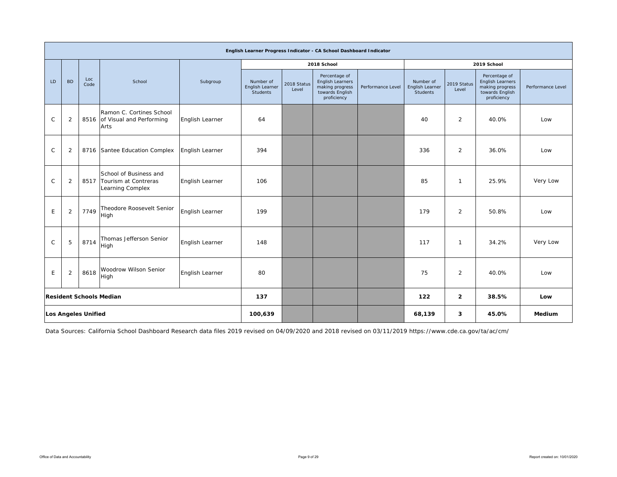|              |                |                     |                                                                         |                 |                                          |                      | English Learner Progress Indicator - CA School Dashboard Indicator                     |                   |                                          |                      |                                                                                        |                   |
|--------------|----------------|---------------------|-------------------------------------------------------------------------|-----------------|------------------------------------------|----------------------|----------------------------------------------------------------------------------------|-------------------|------------------------------------------|----------------------|----------------------------------------------------------------------------------------|-------------------|
|              |                |                     |                                                                         |                 |                                          |                      | 2018 School                                                                            |                   |                                          |                      | 2019 School                                                                            |                   |
| LD           | <b>BD</b>      | Loc<br>Code         | School                                                                  | Subgroup        | Number of<br>English Learner<br>Students | 2018 Status<br>Level | Percentage of<br>English Learners<br>making progress<br>towards English<br>proficiency | Performance Level | Number of<br>English Learner<br>Students | 2019 Status<br>Level | Percentage of<br>English Learners<br>making progress<br>towards English<br>proficiency | Performance Level |
| $\mathsf{C}$ | $\overline{2}$ |                     | Ramon C. Cortines School<br>8516 of Visual and Performing<br>Arts       | English Learner | 64                                       |                      |                                                                                        |                   | 40                                       | $\overline{2}$       | 40.0%                                                                                  | Low               |
| $\mathsf{C}$ | 2              |                     | 8716 Santee Education Complex                                           | English Learner | 394                                      |                      |                                                                                        |                   | 336                                      | $\overline{2}$       | 36.0%                                                                                  | Low               |
| $\mathsf{C}$ | 2              |                     | School of Business and<br>8517 Tourism at Contreras<br>Learning Complex | English Learner | 106                                      |                      |                                                                                        |                   | 85                                       | $\mathbf{1}$         | 25.9%                                                                                  | Very Low          |
| E            | $\overline{2}$ | 7749                | Theodore Roosevelt Senior<br>High                                       | English Learner | 199                                      |                      |                                                                                        |                   | 179                                      | $\overline{2}$       | 50.8%                                                                                  | Low               |
| $\mathsf C$  | 5              | 8714                | Thomas Jefferson Senior<br>High                                         | English Learner | 148                                      |                      |                                                                                        |                   | 117                                      | $\mathbf 1$          | 34.2%                                                                                  | Very Low          |
| E            | $\overline{2}$ | 8618                | Woodrow Wilson Senior<br>High                                           | English Learner | 80                                       |                      |                                                                                        |                   | 75                                       | 2                    | 40.0%                                                                                  | Low               |
|              |                |                     | <b>Resident Schools Median</b>                                          |                 | 137                                      |                      |                                                                                        |                   | 122                                      | $\overline{2}$       | 38.5%                                                                                  | Low               |
|              |                | Los Angeles Unified |                                                                         |                 | 100,639                                  |                      |                                                                                        |                   | 68,139                                   | 3                    | 45.0%                                                                                  | Medium            |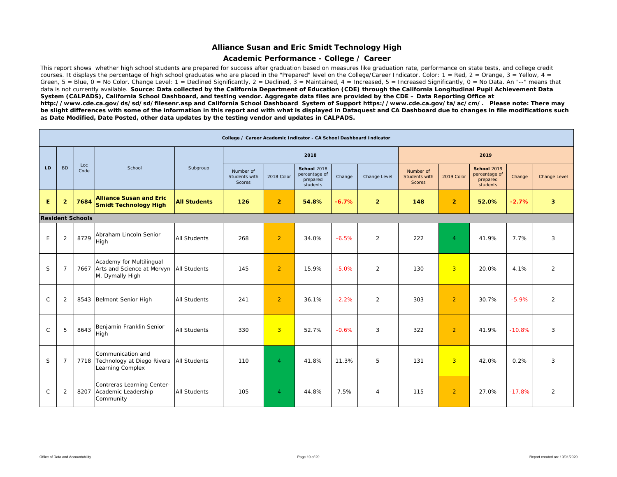### **Alliance Susan and Eric Smidt Technology High**

### **Academic Performance - College / Career**

This report shows whether high school students are prepared for success after graduation based on measures like graduation rate, performance on state tests, and college credit courses. It displays the percentage of high school graduates who are placed in the "Prepared" level on the College/Career Indicator. Color:  $1 = \text{Red}$ ,  $2 = \text{Orange}$ ,  $3 = \text{Yellow}$ ,  $4 = \text{C}$ Green,  $5 =$  Blue,  $0 =$  No Color. Change Level:  $1 =$  Declined Significantly,  $2 =$  Declined,  $3 =$  Maintained,  $4 =$  Increased,  $5 =$  Increased Significantly,  $0 =$  No Data. An "--" means that data is not currently available. Source: Data collected by the California Department of Education (CDE) through the California Longitudinal Pupil Achievement Data *System (CALPADS), California School Dashboard, and testing vendor. Aggregate data files are provided by the CDE – Data Reporting Office at http://www.cde.ca.gov/ds/sd/sd/filesenr.asp and California School Dashboard System of Support https://www.cde.ca.gov/ta/ac/cm/. Please note: There may be slight differences with some of the information in this report and with what is displayed in Dataquest and CA Dashboard due to changes in file modifications such as Date Modified, Date Posted, other data updates by the testing vendor and updates in CALPADS.* 

|              |                |                         |                                                                                               |                     | College / Career Academic Indicator - CA School Dashboard Indicator |                |                                                             |         |                |                                             |                |                                                             |          |                         |
|--------------|----------------|-------------------------|-----------------------------------------------------------------------------------------------|---------------------|---------------------------------------------------------------------|----------------|-------------------------------------------------------------|---------|----------------|---------------------------------------------|----------------|-------------------------------------------------------------|----------|-------------------------|
|              |                |                         |                                                                                               |                     |                                                                     |                | 2018                                                        |         |                |                                             |                | 2019                                                        |          |                         |
| LD           | <b>BD</b>      | Loc<br>Code             | School                                                                                        | Subgroup            | Number of<br>Students with<br>Scores                                | 2018 Color     | <b>School 2018</b><br>percentage of<br>prepared<br>students | Change  | Change Level   | Number of<br>Students with<br><b>Scores</b> | 2019 Color     | <b>School 2019</b><br>percentage of<br>prepared<br>students | Change   | Change Level            |
| E            | $\overline{2}$ | 7684                    | <b>Alliance Susan and Eric</b><br><b>Smidt Technology High</b>                                | <b>All Students</b> | 126                                                                 | $\overline{2}$ | 54.8%                                                       | $-6.7%$ | $\overline{2}$ | 148                                         | $\overline{2}$ | 52.0%                                                       | $-2.7%$  | $\overline{\mathbf{3}}$ |
|              |                | <b>Resident Schools</b> |                                                                                               |                     |                                                                     |                |                                                             |         |                |                                             |                |                                                             |          |                         |
| E            | $\overline{2}$ | 8729                    | Abraham Lincoln Senior<br>High                                                                | <b>All Students</b> | 268                                                                 | $\overline{2}$ | 34.0%                                                       | $-6.5%$ | $\overline{2}$ | 222                                         | $\overline{4}$ | 41.9%                                                       | 7.7%     | 3                       |
| S            | $\overline{7}$ |                         | Academy for Multilingual<br>7667 Arts and Science at Mervyn   All Students<br>M. Dymally High |                     | 145                                                                 | $\overline{2}$ | 15.9%                                                       | $-5.0%$ | 2              | 130                                         | $\overline{3}$ | 20.0%                                                       | 4.1%     | $\overline{2}$          |
| $\mathsf{C}$ | $\overline{2}$ |                         | 8543 Belmont Senior High                                                                      | <b>All Students</b> | 241                                                                 | $\overline{2}$ | 36.1%                                                       | $-2.2%$ | $\overline{2}$ | 303                                         | $\overline{2}$ | 30.7%                                                       | $-5.9%$  | $\overline{2}$          |
| $\mathsf{C}$ | 5              | 8643                    | Benjamin Franklin Senior<br>High                                                              | <b>All Students</b> | 330                                                                 | $\overline{3}$ | 52.7%                                                       | $-0.6%$ | 3              | 322                                         | $\overline{2}$ | 41.9%                                                       | $-10.8%$ | 3                       |
| S            | $\overline{7}$ |                         | Communication and<br>7718 Technology at Diego Rivera<br>Learning Complex                      | <b>All Students</b> | 110                                                                 | $\overline{4}$ | 41.8%                                                       | 11.3%   | 5              | 131                                         | $\overline{3}$ | 42.0%                                                       | 0.2%     | 3                       |
| $\mathsf{C}$ | $\overline{2}$ | 8207                    | Contreras Learning Center-<br>Academic Leadership<br>Community                                | <b>All Students</b> | 105                                                                 | $\overline{4}$ | 44.8%                                                       | 7.5%    | $\overline{4}$ | 115                                         | $\overline{2}$ | 27.0%                                                       | $-17.8%$ | 2                       |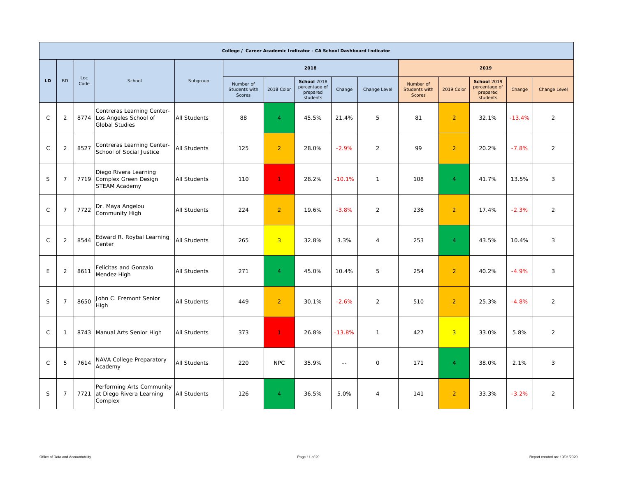|              |                |             |                                                                              |                     | College / Career Academic Indicator - CA School Dashboard Indicator |                |                                                      |                |                |                                      |                |                                                             |          |                |
|--------------|----------------|-------------|------------------------------------------------------------------------------|---------------------|---------------------------------------------------------------------|----------------|------------------------------------------------------|----------------|----------------|--------------------------------------|----------------|-------------------------------------------------------------|----------|----------------|
|              |                |             |                                                                              |                     |                                                                     |                | 2018                                                 |                |                |                                      |                | 2019                                                        |          |                |
| LD.          | <b>BD</b>      | Loc<br>Code | School                                                                       | Subgroup            | Number of<br>Students with<br>Scores                                | 2018 Color     | School 2018<br>percentage of<br>prepared<br>students | Change         | Change Level   | Number of<br>Students with<br>Scores | 2019 Color     | <b>School 2019</b><br>percentage of<br>prepared<br>students | Change   | Change Level   |
| $\mathsf{C}$ | $\overline{2}$ | 8774        | Contreras Learning Center-<br>Los Angeles School of<br><b>Global Studies</b> | <b>All Students</b> | 88                                                                  | $\overline{4}$ | 45.5%                                                | 21.4%          | 5              | 81                                   | $\overline{2}$ | 32.1%                                                       | $-13.4%$ | $\overline{2}$ |
| $\mathsf{C}$ | $\overline{2}$ | 8527        | Contreras Learning Center-<br>School of Social Justice                       | <b>All Students</b> | 125                                                                 | $\overline{2}$ | 28.0%                                                | $-2.9%$        | $\overline{2}$ | 99                                   | $\overline{2}$ | 20.2%                                                       | $-7.8%$  | $\overline{2}$ |
| S            | $\overline{7}$ |             | Diego Rivera Learning<br>7719 Complex Green Design<br><b>STEAM Academy</b>   | <b>All Students</b> | 110                                                                 | $\mathbf{1}$   | 28.2%                                                | $-10.1%$       | $\mathbf{1}$   | 108                                  | $\overline{4}$ | 41.7%                                                       | 13.5%    | 3              |
| $\mathsf{C}$ | $\overline{7}$ | 7722        | Dr. Maya Angelou<br>Community High                                           | <b>All Students</b> | 224                                                                 | $\overline{2}$ | 19.6%                                                | $-3.8%$        | $\overline{2}$ | 236                                  | $\overline{2}$ | 17.4%                                                       | $-2.3%$  | $\overline{2}$ |
| $\mathsf{C}$ | $\overline{2}$ | 8544        | Edward R. Roybal Learning<br>Center                                          | <b>All Students</b> | 265                                                                 | $\overline{3}$ | 32.8%                                                | 3.3%           | $\overline{4}$ | 253                                  | $\overline{4}$ | 43.5%                                                       | 10.4%    | 3              |
| E            | $\overline{2}$ | 8611        | Felicitas and Gonzalo<br>Mendez High                                         | <b>All Students</b> | 271                                                                 | $\overline{4}$ | 45.0%                                                | 10.4%          | 5              | 254                                  | $\overline{2}$ | 40.2%                                                       | $-4.9%$  | 3              |
| S            | $\overline{7}$ | 8650        | John C. Fremont Senior<br>High                                               | <b>All Students</b> | 449                                                                 | $\overline{2}$ | 30.1%                                                | $-2.6%$        | $\overline{2}$ | 510                                  | $\overline{2}$ | 25.3%                                                       | $-4.8%$  | 2              |
| $\mathsf{C}$ | $\mathbf{1}$   |             | 8743 Manual Arts Senior High                                                 | <b>All Students</b> | 373                                                                 | $\mathbf 1$    | 26.8%                                                | $-13.8%$       | $\mathbf{1}$   | 427                                  | 3 <sup>1</sup> | 33.0%                                                       | 5.8%     | $\overline{2}$ |
| $\mathsf{C}$ | 5              | 7614        | NAVA College Preparatory<br>Academy                                          | <b>All Students</b> | 220                                                                 | <b>NPC</b>     | 35.9%                                                | $\overline{a}$ | $\mathsf{O}$   | 171                                  | $\overline{4}$ | 38.0%                                                       | 2.1%     | 3              |
| $\mathsf S$  | $\overline{7}$ | 7721        | Performing Arts Community<br>at Diego Rivera Learning<br>Complex             | <b>All Students</b> | 126                                                                 | $\overline{4}$ | 36.5%                                                | 5.0%           | 4              | 141                                  | $\overline{2}$ | 33.3%                                                       | $-3.2%$  | $\overline{2}$ |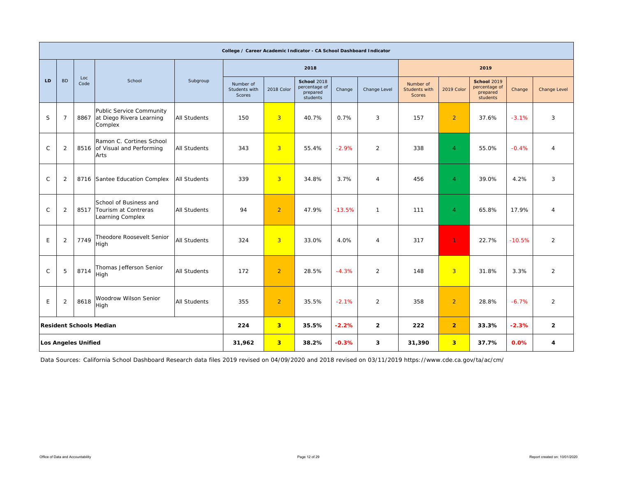|              |                |                     |                                                                        |                     | College / Career Academic Indicator - CA School Dashboard Indicator |                |                                                      |          |                |                                             |                |                                                             |          |                     |
|--------------|----------------|---------------------|------------------------------------------------------------------------|---------------------|---------------------------------------------------------------------|----------------|------------------------------------------------------|----------|----------------|---------------------------------------------|----------------|-------------------------------------------------------------|----------|---------------------|
|              |                |                     |                                                                        |                     |                                                                     |                | 2018                                                 |          |                |                                             |                | 2019                                                        |          |                     |
| LD.          | <b>BD</b>      | Loc<br>Code         | School                                                                 | Subgroup            | Number of<br>Students with<br>Scores                                | 2018 Color     | School 2018<br>percentage of<br>prepared<br>students | Change   | Change Level   | Number of<br>Students with<br><b>Scores</b> | 2019 Color     | <b>School 2019</b><br>percentage of<br>prepared<br>students | Change   | <b>Change Level</b> |
| S            | 7              | 8867                | <b>Public Service Community</b><br>at Diego Rivera Learning<br>Complex | <b>All Students</b> | 150                                                                 | $\overline{3}$ | 40.7%                                                | 0.7%     | 3              | 157                                         | $\overline{2}$ | 37.6%                                                       | $-3.1%$  | 3                   |
| $\mathsf{C}$ | $\overline{2}$ |                     | Ramon C. Cortines School<br>8516 of Visual and Performing<br>Arts      | <b>All Students</b> | 343                                                                 | $\overline{3}$ | 55.4%                                                | $-2.9%$  | $\overline{2}$ | 338                                         | $\overline{4}$ | 55.0%                                                       | $-0.4%$  | $\overline{4}$      |
| $\mathsf{C}$ | $\overline{2}$ |                     | 8716 Santee Education Complex                                          | <b>All Students</b> | 339                                                                 | $\overline{3}$ | 34.8%                                                | 3.7%     | $\overline{4}$ | 456                                         | $\overline{4}$ | 39.0%                                                       | 4.2%     | 3                   |
| $\mathsf{C}$ | $\overline{2}$ | 8517                | School of Business and<br>Tourism at Contreras<br>Learning Complex     | <b>All Students</b> | 94                                                                  | $\overline{2}$ | 47.9%                                                | $-13.5%$ | $\mathbf{1}$   | 111                                         | $\overline{4}$ | 65.8%                                                       | 17.9%    | $\overline{4}$      |
| E            | $\overline{2}$ | 7749                | Theodore Roosevelt Senior<br>High                                      | <b>All Students</b> | 324                                                                 | $\overline{3}$ | 33.0%                                                | 4.0%     | $\overline{4}$ | 317                                         | $\mathbf{1}$   | 22.7%                                                       | $-10.5%$ | $\overline{2}$      |
| $\mathsf{C}$ | 5              | 8714                | Thomas Jefferson Senior<br>High                                        | <b>All Students</b> | 172                                                                 | $\overline{2}$ | 28.5%                                                | $-4.3%$  | $\overline{2}$ | 148                                         | 3 <sup>2</sup> | 31.8%                                                       | 3.3%     | $\overline{2}$      |
| E            | $\overline{2}$ |                     | Woodrow Wilson Senior<br>High                                          | <b>All Students</b> | 355                                                                 | $\overline{2}$ | 35.5%                                                | $-2.1%$  | $\overline{2}$ | 358                                         | $\overline{2}$ | 28.8%                                                       | $-6.7%$  | $\overline{2}$      |
|              |                |                     | <b>Resident Schools Median</b>                                         |                     | 224                                                                 | 3 <sup>2</sup> | 35.5%                                                | $-2.2%$  | $\overline{2}$ | 222                                         | $\overline{2}$ | 33.3%                                                       | $-2.3%$  | $\mathbf{2}$        |
|              |                | Los Angeles Unified |                                                                        |                     | 31,962                                                              | $\overline{3}$ | 38.2%                                                | $-0.3%$  | 3              | 31,390                                      | 3 <sup>2</sup> | 37.7%                                                       | 0.0%     | 4                   |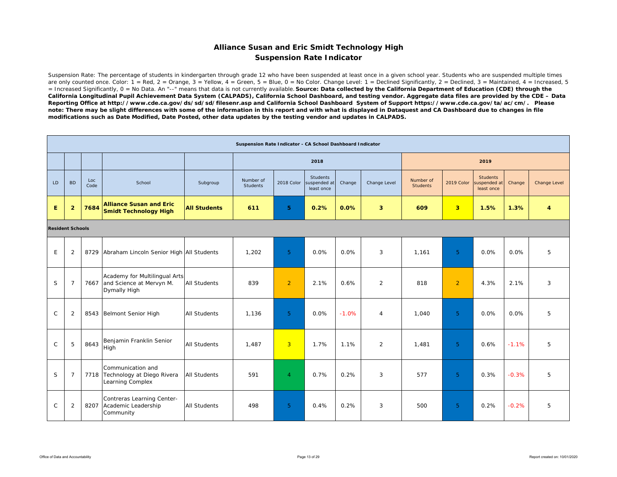### **Alliance Susan and Eric Smidt Technology High Suspension Rate Indicator**

Suspension Rate: The percentage of students in kindergarten through grade 12 who have been suspended at least once in a given school year. Students who are suspended multiple times are only counted once. Color:  $1 = \text{Red}$ ,  $2 = \text{Orange}$ ,  $3 = \text{Yellow}$ ,  $4 = \text{Green}$ ,  $5 = \text{Blue}$ ,  $0 = \text{No Color}$ . Change Level:  $1 = \text{Decimal}$  Significantly,  $2 = \text{Decimal}$ ,  $3 = \text{maintained}$ ,  $4 = \text{Increasing}$ ,  $5 = \text{Rel}$ = Increased Significantly, 0 = No Data. An "--" means that data is not currently available. *Source: Data collected by the California Department of Education (CDE) through the California Longitudinal Pupil Achievement Data System (CALPADS), California School Dashboard, and testing vendor. Aggregate data files are provided by the CDE – Data Reporting Office at http://www.cde.ca.gov/ds/sd/sd/filesenr.asp and California School Dashboard System of Support https://www.cde.ca.gov/ta/ac/cm/. Please note: There may be slight differences with some of the information in this report and with what is displayed in Dataquest and CA Dashboard due to changes in file modifications such as Date Modified, Date Posted, other data updates by the testing vendor and updates in CALPADS.* 

|                         |                |             |                                                                                |                     | Suspension Rate Indicator - CA School Dashboard Indicator |                |                                               |         |                         |                              |                         |                                               |         |              |
|-------------------------|----------------|-------------|--------------------------------------------------------------------------------|---------------------|-----------------------------------------------------------|----------------|-----------------------------------------------|---------|-------------------------|------------------------------|-------------------------|-----------------------------------------------|---------|--------------|
|                         |                |             |                                                                                |                     |                                                           |                | 2018                                          |         |                         |                              |                         | 2019                                          |         |              |
| LD                      | <b>BD</b>      | Loc<br>Code | School                                                                         | Subgroup            | Number of<br>Students                                     | 2018 Color     | <b>Students</b><br>suspended at<br>least once | Change  | Change Level            | Number of<br><b>Students</b> | 2019 Color              | <b>Students</b><br>suspended at<br>least once | Change  | Change Level |
| E                       | $\overline{2}$ | 7684        | <b>Alliance Susan and Eric</b><br><b>Smidt Technology High</b>                 | <b>All Students</b> | 611                                                       | 5              | 0.2%                                          | 0.0%    | $\overline{\mathbf{3}}$ | 609                          | $\overline{\mathbf{3}}$ | 1.5%                                          | 1.3%    | 4            |
| <b>Resident Schools</b> |                |             |                                                                                |                     |                                                           |                |                                               |         |                         |                              |                         |                                               |         |              |
| E                       | $\overline{2}$ |             | 8729 Abraham Lincoln Senior High All Students                                  |                     | 1.202                                                     | 5              | 0.0%                                          | 0.0%    | 3                       | 1.161                        | 5                       | 0.0%                                          | 0.0%    | 5            |
| S                       | $\overline{7}$ |             | Academy for Multilingual Arts<br>7667 and Science at Mervyn M.<br>Dymally High | <b>All Students</b> | 839                                                       | $\overline{2}$ | 2.1%                                          | 0.6%    | 2                       | 818                          | $\overline{2}$          | 4.3%                                          | 2.1%    | 3            |
| $\mathsf{C}$            | $\overline{2}$ |             | 8543 Belmont Senior High                                                       | <b>All Students</b> | 1.136                                                     | 5 <sup>5</sup> | 0.0%                                          | $-1.0%$ | $\overline{4}$          | 1.040                        | 5                       | 0.0%                                          | 0.0%    | 5            |
| $\mathsf{C}$            | 5              | 8643        | Benjamin Franklin Senior<br>High                                               | All Students        | 1,487                                                     | $\overline{3}$ | 1.7%                                          | 1.1%    | 2                       | 1,481                        | 5 <sup>1</sup>          | 0.6%                                          | $-1.1%$ | 5            |
| S                       | $\overline{7}$ |             | Communication and<br>7718 Technology at Diego Rivera<br>Learning Complex       | <b>All Students</b> | 591                                                       | $\overline{4}$ | 0.7%                                          | 0.2%    | 3                       | 577                          | 5 <sup>1</sup>          | 0.3%                                          | $-0.3%$ | 5            |
| $\mathsf{C}$            | $\overline{2}$ |             | Contreras Learning Center-<br>8207 Academic Leadership<br>Community            | <b>All Students</b> | 498                                                       | 5 <sup>5</sup> | 0.4%                                          | 0.2%    | 3                       | 500                          | 5 <sup>1</sup>          | 0.2%                                          | $-0.2%$ | 5            |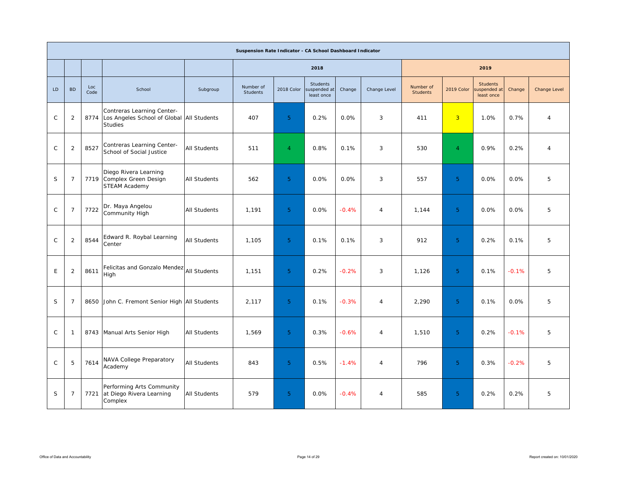|               |                |             |                                                                                             |                     | Suspension Rate Indicator - CA School Dashboard Indicator |                |                                        |         |                |                              |                |                                              |         |              |
|---------------|----------------|-------------|---------------------------------------------------------------------------------------------|---------------------|-----------------------------------------------------------|----------------|----------------------------------------|---------|----------------|------------------------------|----------------|----------------------------------------------|---------|--------------|
|               |                |             |                                                                                             |                     |                                                           |                | 2018                                   |         |                |                              |                | 2019                                         |         |              |
| LD            | <b>BD</b>      | Loc<br>Code | School                                                                                      | Subgroup            | Number of<br><b>Students</b>                              | 2018 Color     | Students<br>suspended at<br>least once | Change  | Change Level   | Number of<br><b>Students</b> | 2019 Color     | <b>Students</b><br>uspended at<br>least once | Change  | Change Level |
| $\mathsf{C}$  | $\overline{2}$ | 8774        | Contreras Learning Center-<br>Los Angeles School of Global   All Students<br><b>Studies</b> |                     | 407                                                       | 5 <sup>5</sup> | 0.2%                                   | 0.0%    | 3              | 411                          | $\overline{3}$ | 1.0%                                         | 0.7%    | 4            |
| $\mathsf{C}$  | $\overline{2}$ | 8527        | Contreras Learning Center-<br>School of Social Justice                                      | <b>All Students</b> | 511                                                       | $\overline{4}$ | 0.8%                                   | 0.1%    | 3              | 530                          | $\overline{4}$ | 0.9%                                         | 0.2%    | 4            |
| S             | $\overline{7}$ |             | Diego Rivera Learning<br>7719 Complex Green Design<br>STEAM Academy                         | <b>All Students</b> | 562                                                       | 5 <sup>°</sup> | 0.0%                                   | 0.0%    | 3              | 557                          | 5 <sup>1</sup> | 0.0%                                         | 0.0%    | 5            |
| $\mathsf{C}$  | $\overline{7}$ | 7722        | Dr. Maya Angelou<br>Community High                                                          | <b>All Students</b> | 1,191                                                     | 5 <sup>5</sup> | 0.0%                                   | $-0.4%$ | $\overline{4}$ | 1,144                        | 5 <sup>1</sup> | 0.0%                                         | 0.0%    | 5            |
| $\mathcal{C}$ | $\overline{2}$ | 8544        | Edward R. Roybal Learning<br>Center                                                         | <b>All Students</b> | 1.105                                                     | 5 <sup>°</sup> | 0.1%                                   | 0.1%    | 3              | 912                          | 5 <sup>°</sup> | 0.2%                                         | 0.1%    | 5            |
| E             | $\overline{2}$ | 8611        | Felicitas and Gonzalo Mendez All Students<br>High                                           |                     | 1,151                                                     | 5 <sup>°</sup> | 0.2%                                   | $-0.2%$ | 3              | 1,126                        | 5 <sup>°</sup> | 0.1%                                         | $-0.1%$ | 5            |
| S.            | $\overline{7}$ | 8650        | John C. Fremont Senior High All Students                                                    |                     | 2,117                                                     | 5 <sup>°</sup> | 0.1%                                   | $-0.3%$ | 4              | 2,290                        | 5 <sup>1</sup> | 0.1%                                         | 0.0%    | 5            |
| $\mathsf{C}$  | -1             |             | 8743 Manual Arts Senior High                                                                | <b>All Students</b> | 1,569                                                     | 5 <sup>°</sup> | 0.3%                                   | $-0.6%$ | 4              | 1,510                        | 5 <sup>1</sup> | 0.2%                                         | $-0.1%$ | 5            |
| $\mathcal{C}$ | 5              | 7614        | NAVA College Preparatory<br>Academy                                                         | All Students        | 843                                                       | 5 <sup>5</sup> | 0.5%                                   | $-1.4%$ | 4              | 796                          | 5 <sup>1</sup> | 0.3%                                         | $-0.2%$ | 5            |
| S             | $\overline{7}$ | 7721        | Performing Arts Community<br>at Diego Rivera Learning<br>Complex                            | <b>All Students</b> | 579                                                       | 5 <sup>°</sup> | 0.0%                                   | $-0.4%$ | 4              | 585                          | 5 <sup>°</sup> | 0.2%                                         | 0.2%    | 5            |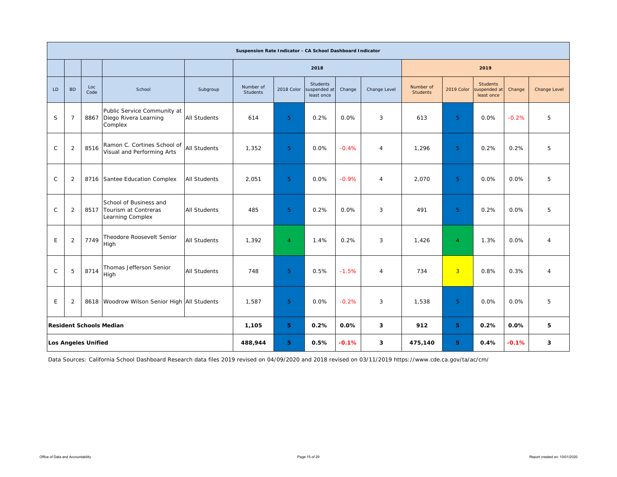|              |                                                                |                            |                                                                    |                     | Suspension Rate Indicator - CA School Dashboard Indicator |                |                                               |         |                |                              |                |                                               |         |                         |
|--------------|----------------------------------------------------------------|----------------------------|--------------------------------------------------------------------|---------------------|-----------------------------------------------------------|----------------|-----------------------------------------------|---------|----------------|------------------------------|----------------|-----------------------------------------------|---------|-------------------------|
|              |                                                                |                            |                                                                    |                     |                                                           |                | 2018                                          |         |                |                              |                | 2019                                          |         |                         |
| LD           | <b>BD</b>                                                      | Loc<br>Code                | School                                                             | Subgroup            | Number of<br><b>Students</b>                              | 2018 Color     | <b>Students</b><br>suspended at<br>least once | Change  | Change Level   | Number of<br><b>Students</b> | 2019 Color     | <b>Students</b><br>suspended at<br>least once | Change  | Change Level            |
| S            | $\overline{7}$                                                 | 8867                       | Public Service Community at<br>Diego Rivera Learning<br>Complex    | <b>All Students</b> | 614                                                       | 5 <sup>1</sup> | 0.2%                                          | 0.0%    | 3              | 613                          | 5 <sup>1</sup> | 0.0%                                          | $-0.2%$ | 5                       |
| $\mathsf{C}$ | $\overline{2}$                                                 | 8516                       | Ramon C. Cortines School of<br>Visual and Performing Arts          | <b>All Students</b> | 1,352                                                     | 5 <sup>1</sup> | 0.0%                                          | $-0.4%$ | $\overline{4}$ | 1,296                        | 5 <sup>1</sup> | 0.2%                                          | 0.2%    | 5                       |
| $\mathsf{C}$ | $\overline{2}$                                                 |                            | 8716 Santee Education Complex                                      | <b>All Students</b> | 2,051                                                     | 5 <sup>1</sup> | 0.0%                                          | $-0.9%$ | $\overline{4}$ | 2,070                        | 5 <sup>1</sup> | 0.0%                                          | 0.0%    | 5                       |
| $\mathsf{C}$ | $\overline{2}$                                                 | 8517                       | School of Business and<br>Tourism at Contreras<br>Learning Complex | <b>All Students</b> | 485                                                       | 5 <sup>1</sup> | 0.2%                                          | 0.0%    | 3              | 491                          | 5 <sup>1</sup> | 0.2%                                          | 0.0%    | 5                       |
| E            | $\overline{2}$                                                 | 7749                       | Theodore Roosevelt Senior<br>High                                  | <b>All Students</b> | 1,392                                                     | $\overline{4}$ | 1.4%                                          | 0.2%    | 3              | 1,426                        | $\overline{4}$ | 1.3%                                          | 0.0%    | $\overline{4}$          |
| $\mathsf{C}$ | 5                                                              | 8714                       | Thomas Jefferson Senior<br>High                                    | <b>All Students</b> | 748                                                       | 5 <sup>5</sup> | 0.5%                                          | $-1.5%$ | $\overline{4}$ | 734                          | 3 <sup>1</sup> | 0.8%                                          | 0.3%    | 4                       |
| E            | 8618 Woodrow Wilson Senior High All Students<br>$\overline{2}$ |                            |                                                                    | 1,587               | 5 <sup>°</sup>                                            | 0.0%           | $-0.2%$                                       | 3       | 1,538          | 5 <sup>1</sup>               | 0.0%           | 0.0%                                          | 5       |                         |
|              |                                                                |                            | <b>Resident Schools Median</b>                                     |                     | 1,105                                                     | 5              | 0.2%                                          | 0.0%    | 3              | 912                          | 5              | 0.2%                                          | 0.0%    | 5                       |
|              |                                                                | <b>Los Angeles Unified</b> |                                                                    |                     | 488,944                                                   | 5.             | 0.5%                                          | $-0.1%$ | 3              | 475,140                      | 5.             | 0.4%                                          | $-0.1%$ | $\overline{\mathbf{3}}$ |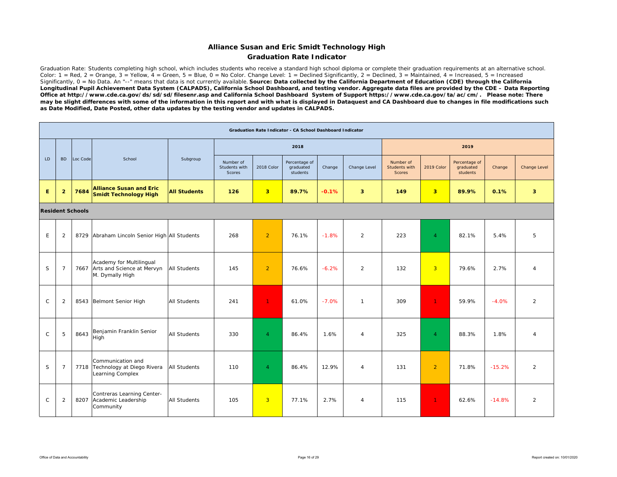### **Alliance Susan and Eric Smidt Technology High Graduation Rate Indicator**

Graduation Rate: Students completing high school, which includes students who receive a standard high school diploma or complete their graduation requirements at an alternative school. Color: 1 = Red, 2 = Orange, 3 = Yellow,  $\overline{4}$  = Green, 5 = Blue, 0 = No Color. Change Level: 1 = Declined Significantly, 2 = Declined, 3 = Maintained, 4 = Increased, 5 = Increased Significantly, 0 = No Data. An "--" means that data is not currently available. **Source: Data collected by the California Department of Education (CDE) through the California** *Longitudinal Pupil Achievement Data System (CALPADS), California School Dashboard, and testing vendor. Aggregate data files are provided by the CDE – Data Reporting Office at http://www.cde.ca.gov/ds/sd/sd/filesenr.asp and California School Dashboard System of Support https://www.cde.ca.gov/ta/ac/cm/. Please note: There may be slight differences with some of the information in this report and with what is displayed in Dataquest and CA Dashboard due to changes in file modifications such as Date Modified, Date Posted, other data updates by the testing vendor and updates in CALPADS.* 

|              |                |                         |                                                                                |                     |                                      |                | Graduation Rate Indicator - CA School Dashboard Indicator |         |                         |                                             |                         |                                        |          |                |
|--------------|----------------|-------------------------|--------------------------------------------------------------------------------|---------------------|--------------------------------------|----------------|-----------------------------------------------------------|---------|-------------------------|---------------------------------------------|-------------------------|----------------------------------------|----------|----------------|
|              |                |                         |                                                                                |                     |                                      |                | 2018                                                      |         |                         |                                             |                         | 2019                                   |          |                |
| LD.          | <b>BD</b>      | Loc Code                | School                                                                         | Subgroup            | Number of<br>Students with<br>Scores | 2018 Color     | Percentage of<br>graduated<br>students                    | Change  | Change Level            | Number of<br>Students with<br><b>Scores</b> | 2019 Color              | Percentage of<br>graduated<br>students | Change   | Change Level   |
| E.           | $\overline{2}$ | 7684                    | <b>Alliance Susan and Eric</b><br>Smidt Technology High                        | <b>All Students</b> | 126                                  | 3 <sup>1</sup> | 89.7%                                                     | $-0.1%$ | $\overline{\mathbf{3}}$ | 149                                         | $\overline{\mathbf{3}}$ | 89.9%                                  | 0.1%     | 3 <sup>2</sup> |
|              |                | <b>Resident Schools</b> |                                                                                |                     |                                      |                |                                                           |         |                         |                                             |                         |                                        |          |                |
| E            | $\overline{2}$ | 8729                    | Abraham Lincoln Senior High All Students                                       |                     | 268                                  | $\overline{2}$ | 76.1%                                                     | $-1.8%$ | $\overline{2}$          | 223                                         | $\overline{4}$          | 82.1%                                  | 5.4%     | 5              |
| S            | $\overline{7}$ |                         | Academy for Multilingual<br>7667 Arts and Science at Mervyn<br>M. Dymally High | <b>All Students</b> | 145                                  | $\overline{2}$ | 76.6%                                                     | $-6.2%$ | $\overline{2}$          | 132                                         | $\overline{3}$          | 79.6%                                  | 2.7%     | $\overline{4}$ |
| $\mathsf{C}$ | 2              |                         | 8543 Belmont Senior High                                                       | <b>All Students</b> | 241                                  | $\mathbf{1}$   | 61.0%                                                     | $-7.0%$ | $\mathbf{1}$            | 309                                         | $\mathbf{1}$            | 59.9%                                  | $-4.0%$  | $\overline{2}$ |
| $\mathsf{C}$ | 5              | 8643                    | Benjamin Franklin Senior<br>High                                               | <b>All Students</b> | 330                                  | $\overline{4}$ | 86.4%                                                     | 1.6%    | $\overline{4}$          | 325                                         | $\overline{4}$          | 88.3%                                  | 1.8%     | $\overline{4}$ |
| S            | $\overline{7}$ |                         | Communication and<br>7718 Technology at Diego Rivera<br>Learning Complex       | <b>All Students</b> | 110                                  | $\overline{4}$ | 86.4%                                                     | 12.9%   | $\overline{4}$          | 131                                         | $\overline{2}$          | 71.8%                                  | $-15.2%$ | $\overline{2}$ |
| $\mathsf{C}$ | 2              |                         | Contreras Learning Center-<br>8207 Academic Leadership<br>Community            | <b>All Students</b> | 105                                  | 3 <sup>1</sup> | 77.1%                                                     | 2.7%    | $\overline{4}$          | 115                                         | $\mathbf{1}$            | 62.6%                                  | $-14.8%$ | $\overline{2}$ |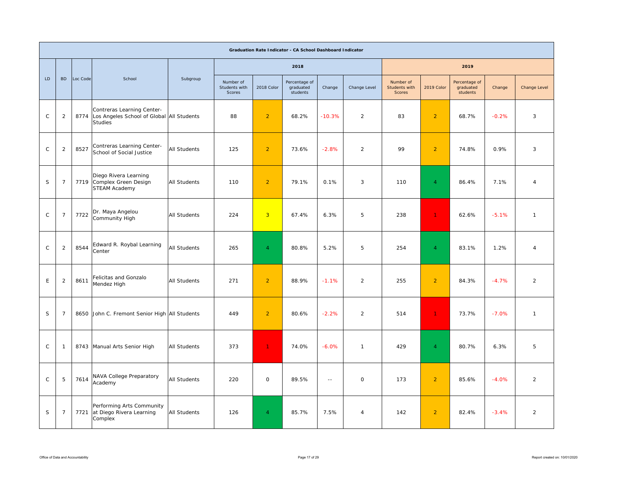|              |                |          |                                                                                           |              |                                      |                     | Graduation Rate Indicator - CA School Dashboard Indicator |               |                |                                      |                 |                                        |         |                |
|--------------|----------------|----------|-------------------------------------------------------------------------------------------|--------------|--------------------------------------|---------------------|-----------------------------------------------------------|---------------|----------------|--------------------------------------|-----------------|----------------------------------------|---------|----------------|
|              |                |          |                                                                                           |              |                                      |                     | 2018                                                      |               |                |                                      |                 | 2019                                   |         |                |
| LD           | <b>BD</b>      | Loc Code | School                                                                                    | Subgroup     | Number of<br>Students with<br>Scores | 2018 Color          | Percentage of<br>graduated<br>students                    | Change        | Change Level   | Number of<br>Students with<br>Scores | 2019 Color      | Percentage of<br>graduated<br>students | Change  | Change Level   |
| $\mathsf{C}$ | $\overline{2}$ | 8774     | Contreras Learning Center-<br>Los Angeles School of Global All Students<br><b>Studies</b> |              | 88                                   | $\overline{2}$      | 68.2%                                                     | $-10.3%$      | $\overline{2}$ | 83                                   | $\overline{2}$  | 68.7%                                  | $-0.2%$ | 3              |
| $\mathsf C$  | 2              | 8527     | Contreras Learning Center-<br>School of Social Justice                                    | All Students | 125                                  | $\overline{2}$      | 73.6%                                                     | $-2.8%$       | $\overline{2}$ | 99                                   | $\overline{2}$  | 74.8%                                  | 0.9%    | 3              |
| S            | $\overline{7}$ | 7719     | Diego Rivera Learning<br>Complex Green Design<br>STEAM Academy                            | All Students | 110                                  | $\overline{2}$      | 79.1%                                                     | 0.1%          | 3              | 110                                  | $\overline{4}$  | 86.4%                                  | 7.1%    | $\overline{4}$ |
| $\mathsf{C}$ | $\overline{7}$ | 7722     | Dr. Maya Angelou<br>Community High                                                        | All Students | 224                                  | $\overline{3}$      | 67.4%                                                     | 6.3%          | 5              | 238                                  | $\mathbf{1}$    | 62.6%                                  | $-5.1%$ | $\overline{1}$ |
| $\mathsf C$  | 2              | 8544     | Edward R. Roybal Learning<br>Center                                                       | All Students | 265                                  | $\overline{4}$      | 80.8%                                                     | 5.2%          | 5              | 254                                  | $\blacklozenge$ | 83.1%                                  | 1.2%    | $\overline{4}$ |
| $\mathsf E$  | 2              | 8611     | Felicitas and Gonzalo<br>Mendez High                                                      | All Students | 271                                  | $\overline{2}$      | 88.9%                                                     | $-1.1%$       | $\overline{2}$ | 255                                  | $\overline{2}$  | 84.3%                                  | $-4.7%$ | 2              |
| $\mathsf S$  | $\overline{7}$ | 8650     | John C. Fremont Senior High All Students                                                  |              | 449                                  | $\overline{2}$      | 80.6%                                                     | $-2.2%$       | $\overline{2}$ | 514                                  | $\mathbf{1}$    | 73.7%                                  | $-7.0%$ | $\overline{1}$ |
| $\mathsf{C}$ | $\mathbf{1}$   |          | 8743 Manual Arts Senior High                                                              | All Students | 373                                  | $\blacklozenge$     | 74.0%                                                     | $-6.0%$       | $\mathbf{1}$   | 429                                  | $\overline{4}$  | 80.7%                                  | 6.3%    | 5              |
| $\mathsf{C}$ | 5              | 7614     | NAVA College Preparatory<br>Academy                                                       | All Students | 220                                  | $\mathsf{O}\xspace$ | 89.5%                                                     | $\sim$ $\sim$ | $\circ$        | 173                                  | $\overline{2}$  | 85.6%                                  | $-4.0%$ | $\overline{2}$ |
| S            | $\overline{7}$ | 7721     | Performing Arts Community<br>at Diego Rivera Learning<br>Complex                          | All Students | 126                                  | $\overline{4}$      | 85.7%                                                     | 7.5%          | $\overline{4}$ | 142                                  | $\overline{2}$  | 82.4%                                  | $-3.4%$ | 2              |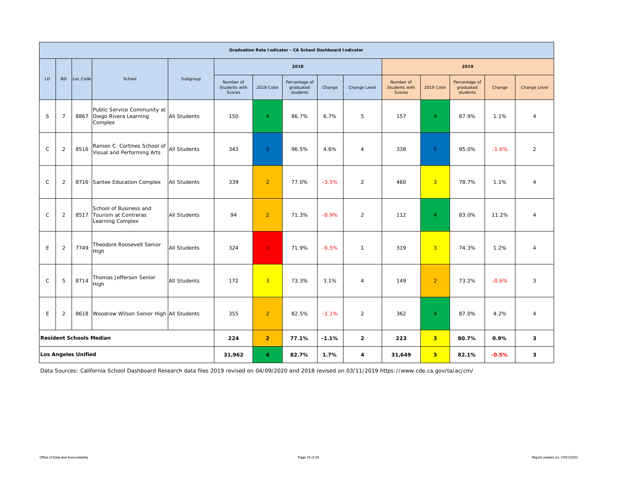|              |                                                                |                            |                                                                         |                     |                                      |                | Graduation Rate Indicator - CA School Dashboard Indicator |                |                |                                      |                         |                                        |         |                     |
|--------------|----------------------------------------------------------------|----------------------------|-------------------------------------------------------------------------|---------------------|--------------------------------------|----------------|-----------------------------------------------------------|----------------|----------------|--------------------------------------|-------------------------|----------------------------------------|---------|---------------------|
|              |                                                                |                            |                                                                         |                     |                                      |                | 2018                                                      |                |                |                                      |                         | 2019                                   |         |                     |
| LD           | <b>BD</b>                                                      | Loc Code                   | School                                                                  | Subgroup            | Number of<br>Students with<br>Scores | 2018 Color     | Percentage of<br>graduated<br>students                    | Change         | Change Level   | Number of<br>Students with<br>Scores | 2019 Color              | Percentage of<br>graduated<br>students | Change  | <b>Change Level</b> |
| S            | $\overline{7}$                                                 | 8867                       | Public Service Community at<br>Diego Rivera Learning<br>Complex         | <b>All Students</b> | 150                                  | $\overline{4}$ | 86.7%                                                     | 6.7%           | 5              | 157                                  | $\overline{4}$          | 87.9%                                  | 1.1%    | $\overline{4}$      |
| $\mathsf C$  | $\overline{2}$                                                 | 8516                       | Ramon C. Cortines School of<br>Visual and Performing Arts               | <b>All Students</b> | 343                                  | 5 <sup>5</sup> | 96.5%                                                     | 4.6%           | $\overline{4}$ | 338                                  | 5 <sub>5</sub>          | 95.0%                                  | $-1.6%$ | $\overline{2}$      |
| $\mathsf{C}$ | $\overline{2}$                                                 |                            | 8716 Santee Education Complex                                           | <b>All Students</b> | 339                                  | $\overline{2}$ | 77.0%                                                     | $-3.5%$        | $\overline{2}$ | 460                                  | $\overline{3}$          | 78.7%                                  | 1.1%    | $\overline{4}$      |
| $\mathsf{C}$ | $\overline{2}$                                                 |                            | School of Business and<br>8517 Tourism at Contreras<br>Learning Complex | <b>All Students</b> | 94                                   | $\overline{2}$ | 71.3%                                                     | $-8.9%$        | 2              | 112                                  | $\overline{4}$          | 83.0%                                  | 11.2%   | $\overline{4}$      |
| E            | 2                                                              | 7749                       | Theodore Roosevelt Senior<br>High                                       | <b>All Students</b> | 324                                  | $\mathbf{1}$   | 71.9%                                                     | $-6.5%$        | $\mathbf{1}$   | 319                                  | $\overline{3}$          | 74.3%                                  | 1.2%    | $\overline{4}$      |
| $\mathsf{C}$ | Thomas Jefferson Senior<br>8714<br>5<br>All Students<br>High   |                            |                                                                         | 172                 | $\overline{3}$                       | 73.3%          | 3.1%                                                      | $\overline{4}$ | 149            | $\overline{2}$                       | 73.2%                   | $-0.6%$                                | 3       |                     |
| E            | 8618 Woodrow Wilson Senior High All Students<br>$\overline{2}$ |                            |                                                                         | 355                 | $\overline{2}$                       | 82.5%          | $-1.1%$                                                   | $\overline{2}$ | 362            | $\overline{4}$                       | 87.0%                   | 4.2%                                   | 4       |                     |
|              |                                                                |                            | <b>Resident Schools Median</b>                                          |                     | 224                                  | $\overline{2}$ | 77.1%                                                     | $-1.1%$        | $\overline{2}$ | 223                                  | $\overline{\mathbf{3}}$ | 80.7%                                  | 0.9%    | 3                   |
|              |                                                                | <b>Los Angeles Unified</b> |                                                                         |                     | 31,962                               | $\overline{4}$ | 82.7%                                                     | 1.7%           | 4              | 31,649                               | 3                       | 82.1%                                  | $-0.5%$ | 3                   |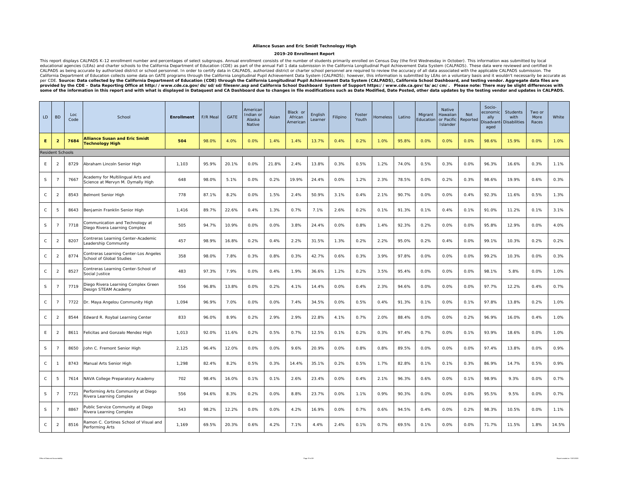### **Alliance Susan and Eric Smidt Technology High**

#### **2019-20 Enrollment Report**

This report displays CALPADS K-12 enrollment number and percentages of select subgroups. Annual enrollment consists of the number of students primarily enrolled on Census Day (the first Wednesday in October). This informat CALPADS as being accurate by authorized district or school personnel. In order to certify data in CALPADS, authorized district or charter school personnel are required to review the accuracy of all data associated with the provided by the CDE – Data Reporting Office at http://www.cde.ca.gov/ds/sd/sd/filesenr.asp and California School Dashboard System of Support https://www.cde.ca.gov/ta/ac/cm/. Please note: There may be slight differences

| LD.          | <b>BD</b>               | Loc<br>Code | School                                                                 | <b>Enrollment</b> | F/R Meal | GATE  | American<br>Indian or<br>Alaska<br>Native | Asian | Black or<br>African<br>American | English<br>Learner | Filipino | Foster<br>Youth | Homeless | Latino | Migrant<br>Education | <b>Native</b><br>Hawaiian<br>or Pacific<br>Islander | Not<br>Reported | Socio-<br>economic<br>ally<br>Disadvant<br>aged | Students<br>with<br><b>Disabilities</b> | Two or<br>More<br>Races | White |
|--------------|-------------------------|-------------|------------------------------------------------------------------------|-------------------|----------|-------|-------------------------------------------|-------|---------------------------------|--------------------|----------|-----------------|----------|--------|----------------------|-----------------------------------------------------|-----------------|-------------------------------------------------|-----------------------------------------|-------------------------|-------|
| Ε.           | $\overline{2}$          | 7684        | <b>Alliance Susan and Eric Smidt</b><br><b>Technology High</b>         | 504               | 98.0%    | 4.0%  | 0.0%                                      | 1.4%  | 1.4%                            | 13.7%              | 0.4%     | 0.2%            | 1.0%     | 95.8%  | 0.0%                 | 0.0%                                                | 0.0%            | 98.6%                                           | 15.9%                                   | 0.0%                    | 1.0%  |
|              | <b>Resident Schools</b> |             |                                                                        |                   |          |       |                                           |       |                                 |                    |          |                 |          |        |                      |                                                     |                 |                                                 |                                         |                         |       |
| E            | $\overline{2}$          | 8729        | Abraham Lincoln Senior High                                            | 1,103             | 95.9%    | 20.1% | 0.0%                                      | 21.8% | 2.4%                            | 13.8%              | 0.3%     | 0.5%            | 1.2%     | 74.0%  | 0.5%                 | 0.3%                                                | 0.0%            | 96.3%                                           | 16.6%                                   | 0.3%                    | 1.1%  |
| S            | $\overline{7}$          | 7667        | Academy for Multilingual Arts and<br>Science at Mervyn M. Dymally High | 648               | 98.0%    | 5.1%  | 0.0%                                      | 0.2%  | 19.9%                           | 24.4%              | 0.0%     | 1.2%            | 2.3%     | 78.5%  | 0.0%                 | 0.2%                                                | 0.3%            | 98.6%                                           | 19.9%                                   | 0.6%                    | 0.3%  |
| $\mathsf{C}$ | $\overline{2}$          | 8543        | Belmont Senior High                                                    | 778               | 87.1%    | 8.2%  | 0.0%                                      | 1.5%  | 2.4%                            | 50.9%              | 3.1%     | 0.4%            | 2.1%     | 90.7%  | 0.0%                 | 0.0%                                                | 0.4%            | 92.3%                                           | 11.6%                                   | 0.5%                    | 1.3%  |
| $\mathsf{C}$ | 5                       | 8643        | Benjamin Franklin Senior High                                          | 1,416             | 89.7%    | 22.6% | 0.4%                                      | 1.3%  | 0.7%                            | 7.1%               | 2.6%     | 0.2%            | 0.1%     | 91.3%  | 0.1%                 | 0.4%                                                | 0.1%            | 91.0%                                           | 11.2%                                   | 0.1%                    | 3.1%  |
| S            | $\overline{7}$          | 7718        | Communication and Technology at<br>Diego Rivera Learning Complex       | 505               | 94.7%    | 10.9% | 0.0%                                      | 0.0%  | 3.8%                            | 24.4%              | 0.0%     | 0.8%            | 1.4%     | 92.3%  | 0.2%                 | 0.0%                                                | 0.0%            | 95.8%                                           | 12.9%                                   | 0.0%                    | 4.0%  |
| $\mathsf{C}$ | $\overline{2}$          | 8207        | Contreras Learning Center-Academic<br>Leadership Community             | 457               | 98.9%    | 16.8% | 0.2%                                      | 0.4%  | 2.2%                            | 31.5%              | 1.3%     | 0.2%            | 2.2%     | 95.0%  | 0.2%                 | 0.4%                                                | 0.0%            | 99.1%                                           | 10.3%                                   | 0.2%                    | 0.2%  |
| $\mathsf{C}$ | $\overline{2}$          | 8774        | Contreras Learning Center-Los Angeles<br>School of Global Studies      | 358               | 98.0%    | 7.8%  | 0.3%                                      | 0.8%  | 0.3%                            | 42.7%              | 0.6%     | 0.3%            | 3.9%     | 97.8%  | 0.0%                 | 0.0%                                                | 0.0%            | 99.2%                                           | 10.3%                                   | 0.0%                    | 0.3%  |
| C            | $\overline{2}$          | 8527        | Contreras Learning Center-School of<br>Social Justice                  | 483               | 97.3%    | 7.9%  | 0.0%                                      | 0.4%  | 1.9%                            | 36.6%              | 1.2%     | 0.2%            | 3.5%     | 95.4%  | 0.0%                 | 0.0%                                                | 0.0%            | 98.1%                                           | 5.8%                                    | 0.0%                    | 1.0%  |
| S            | $\overline{7}$          | 7719        | Diego Rivera Learning Complex Green<br>Design STEAM Academy            | 556               | 96.8%    | 13.8% | 0.0%                                      | 0.2%  | 4.1%                            | 14.4%              | 0.0%     | 0.4%            | 2.3%     | 94.6%  | 0.0%                 | 0.0%                                                | 0.0%            | 97.7%                                           | 12.2%                                   | 0.4%                    | 0.7%  |
| $\mathsf C$  | $\overline{7}$          | 7722        | Dr. Maya Angelou Community High                                        | 1,094             | 96.9%    | 7.0%  | 0.0%                                      | 0.0%  | 7.4%                            | 34.5%              | 0.0%     | 0.5%            | 0.4%     | 91.3%  | 0.1%                 | 0.0%                                                | 0.1%            | 97.8%                                           | 13.8%                                   | 0.2%                    | 1.0%  |
| C            | $\overline{2}$          | 8544        | Edward R. Roybal Learning Center                                       | 833               | 96.0%    | 8.9%  | 0.2%                                      | 2.9%  | 2.9%                            | 22.8%              | 4.1%     | 0.7%            | 2.0%     | 88.4%  | 0.0%                 | 0.0%                                                | 0.2%            | 96.9%                                           | 16.0%                                   | 0.4%                    | 1.0%  |
| E            | $\overline{2}$          | 8611        | Felicitas and Gonzalo Mendez High                                      | 1,013             | 92.0%    | 11.6% | 0.2%                                      | 0.5%  | 0.7%                            | 12.5%              | 0.1%     | 0.2%            | 0.3%     | 97.4%  | 0.7%                 | 0.0%                                                | 0.1%            | 93.9%                                           | 18.6%                                   | 0.0%                    | 1.0%  |
| S            | $\overline{7}$          | 8650        | John C. Fremont Senior High                                            | 2,125             | 96.4%    | 12.0% | 0.0%                                      | 0.0%  | 9.6%                            | 20.9%              | 0.0%     | 0.8%            | 0.8%     | 89.5%  | 0.0%                 | 0.0%                                                | 0.0%            | 97.4%                                           | 13.8%                                   | 0.0%                    | 0.9%  |
| $\mathsf{C}$ | $\mathbf{1}$            | 8743        | Manual Arts Senior High                                                | 1,298             | 82.4%    | 8.2%  | 0.5%                                      | 0.3%  | 14.4%                           | 35.1%              | 0.2%     | 0.5%            | 1.7%     | 82.8%  | 0.1%                 | 0.1%                                                | 0.3%            | 86.9%                                           | 14.7%                                   | 0.5%                    | 0.9%  |
| $\mathsf{C}$ | 5                       | 7614        | NAVA College Preparatory Academy                                       | 702               | 98.4%    | 16.0% | 0.1%                                      | 0.1%  | 2.6%                            | 23.4%              | 0.0%     | 0.4%            | 2.1%     | 96.3%  | 0.6%                 | 0.0%                                                | 0.1%            | 98.9%                                           | 9.3%                                    | 0.0%                    | 0.7%  |
| S            | -7                      | 7721        | Performing Arts Community at Diego<br>Rivera Learning Complex          | 556               | 94.6%    | 8.3%  | 0.2%                                      | 0.0%  | 8.8%                            | 23.7%              | 0.0%     | 1.1%            | 0.9%     | 90.3%  | 0.0%                 | 0.0%                                                | 0.0%            | 95.5%                                           | 9.5%                                    | 0.0%                    | 0.7%  |
| S            | -7                      | 8867        | Public Service Community at Diego<br>Rivera Learning Complex           | 543               | 98.2%    | 12.2% | 0.0%                                      | 0.0%  | 4.2%                            | 16.9%              | 0.0%     | 0.7%            | 0.6%     | 94.5%  | 0.4%                 | 0.0%                                                | 0.2%            | 98.3%                                           | 10.5%                                   | 0.0%                    | 1.1%  |
| $\mathsf{C}$ | $\overline{2}$          | 8516        | Ramon C. Cortines School of Visual and<br>Performing Arts              | 1,169             | 69.5%    | 20.3% | 0.6%                                      | 4.2%  | 7.1%                            | 4.4%               | 2.4%     | 0.1%            | 0.7%     | 69.5%  | 0.1%                 | 0.0%                                                | 0.0%            | 71.7%                                           | 11.5%                                   | 1.8%                    | 14.5% |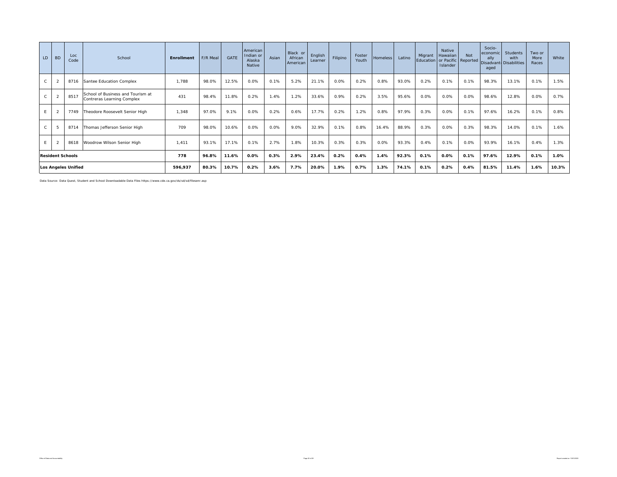| LD.          | <b>BD</b>               | Loc<br>Code                | School                                                          | Enrollment | F/R Meal | <b>GATE</b> | American<br>Indian or<br>Alaska<br>Native | Asian | Black or<br>African<br>American | English<br>Learner | Filipino | Foster<br>Youth | <b>Homeless</b> | Latino | Migrant<br>Education or Pacific Reported | Native<br>Hawaiian<br>Islander | Not  | Socio-<br>economic<br>ally<br>aged | Students<br>with<br>Disadvant Disabilities | Two or<br>More<br>Races | White |
|--------------|-------------------------|----------------------------|-----------------------------------------------------------------|------------|----------|-------------|-------------------------------------------|-------|---------------------------------|--------------------|----------|-----------------|-----------------|--------|------------------------------------------|--------------------------------|------|------------------------------------|--------------------------------------------|-------------------------|-------|
|              | $\overline{2}$          | 8716                       | Santee Education Complex                                        | 1.788      | 98.0%    | 12.5%       | 0.0%                                      | 0.1%  | 5.2%                            | 21.1%              | 0.0%     | 0.2%            | 0.8%            | 93.0%  | 0.2%                                     | 0.1%                           | 0.1% | 98.3%                              | 13.1%                                      | 0.1%                    | 1.5%  |
| C            | $\overline{2}$          | 8517                       | School of Business and Tourism at<br>Contreras Learning Complex | 431        | 98.4%    | 11.8%       | 0.2%                                      | 1.4%  | 1.2%                            | 33.6%              | 0.9%     | 0.2%            | 3.5%            | 95.6%  | 0.0%                                     | 0.0%                           | 0.0% | 98.6%                              | 12.8%                                      | 0.0%                    | 0.7%  |
| E.           | $\overline{2}$          | 7749                       | Theodore Roosevelt Senior High                                  | 1,348      | 97.0%    | 9.1%        | 0.0%                                      | 0.2%  | 0.6%                            | 17.7%              | 0.2%     | 1.2%            | 0.8%            | 97.9%  | 0.3%                                     | 0.0%                           | 0.1% | 97.6%                              | 16.2%                                      | 0.1%                    | 0.8%  |
| $\mathsf{C}$ | $\overline{5}$          | 8714                       | Thomas Jefferson Senior High                                    | 709        | 98.0%    | 10.6%       | 0.0%                                      | 0.0%  | 9.0%                            | 32.9%              | 0.1%     | 0.8%            | 16.4%           | 88.9%  | 0.3%                                     | 0.0%                           | 0.3% | 98.3%                              | 14.0%                                      | 0.1%                    | 1.6%  |
| E.           |                         | 8618                       | Woodrow Wilson Senior High                                      | 1.411      | 93.1%    | 17.1%       | 0.1%                                      | 2.7%  | 1.8%                            | 10.3%              | 0.3%     | 0.3%            | 0.0%            | 93.3%  | 0.4%                                     | 0.1%                           | 0.0% | 93.9%                              | 16.1%                                      | 0.4%                    | 1.3%  |
|              | <b>Resident Schools</b> |                            |                                                                 | 778        | 96.8%    | 11.6%       | 0.0%                                      | 0.3%  | 2.9%                            | 23.4%              | 0.2%     | 0.4%            | 1.4%            | 92.3%  | 0.1%                                     | 0.0%                           | 0.1% | 97.6%                              | 12.9%                                      | 0.1%                    | 1.0%  |
|              |                         | <b>Los Angeles Unified</b> |                                                                 | 596,937    | 80.3%    | 10.7%       | 0.2%                                      | 3.6%  | 7.7%                            | 20.0%              | 1.9%     | 0.7%            | 1.3%            | 74.1%  | 0.1%                                     | 0.2%                           | 0.4% | 81.5%                              | 11.4%                                      | 1.6%                    | 10.3% |

Data Source: Data Quest, Student and School Downloadable Data Files https://www.cde.ca.gov/ds/sd/sd/filesenr.asp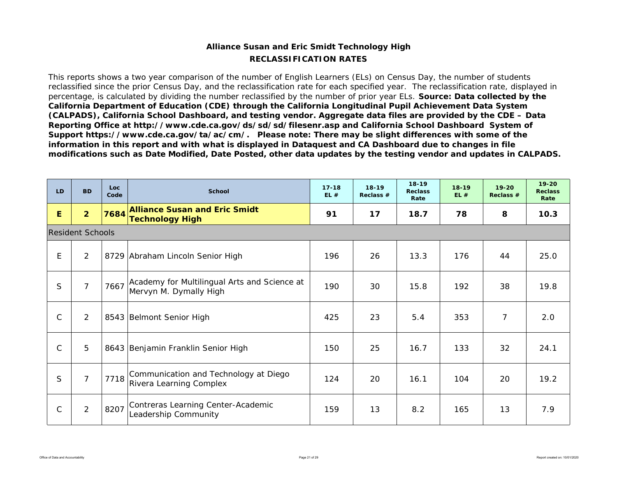## **RECLASSIFICATION RATESAlliance Susan and Eric Smidt Technology High**

This reports shows a two year comparison of the number of English Learners (ELs) on Census Day, the number of students reclassified since the prior Census Day, and the reclassification rate for each specified year. The reclassification rate, displayed in percentage, is calculated by dividing the number reclassified by the number of prior year ELs. *Source: Data collected by the California Department of Education (CDE) through the California Longitudinal Pupil Achievement Data System (CALPADS), California School Dashboard, and testing vendor. Aggregate data files are provided by the CDE – Data Reporting Office at http://www.cde.ca.gov/ds/sd/sd/filesenr.asp and California School Dashboard System of Support https://www.cde.ca.gov/ta/ac/cm/. Please note: There may be slight differences with some of the information in this report and with what is displayed in Dataquest and CA Dashboard due to changes in file modifications such as Date Modified, Date Posted, other data updates by the testing vendor and updates in CALPADS.* 

| LD           | <b>BD</b>               | Loc<br>Code | <b>School</b>                                                          | $17 - 18$<br>EL# | $18-19$<br>Reclass $#$ | $18 - 19$<br><b>Reclass</b><br>Rate | $18 - 19$<br>EL# | $19 - 20$<br>Reclass $#$ | $19 - 20$<br><b>Reclass</b><br>Rate |
|--------------|-------------------------|-------------|------------------------------------------------------------------------|------------------|------------------------|-------------------------------------|------------------|--------------------------|-------------------------------------|
| E            | $\overline{2}$          | 7684        | <b>Alliance Susan and Eric Smidt</b><br><b>Technology High</b>         | 91               | 17                     | 18.7                                | 78               | 8                        | 10.3                                |
|              | <b>Resident Schools</b> |             |                                                                        |                  |                        |                                     |                  |                          |                                     |
| E            | 2                       |             | 8729 Abraham Lincoln Senior High                                       | 196              | 26                     | 13.3                                | 176              | 44                       | 25.0                                |
| S            | $\overline{7}$          | 7667        | Academy for Multilingual Arts and Science at<br>Mervyn M. Dymally High | 190              | 30                     | 15.8                                | 192              | 38                       | 19.8                                |
| $\mathsf{C}$ | 2                       |             | 8543 Belmont Senior High                                               | 425              | 23                     | 5.4                                 | 353              | $\overline{7}$           | 2.0                                 |
| $\mathsf{C}$ | 5                       |             | 8643 Benjamin Franklin Senior High                                     | 150              | 25                     | 16.7                                | 133              | 32                       | 24.1                                |
| S            | $\overline{7}$          | 7718        | Communication and Technology at Diego<br>Rivera Learning Complex       | 124              | 20                     | 16.1                                | 104              | 20                       | 19.2                                |
| $\mathsf{C}$ | $\overline{2}$          | 8207        | Contreras Learning Center-Academic<br>Leadership Community             | 159              | 13                     | 8.2                                 | 165              | 13                       | 7.9                                 |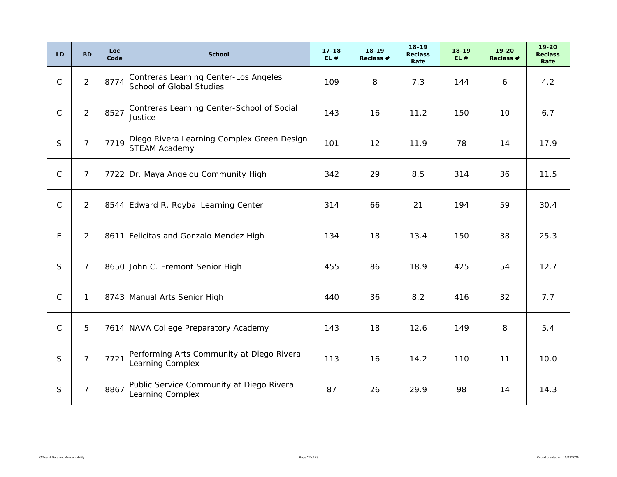| LD.          | <b>BD</b>      | Loc.<br>Code | <b>School</b>                                                            | $17 - 18$<br>EL# | $18 - 19$<br>Reclass $#$ | $18 - 19$<br><b>Reclass</b><br>Rate | $18 - 19$<br>EL# | $19 - 20$<br>Reclass # | $19 - 20$<br><b>Reclass</b><br>Rate |
|--------------|----------------|--------------|--------------------------------------------------------------------------|------------------|--------------------------|-------------------------------------|------------------|------------------------|-------------------------------------|
| $\mathsf{C}$ | $\overline{2}$ | 8774         | Contreras Learning Center-Los Angeles<br><b>School of Global Studies</b> | 109              | 8                        | 7.3                                 | 144              | 6                      | 4.2                                 |
| $\mathsf{C}$ | $\overline{2}$ | 8527         | Contreras Learning Center-School of Social<br>Justice                    | 143              | 16                       | 11.2                                | 150              | 10                     | 6.7                                 |
| S.           | 7 <sup>1</sup> | 7719         | Diego Rivera Learning Complex Green Design<br><b>STEAM Academy</b>       | 101              | 12                       | 11.9                                | 78               | 14                     | 17.9                                |
| $\mathsf{C}$ | $\overline{7}$ |              | 7722 Dr. Maya Angelou Community High                                     | 342              | 29                       | 8.5                                 | 314              | 36                     | 11.5                                |
| $\mathsf{C}$ | 2              |              | 8544 Edward R. Roybal Learning Center                                    | 314              | 66                       | 21                                  | 194              | 59                     | 30.4                                |
| E.           | 2              |              | 8611 Felicitas and Gonzalo Mendez High                                   | 134              | 18                       | 13.4                                | 150              | 38                     | 25.3                                |
| S            | $\overline{7}$ |              | 8650 John C. Fremont Senior High                                         | 455              | 86                       | 18.9                                | 425              | 54                     | 12.7                                |
| $\mathsf{C}$ | $\mathbf{1}$   |              | 8743 Manual Arts Senior High                                             | 440              | 36                       | 8.2                                 | 416              | 32                     | 7.7                                 |
| $\mathsf{C}$ | 5              |              | 7614 NAVA College Preparatory Academy                                    | 143              | 18                       | 12.6                                | 149              | 8                      | 5.4                                 |
| S            | $\overline{7}$ | 7721         | Performing Arts Community at Diego Rivera<br>Learning Complex            | 113              | 16                       | 14.2                                | 110              | 11                     | 10.0                                |
| S            | $\overline{7}$ | 8867         | Public Service Community at Diego Rivera<br>Learning Complex             | 87               | 26                       | 29.9                                | 98               | 14                     | 14.3                                |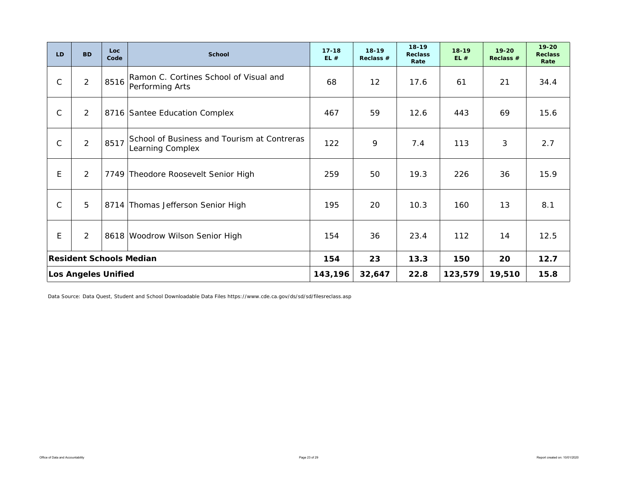| LD.          | <b>BD</b>                  | Loc.<br>Code | <b>School</b>                                                   | $17 - 18$<br>EL# | $18-19$<br>Reclass # | $18 - 19$<br><b>Reclass</b><br>Rate | $18 - 19$<br>EL# | $19 - 20$<br>Reclass # | $19 - 20$<br><b>Reclass</b><br>Rate |
|--------------|----------------------------|--------------|-----------------------------------------------------------------|------------------|----------------------|-------------------------------------|------------------|------------------------|-------------------------------------|
| $\mathsf{C}$ | $\overline{2}$             | 8516         | Ramon C. Cortines School of Visual and<br>Performing Arts       | 68               | 12                   | 17.6                                | 61               | 21                     | 34.4                                |
| $\mathsf C$  | $\overline{2}$             |              | 8716 Santee Education Complex                                   | 467              | 59                   | 12.6                                | 443              | 69                     | 15.6                                |
| $\mathsf{C}$ | $\overline{2}$             | 8517         | School of Business and Tourism at Contreras<br>Learning Complex | 122              | 9                    | 7.4                                 | 113              | 3                      | 2.7                                 |
| E            | $\overline{2}$             |              | 7749 Theodore Roosevelt Senior High                             | 259              | 50                   | 19.3                                | 226              | 36                     | 15.9                                |
| $\mathsf{C}$ | 5                          |              | 8714 Thomas Jefferson Senior High                               | 195              | 20                   | 10.3                                | 160              | 13                     | 8.1                                 |
| E            | $\overline{2}$             |              | 8618 Woodrow Wilson Senior High                                 | 154              | 36                   | 23.4                                | 112              | 14                     | 12.5                                |
|              |                            |              | <b>Resident Schools Median</b>                                  | 154              | 23                   | 13.3                                | 150              | 20                     | 12.7                                |
|              | <b>Los Angeles Unified</b> |              |                                                                 | 143,196          | 32,647               | 22.8                                | 123,579          | 19,510                 | 15.8                                |

Data Source: Data Quest, Student and School Downloadable Data Files https://www.cde.ca.gov/ds/sd/sd/filesreclass.asp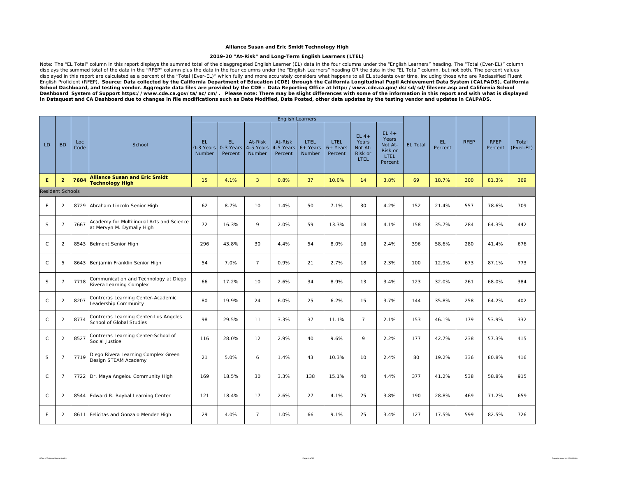### **Alliance Susan and Eric Smidt Technology High**

### **2019-20 "At-Risk" and Long-Term English Learners (LTEL)**

Note: The "EL Total" column in this report displays the summed total of the disaggregated English Learner (EL) data in the four columns under the "English Learners" heading. The "Total (Ever-EL)" column displays the summed total of the data in the "RFEP" column plus the data in the four columns under the "English Learners" heading OR the data in the "EL Total" column, but not both. The percent values displayed in this report are calculated as a percent of the "Total (Ever-EL)" which fully and more accurately considers what happens to all EL students over time, including those who are Reclassified Fluent English Proficient (RFEP). *Source: Data collected by the California Department of Education (CDE) through the California Longitudinal Pupil Achievement Data System (CALPADS), California School Dashboard, and testing vendor. Aggregate data files are provided by the CDE – Data Reporting Office at http://www.cde.ca.gov/ds/sd/sd/filesenr.asp and California School*  Dashboard System of Support https://www.cde.ca.gov/ta/ac/cm/. Please note: There may be slight differences with some of the information in this report and with what is displayed *in Dataquest and CA Dashboard due to changes in file modifications such as Date Modified, Date Posted, other data updates by the testing vendor and updates in CALPADS.* 

|                         |                 |              |                                                                        |                              |                             |                                | <b>English Learners</b>         |                                     |                                |                                                      |                                                                 |                 |                |             |                        |                    |
|-------------------------|-----------------|--------------|------------------------------------------------------------------------|------------------------------|-----------------------------|--------------------------------|---------------------------------|-------------------------------------|--------------------------------|------------------------------------------------------|-----------------------------------------------------------------|-----------------|----------------|-------------|------------------------|--------------------|
| LD                      | <b>BD</b>       | Loc.<br>Code | School                                                                 | EL.<br>$0-3$ Years<br>Number | EL.<br>0-3 Years<br>Percent | At-Risk<br>4-5 Years<br>Number | At-Risk<br>4-5 Years<br>Percent | <b>LTEL</b><br>$6+$ Years<br>Number | LTEL.<br>$6+$ Years<br>Percent | $EL4+$<br>Years<br>Not At-<br>Risk or<br><b>LTEL</b> | $EL4+$<br>Years<br>Not At-<br>Risk or<br><b>LTEL</b><br>Percent | <b>EL Total</b> | EL.<br>Percent | <b>RFEP</b> | <b>RFEP</b><br>Percent | Total<br>(Ever-EL) |
| Е                       | $\overline{2}$  | 7684         | <b>Alliance Susan and Eric Smidt</b><br><b>Technology High</b>         | 15                           | 4.1%                        | 3                              | 0.8%                            | 37                                  | 10.0%                          | 14                                                   | 3.8%                                                            | 69              | 18.7%          | 300         | 81.3%                  | 369                |
| <b>Resident Schools</b> |                 |              |                                                                        |                              |                             |                                |                                 |                                     |                                |                                                      |                                                                 |                 |                |             |                        |                    |
| E                       | $\overline{2}$  |              | 8729 Abraham Lincoln Senior High                                       | 62                           | 8.7%                        | 10                             | 1.4%                            | 50                                  | 7.1%                           | 30                                                   | 4.2%                                                            | 152             | 21.4%          | 557         | 78.6%                  | 709                |
| S                       | $\overline{7}$  | 7667         | Academy for Multilingual Arts and Science<br>at Mervyn M. Dymally High | 72                           | 16.3%                       | 9                              | 2.0%                            | 59                                  | 13.3%                          | 18                                                   | 4.1%                                                            | 158             | 35.7%          | 284         | 64.3%                  | 442                |
| $\mathsf{C}$            | $\overline{2}$  | 8543         | Belmont Senior High                                                    | 296                          | 43.8%                       | 30                             | 4.4%                            | 54                                  | 8.0%                           | 16                                                   | 2.4%                                                            | 396             | 58.6%          | 280         | 41.4%                  | 676                |
| $\mathsf{C}$            | 5               |              | 8643 Benjamin Franklin Senior High                                     | 54                           | 7.0%                        | $\overline{7}$                 | 0.9%                            | 21                                  | 2.7%                           | 18                                                   | 2.3%                                                            | 100             | 12.9%          | 673         | 87.1%                  | 773                |
| S                       | $\overline{7}$  | 7718         | Communication and Technology at Diego<br>Rivera Learning Complex       | 66                           | 17.2%                       | 10                             | 2.6%                            | 34                                  | 8.9%                           | 13                                                   | 3.4%                                                            | 123             | 32.0%          | 261         | 68.0%                  | 384                |
| $\mathsf{C}$            | $\overline{2}$  | 8207         | Contreras Learning Center-Academic<br>Leadership Community             | 80                           | 19.9%                       | 24                             | 6.0%                            | 25                                  | 6.2%                           | 15                                                   | 3.7%                                                            | 144             | 35.8%          | 258         | 64.2%                  | 402                |
| $\mathsf{C}$            | $\overline{2}$  | 8774         | Contreras Learning Center-Los Angeles<br>School of Global Studies      | 98                           | 29.5%                       | 11                             | 3.3%                            | 37                                  | 11.1%                          | $7\overline{ }$                                      | 2.1%                                                            | 153             | 46.1%          | 179         | 53.9%                  | 332                |
| $\mathsf{C}$            | $\overline{2}$  | 8527         | Contreras Learning Center-School of<br>Social Justice                  | 116                          | 28.0%                       | 12                             | 2.9%                            | 40                                  | 9.6%                           | 9                                                    | 2.2%                                                            | 177             | 42.7%          | 238         | 57.3%                  | 415                |
| S                       | $7\overline{ }$ | 7719         | Diego Rivera Learning Complex Green<br>Design STEAM Academy            | 21                           | 5.0%                        | 6                              | 1.4%                            | 43                                  | 10.3%                          | 10                                                   | 2.4%                                                            | 80              | 19.2%          | 336         | 80.8%                  | 416                |
| $\mathsf C$             | $\overline{7}$  |              | 7722 Dr. Maya Angelou Community High                                   | 169                          | 18.5%                       | 30                             | 3.3%                            | 138                                 | 15.1%                          | 40                                                   | 4.4%                                                            | 377             | 41.2%          | 538         | 58.8%                  | 915                |
| $\mathsf C$             | $\overline{2}$  | 8544         | Edward R. Roybal Learning Center                                       | 121                          | 18.4%                       | 17                             | 2.6%                            | 27                                  | 4.1%                           | 25                                                   | 3.8%                                                            | 190             | 28.8%          | 469         | 71.2%                  | 659                |
| E                       | $\overline{2}$  | 8611         | Felicitas and Gonzalo Mendez High                                      | 29                           | 4.0%                        | $7^{\circ}$                    | 1.0%                            | 66                                  | 9.1%                           | 25                                                   | 3.4%                                                            | 127             | 17.5%          | 599         | 82.5%                  | 726                |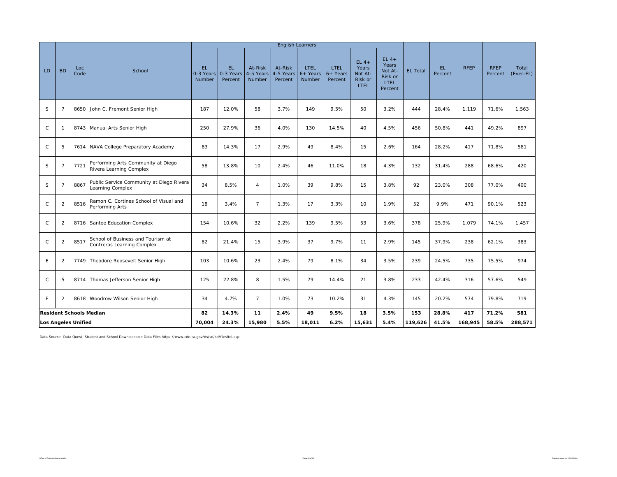|              |                |                                |                                                                 |                                   |                             |                                | <b>English Learners</b>         |                                     |                                      |                                                      |                                                                 |                 |                |             |                        |                    |
|--------------|----------------|--------------------------------|-----------------------------------------------------------------|-----------------------------------|-----------------------------|--------------------------------|---------------------------------|-------------------------------------|--------------------------------------|------------------------------------------------------|-----------------------------------------------------------------|-----------------|----------------|-------------|------------------------|--------------------|
| LD.          | <b>BD</b>      | Loc<br>Code                    | School                                                          | EL.<br>0-3 Years<br><b>Number</b> | EL.<br>0-3 Years<br>Percent | At-Risk<br>4-5 Years<br>Number | At-Risk<br>4-5 Years<br>Percent | <b>LTEL</b><br>$6+$ Years<br>Number | <b>LTEL</b><br>$6+$ Years<br>Percent | $EL4+$<br>Years<br>Not At-<br>Risk or<br><b>LTEL</b> | $EL4+$<br>Years<br>Not At-<br>Risk or<br><b>LTEL</b><br>Percent | <b>EL Total</b> | EL.<br>Percent | <b>RFEP</b> | <b>RFEP</b><br>Percent | Total<br>(Ever-EL) |
| S            | $\overline{7}$ | 8650                           | John C. Fremont Senior High                                     | 187                               | 12.0%                       | 58                             | 3.7%                            | 149                                 | 9.5%                                 | 50                                                   | 3.2%                                                            | 444             | 28.4%          | 1,119       | 71.6%                  | 1,563              |
| $\mathsf{C}$ | -1             | 8743                           | Manual Arts Senior High                                         | 250                               | 27.9%                       | 36                             | 4.0%                            | 130                                 | 14.5%                                | 40                                                   | 4.5%                                                            | 456             | 50.8%          | 441         | 49.2%                  | 897                |
| $\mathsf{C}$ | 5              | 7614                           | NAVA College Preparatory Academy                                | 83                                | 14.3%                       | 17                             | 2.9%                            | 49                                  | 8.4%                                 | 15                                                   | 2.6%                                                            | 164             | 28.2%          | 417         | 71.8%                  | 581                |
| S            | 7              | 7721                           | Performing Arts Community at Diego<br>Rivera Learning Complex   | 58                                | 13.8%                       | 10                             | 2.4%                            | 46                                  | 11.0%                                | 18                                                   | 4.3%                                                            | 132             | 31.4%          | 288         | 68.6%                  | 420                |
| S            | $\overline{7}$ | 8867                           | Public Service Community at Diego Rivera<br>Learning Complex    | 34                                | 8.5%                        | 4                              | 1.0%                            | 39                                  | 9.8%                                 | 15                                                   | 3.8%                                                            | 92              | 23.0%          | 308         | 77.0%                  | 400                |
| $\mathsf{C}$ | 2              | 8516                           | Ramon C. Cortines School of Visual and<br>Performing Arts       | 18                                | 3.4%                        | $7\overline{ }$                | 1.3%                            | 17                                  | 3.3%                                 | 10                                                   | 1.9%                                                            | 52              | 9.9%           | 471         | 90.1%                  | 523                |
| C            | 2              | 8716                           | Santee Education Complex                                        | 154                               | 10.6%                       | 32                             | 2.2%                            | 139                                 | 9.5%                                 | 53                                                   | 3.6%                                                            | 378             | 25.9%          | 1,079       | 74.1%                  | 1,457              |
| $\mathsf{C}$ | 2              | 8517                           | School of Business and Tourism at<br>Contreras Learning Complex | 82                                | 21.4%                       | 15                             | 3.9%                            | 37                                  | 9.7%                                 | 11                                                   | 2.9%                                                            | 145             | 37.9%          | 238         | 62.1%                  | 383                |
| E            | 2              | 7749                           | Theodore Roosevelt Senior High                                  | 103                               | 10.6%                       | 23                             | 2.4%                            | 79                                  | 8.1%                                 | 34                                                   | 3.5%                                                            | 239             | 24.5%          | 735         | 75.5%                  | 974                |
| $\mathsf{C}$ | 5              | 8714                           | Thomas Jefferson Senior High                                    | 125                               | 22.8%                       | 8                              | 1.5%                            | 79                                  | 14.4%                                | 21                                                   | 3.8%                                                            | 233             | 42.4%          | 316         | 57.6%                  | 549                |
| Ε            | $\mathfrak{p}$ | 8618                           | Woodrow Wilson Senior High                                      | 34                                | 4.7%                        | $\overline{7}$                 | 1.0%                            | 73                                  | 10.2%                                | 31                                                   | 4.3%                                                            | 145             | 20.2%          | 574         | 79.8%                  | 719                |
|              |                | <b>Resident Schools Median</b> |                                                                 | 82                                | 14.3%                       | 11                             | 2.4%                            | 49                                  | 9.5%                                 | 18                                                   | 3.5%                                                            | 153             | 28.8%          | 417         | 71.2%                  | 581                |
|              |                | <b>Los Angeles Unified</b>     |                                                                 | 70,004                            | 24.3%                       | 15,980                         | 5.5%                            | 18,011                              | 6.2%                                 | 15,631                                               | 5.4%                                                            | 119,626         | 41.5%          | 168,945     | 58.5%                  | 288,571            |

Data Source: Data Quest, Student and School Downloadable Data Files https://www.cde.ca.gov/ds/sd/sd/filesltel.asp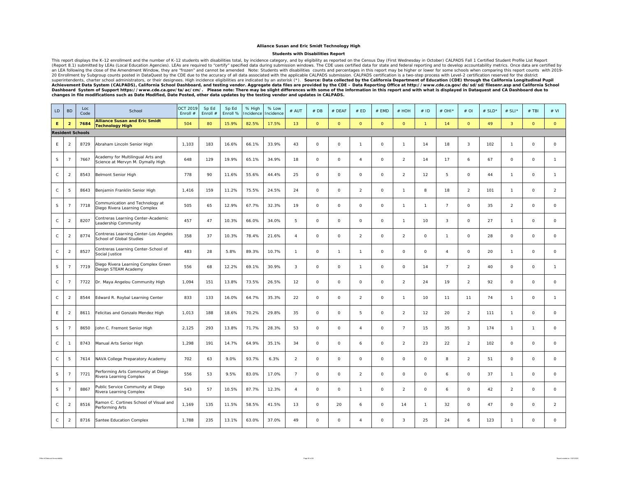### **Alliance Susan and Eric Smidt Technology High**

#### **Students with Disabilities Report**

This report displays the K-12 enrollment and the number of K-12 students with disabilities total, by incidence category, and by eligibility as reported on the Census Day (First Wednesday in October) CALPADS Fall 1 Certifie (Report 8.1) submitted by LEAs (Local Education Agencies). LEAs are required to "certify" specified data during submission windows. The CDE uses certified data for state and federal reporting and to develop accountability 20 Enrollment by Subgroup counts posted in DataQuest by the CDE due to the accuracy of all data associated with the applicable CALPADS submission. CALPADS certification is a two-step process with Level-2 certification rese *changes in file modifications such as Date Modified, Date Posted, other data updates by the testing vendor and updates in CALPADS.* 

| LD            | <b>BD</b>      | Loc<br>Code             | School                                                                 | <b>OCT 2019</b><br>Enroll # | Sp Ed<br>Enroll # | Sp Ed<br>Enroll % | % High<br>ncidence | % Low<br>Incidence | # AUT          | #DB         | # DEAF              | # ED           | # EMD               | # HOH          | #ID                 | # OHI*         | #OI            | # $SLD*$ | # SLI*              | $#$ TBI             | # VI                |
|---------------|----------------|-------------------------|------------------------------------------------------------------------|-----------------------------|-------------------|-------------------|--------------------|--------------------|----------------|-------------|---------------------|----------------|---------------------|----------------|---------------------|----------------|----------------|----------|---------------------|---------------------|---------------------|
| Ε.            | $\overline{2}$ | 7684                    | <b>Alliance Susan and Eric Smidt</b><br><b>Technology High</b>         | 504                         | 80                | 15.9%             | 82.5%              | 17.5%              | 13             | $\circ$     | $\circ$             | $\circ$        | $\mathsf{o}$        | $\circ$        | $\overline{1}$      | 14             | $\circ$        | 49       | $\overline{3}$      | $\mathbf{O}$        | $\circ$             |
|               |                | <b>Resident Schools</b> |                                                                        |                             |                   |                   |                    |                    |                |             |                     |                |                     |                |                     |                |                |          |                     |                     |                     |
| E.            | $\overline{2}$ | 8729                    | Abraham Lincoln Senior High                                            | 1,103                       | 183               | 16.6%             | 66.1%              | 33.9%              | 43             | $\circ$     | $\mathsf{O}\xspace$ | $\mathbf{1}$   | $\mathsf{O}$        | $\mathbf{1}$   | 14                  | 18             | 3              | 102      | $\mathbf{1}$        | 0                   | $\mathsf{O}\xspace$ |
| S             | $\overline{7}$ | 7667                    | Academy for Multilingual Arts and<br>Science at Mervyn M. Dymally High | 648                         | 129               | 19.9%             | 65.1%              | 34.9%              | 18             | $\circ$     | $\circ$             | $\overline{4}$ | $\circ$             | $\overline{a}$ | 14                  | 17             | 6              | 67       | $\circ$             | $\circ$             | $\mathbf{1}$        |
| C             | $\overline{2}$ | 8543                    | Belmont Senior High                                                    | 778                         | 90                | 11.6%             | 55.6%              | 44.4%              | 25             | 0           | $\circ$             | 0              | $\circ$             | $\overline{2}$ | 12                  | 5              | $\circ$        | 44       | $\mathbf{1}$        | $\circ$             | $\overline{1}$      |
| C             | 5              | 8643                    | Benjamin Franklin Senior High                                          | 1,416                       | 159               | 11.2%             | 75.5%              | 24.5%              | 24             | $\circ$     | $\circ$             | $\overline{a}$ | $\circ$             | $\mathbf{1}$   | 8                   | 18             | $\overline{2}$ | 101      | $\overline{1}$      | $\circ$             | $\overline{a}$      |
| S             | $\overline{7}$ | 7718                    | Communication and Technology at<br>Diego Rivera Learning Complex       | 505                         | 65                | 12.9%             | 67.7%              | 32.3%              | 19             | $\circ$     | $\circ$             | 0              | $\mathsf{O}\xspace$ | $\mathbf{1}$   | $\overline{1}$      | $\overline{7}$ | $\circ$        | 35       | $\overline{2}$      | $\mathsf{O}\xspace$ | $\mathsf{O}\xspace$ |
| C             | $\overline{2}$ | 8207                    | Contreras Learning Center-Academic<br>Leadership Community             | 457                         | 47                | 10.3%             | 66.0%              | 34.0%              | 5              | $\circ$     | $\circ$             | 0              | $\circ$             | $\mathbf{1}$   | 10                  | 3              | $\circ$        | 27       | $\overline{1}$      | $\mathsf{O}\xspace$ | $\mathsf{O}\xspace$ |
| C             | $\overline{2}$ | 8774                    | Contreras Learning Center-Los Angeles<br>School of Global Studies      | 358                         | 37                | 10.3%             | 78.4%              | 21.6%              | $\overline{4}$ | $\circ$     | $\circ$             | $\overline{2}$ | $\circ$             | $\overline{2}$ | $\circ$             | $\overline{1}$ | $\circ$        | 28       | $\circ$             | $\circ$             | $\mathsf{O}$        |
| C             | $\overline{2}$ | 8527                    | Contreras Learning Center-School of<br>Social Justice                  | 483                         | 28                | 5.8%              | 89.3%              | 10.7%              | $\overline{1}$ | $\circ$     | $\overline{1}$      | $\mathbf{1}$   | $\circ$             | $\circ$        | $\circ$             | $\overline{4}$ | $\circ$        | 20       | $\mathbf{1}$        | $\circ$             | $\mathsf{O}$        |
| S             | $\overline{7}$ | 7719                    | Diego Rivera Learning Complex Green<br>Design STEAM Academy            | 556                         | 68                | 12.2%             | 69.1%              | 30.9%              | 3              | 0           | $\circ$             | $\mathbf{1}$   | $\mathsf{O}$        | $\circ$        | 14                  | $\overline{7}$ | $\overline{2}$ | 40       | $\circ$             | 0                   | $\overline{1}$      |
| $\mathsf{C}$  | $\overline{7}$ | 7722                    | Dr. Maya Angelou Community High                                        | 1,094                       | 151               | 13.8%             | 73.5%              | 26.5%              | 12             | $\mathsf O$ | $\mathsf{O}\xspace$ | $\circ$        | $\mathsf{O}$        | $\overline{2}$ | 24                  | 19             | $\overline{2}$ | 92       | $\mathsf{O}\xspace$ | $\mathsf{O}\xspace$ | $\mathsf{O}\xspace$ |
| C             | $\overline{2}$ | 8544                    | Edward R. Roybal Learning Center                                       | 833                         | 133               | 16.0%             | 64.7%              | 35.3%              | 22             | $\circ$     | $\circ$             | $\overline{a}$ | $\mathsf{O}\xspace$ | $\mathbf{1}$   | 10                  | 11             | 11             | 74       | $\mathbf{1}$        | $\mathsf{O}\xspace$ | $\mathbf{1}$        |
| Ε             | $\overline{2}$ | 8611                    | Felicitas and Gonzalo Mendez High                                      | 1,013                       | 188               | 18.6%             | 70.2%              | 29.8%              | 35             | $\circ$     | $\circ$             | 5              | $\mathsf{O}\xspace$ | $\overline{2}$ | 12                  | 20             | $\overline{2}$ | 111      | $\mathbf{1}$        | $\mathsf{O}\xspace$ | $\mathsf{o}$        |
| S             | $\overline{7}$ | 8650                    | John C. Fremont Senior High                                            | 2,125                       | 293               | 13.8%             | 71.7%              | 28.3%              | 53             | $\circ$     | $\circ$             | $\overline{4}$ | $\circ$             | $\overline{7}$ | 15                  | 35             | 3              | 174      | $\mathbf{1}$        | $\mathbf{1}$        | $\mathsf{O}\xspace$ |
| C             | $\mathbf{1}$   | 8743                    | Manual Arts Senior High                                                | 1,298                       | 191               | 14.7%             | 64.9%              | 35.1%              | 34             | $\circ$     | $\circ$             | 6              | $\circ$             | $\overline{2}$ | 23                  | 22             | $\overline{2}$ | 102      | $\circ$             | $\circ$             | $\mathsf{O}\xspace$ |
| С             | 5              | 7614                    | NAVA College Preparatory Academy                                       | 702                         | 63                | 9.0%              | 93.7%              | 6.3%               | $\overline{2}$ | 0           | $\circ$             | 0              | $\circ$             | $\circ$        | $\circ$             | 8              | $\overline{2}$ | 51       | $\circ$             | $\circ$             | $\mathsf{O}\xspace$ |
| S             | $\overline{7}$ | 7721                    | Performing Arts Community at Diego<br>Rivera Learning Complex          | 556                         | 53                | 9.5%              | 83.0%              | 17.0%              | $\overline{7}$ | 0           | $\circ$             | $\overline{a}$ | $\circ$             | $\circ$        | $\mathsf{O}\xspace$ | 6              | $\circ$        | 37       | $\mathbf{1}$        | $\circ$             | $\mathsf{O}\xspace$ |
| S             | $\overline{7}$ | 8867                    | Public Service Community at Diego<br>Rivera Learning Complex           | 543                         | 57                | 10.5%             | 87.7%              | 12.3%              | $\overline{4}$ | $\circ$     | $\circ$             | $\mathbf{1}$   | $\circ$             | $\overline{2}$ | $\circ$             | 6              | $\circ$        | 42       | $\overline{2}$      | $\circ$             | $\mathsf{O}\xspace$ |
| $\mathcal{C}$ | $\overline{2}$ | 8516                    | Ramon C. Cortines School of Visual and<br>Performing Arts              | 1,169                       | 135               | 11.5%             | 58.5%              | 41.5%              | 13             | $\circ$     | 20                  | 6              | $\circ$             | 14             | $\mathbf{1}$        | 32             | $\circ$        | 47       | $\circ$             | $\mathsf{O}\xspace$ | $\overline{2}$      |
| $\mathsf{C}$  | $\overline{2}$ | 8716                    | Santee Education Complex                                               | 1,788                       | 235               | 13.1%             | 63.0%              | 37.0%              | 49             | $\Omega$    | $\circ$             | $\Delta$       | $\circ$             | 3              | 25                  | 24             | 6              | 123      |                     | $\circ$             | $\circ$             |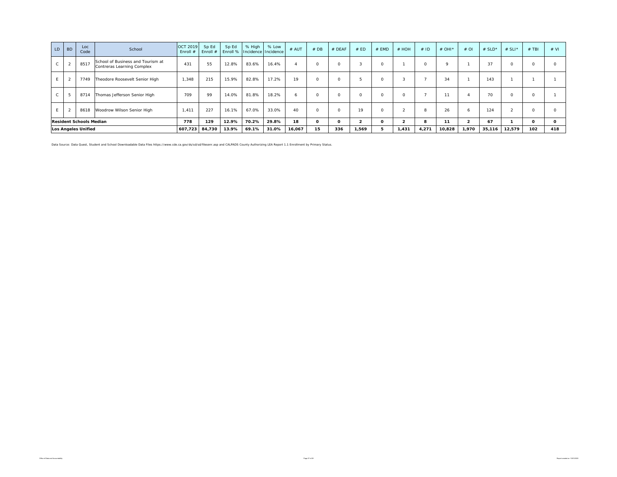| LD           | <b>BD</b> | Loc<br>Code                    | School                                                          | OCT 2019<br>Enroll $#$ | Sp Ed<br>Enroll # | Sp Ed |       | % High % Low<br>Enroll % Incidence Incidence | # AUT                  | #DB      | # DEAF | # ED   | # EMD    | # HOH          | #ID   | # OHI $*$ | $#$ OI         | # $SLD^*$ | # SLI* | $#$ TBI | # VI     |
|--------------|-----------|--------------------------------|-----------------------------------------------------------------|------------------------|-------------------|-------|-------|----------------------------------------------|------------------------|----------|--------|--------|----------|----------------|-------|-----------|----------------|-----------|--------|---------|----------|
| U.           | ∠         | 8517                           | School of Business and Tourism at<br>Contreras Learning Complex | 431                    | 55                | 12.8% | 83.6% | 16.4%                                        | $\boldsymbol{\Lambda}$ | $\Omega$ |        | $\sim$ | $\Omega$ |                |       | $\Omega$  |                | 37        |        |         |          |
|              |           | 7749                           | Theodore Roosevelt Senior High                                  | 1,348                  | 215               | 15.9% | 82.8% | 17.2%                                        | 19                     | $\Omega$ | U      |        |          | 3              |       | 34        |                | 143       |        |         |          |
| $\mathsf{C}$ |           | 8714                           | Thomas Jefferson Senior High                                    | 709                    | 99                | 14.0% | 81.8% | 18.2%                                        | 6                      | $\Omega$ | 0      |        | $\circ$  | $\circ$        |       | 11        |                | 70        |        |         |          |
| F.           |           | 8618                           | Woodrow Wilson Senior High                                      | 1.411                  | 227               | 16.1% | 67.0% | 33.0%                                        | 40                     | $\Omega$ | 0      | 19     | $\Omega$ | $\sim$         | 8     | 26        | 6              | 124       |        |         |          |
|              |           | <b>Resident Schools Median</b> |                                                                 | 778                    | 129               | 12.9% | 70.2% | 29.8%                                        | 18                     | $\Omega$ |        |        | $\Omega$ | $\overline{2}$ | 8     | 11        | $\overline{2}$ | 67        |        | ο       | $\Omega$ |
|              |           | <b>Los Angeles Unified</b>     |                                                                 | 607,723                | 84,730            | 13.9% | 69.1% | 31.0%                                        | 16,067                 | 15       | 336    | 1,569  | 5        | 1.431          | 4,271 | 10,828    | 1,970          | 35,116    | 12,579 | 102     | 418      |

Data Source: Data Quest, Student and School Downloadable Data Files https://www.cde.ca.gov/ds/sd/sd/filesenr.asp and CALPADS County Authorizing LEA Report 1.1 Enrollment by Primary Status.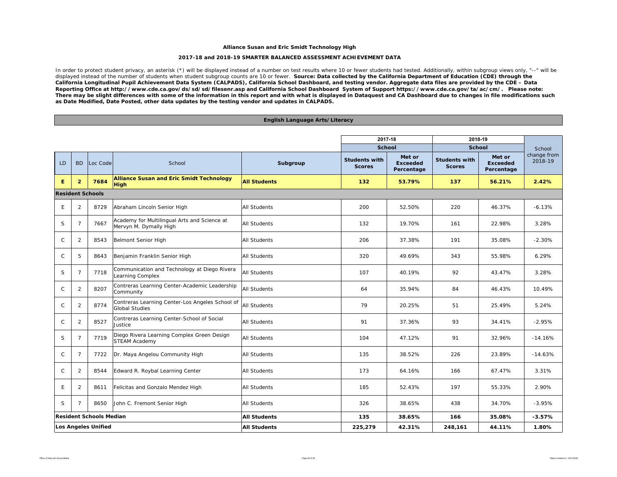### **Alliance Susan and Eric Smidt Technology High**

### **2017-18 and 2018-19 SMARTER BALANCED ASSESSMENT ACHIEVEMENT DATA**

In order to protect student privacy, an asterisk (\*) will be displayed instead of a number on test results where 10 or fewer students had tested. Additionally, within subgroup views only, "--" will be displayed instead of the number of students when student subgroup counts are 10 or fewer. *Source: Data collected by the California Department of Education (CDE) through the California Longitudinal Pupil Achievement Data System (CALPADS), California School Dashboard, and testing vendor. Aggregate data files are provided by the CDE – Data Reporting Office at http://www.cde.ca.gov/ds/sd/sd/filesenr.asp and California School Dashboard System of Support https://www.cde.ca.gov/ta/ac/cm/. Please note: There may be slight differences with some of the information in this report and with what is displayed in Dataquest and CA Dashboard due to changes in file modifications such as Date Modified, Date Posted, other data updates by the testing vendor and updates in CALPADS.* 

### **English Language Arts/Literacy**

|              |                            |                                |                                                                          |                     | 2017-18                               |                                         | 2018-19                               |                                         |                        |
|--------------|----------------------------|--------------------------------|--------------------------------------------------------------------------|---------------------|---------------------------------------|-----------------------------------------|---------------------------------------|-----------------------------------------|------------------------|
|              |                            |                                |                                                                          |                     | <b>School</b>                         |                                         | <b>School</b>                         |                                         | School                 |
| LD           | <b>BD</b>                  | Loc Code                       | School                                                                   | Subgroup            | <b>Students with</b><br><b>Scores</b> | Met or<br><b>Exceeded</b><br>Percentage | <b>Students with</b><br><b>Scores</b> | Met or<br><b>Exceeded</b><br>Percentage | change from<br>2018-19 |
| E            | $\overline{2}$             | 7684                           | <b>Alliance Susan and Eric Smidt Technology</b><br><b>High</b>           | <b>All Students</b> | 132                                   | 53.79%                                  | 137                                   | 56.21%                                  | 2.42%                  |
|              |                            | <b>Resident Schools</b>        |                                                                          |                     |                                       |                                         |                                       |                                         |                        |
| E            | 2                          | 8729                           | Abraham Lincoln Senior High                                              | <b>All Students</b> | 200                                   | 52.50%                                  | 220                                   | 46.37%                                  | $-6.13%$               |
| S            | $\overline{7}$             | 7667                           | Academy for Multilingual Arts and Science at<br>Mervyn M. Dymally High   | <b>All Students</b> | 132                                   | 19.70%                                  | 161                                   | 22.98%                                  | 3.28%                  |
| $\mathsf{C}$ | 2                          | 8543                           | Belmont Senior High                                                      | <b>All Students</b> | 206                                   | 37.38%                                  | 191                                   | 35.08%                                  | $-2.30%$               |
| $\mathsf{C}$ | 5                          | 8643                           | Benjamin Franklin Senior High                                            | <b>All Students</b> | 320                                   | 49.69%                                  | 343                                   | 55.98%                                  | 6.29%                  |
| $\mathsf S$  | 7                          | 7718                           | Communication and Technology at Diego Rivera<br>Learning Complex         | <b>All Students</b> | 107                                   | 40.19%                                  | 92                                    | 43.47%                                  | 3.28%                  |
| $\mathsf C$  | 2                          | 8207                           | Contreras Learning Center-Academic Leadership<br>Community               | <b>All Students</b> | 64                                    | 35.94%                                  | 84                                    | 46.43%                                  | 10.49%                 |
| $\mathsf{C}$ | 2                          | 8774                           | Contreras Learning Center-Los Angeles School of<br><b>Global Studies</b> | <b>All Students</b> | 79                                    | 20.25%                                  | 51                                    | 25.49%                                  | 5.24%                  |
| $\mathsf{C}$ | 2                          | 8527                           | Contreras Learning Center-School of Social<br>Justice                    | <b>All Students</b> | 91                                    | 37.36%                                  | 93                                    | 34.41%                                  | $-2.95%$               |
| S            | 7                          | 7719                           | Diego Rivera Learning Complex Green Design<br><b>STEAM Academy</b>       | <b>All Students</b> | 104                                   | 47.12%                                  | 91                                    | 32.96%                                  | $-14.16%$              |
| $\mathsf C$  | 7                          | 7722                           | Dr. Maya Angelou Community High                                          | <b>All Students</b> | 135                                   | 38.52%                                  | 226                                   | 23.89%                                  | $-14.63%$              |
| $\mathsf{C}$ | 2                          | 8544                           | Edward R. Roybal Learning Center                                         | <b>All Students</b> | 173                                   | 64.16%                                  | 166                                   | 67.47%                                  | 3.31%                  |
| E            | 2                          | 8611                           | Felicitas and Gonzalo Mendez High                                        | <b>All Students</b> | 185                                   | 52.43%                                  | 197                                   | 55.33%                                  | 2.90%                  |
| S            | $\overline{7}$             | 8650                           | John C. Fremont Senior High                                              | <b>All Students</b> | 326                                   | 38.65%                                  | 438                                   | 34.70%                                  | $-3.95%$               |
|              |                            | <b>Resident Schools Median</b> |                                                                          | <b>All Students</b> | 135                                   | 38.65%                                  | 166                                   | 35.08%                                  | $-3.57%$               |
|              | <b>Los Angeles Unified</b> |                                |                                                                          | <b>All Students</b> | 225,279                               | 42.31%                                  | 248,161                               | 44.11%                                  | 1.80%                  |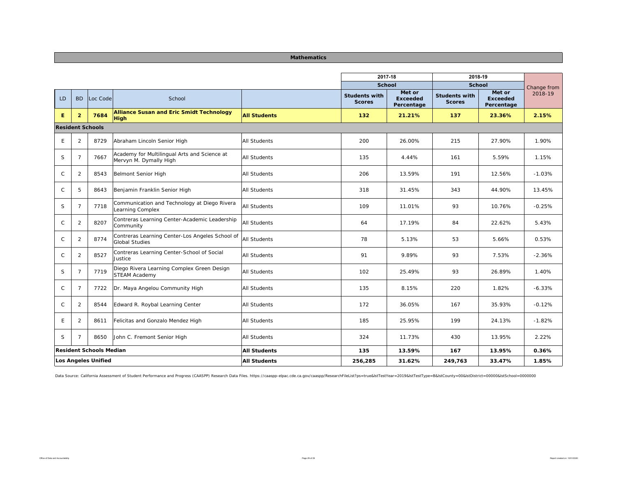### **Mathematics**

|              |                |                                |                                                                          |                     | 2017-18                               |                                         | 2018-19                               |                                         |             |
|--------------|----------------|--------------------------------|--------------------------------------------------------------------------|---------------------|---------------------------------------|-----------------------------------------|---------------------------------------|-----------------------------------------|-------------|
|              |                |                                |                                                                          |                     | <b>School</b>                         |                                         | <b>School</b>                         |                                         | Change from |
| <b>LD</b>    | <b>BD</b>      | Loc Code                       | School                                                                   |                     | <b>Students with</b><br><b>Scores</b> | Met or<br><b>Exceeded</b><br>Percentage | <b>Students with</b><br><b>Scores</b> | Met or<br><b>Exceeded</b><br>Percentage | 2018-19     |
| Е            | $\overline{2}$ | 7684                           | <b>Alliance Susan and Eric Smidt Technology</b><br>High                  | <b>All Students</b> | 132                                   | 21.21%                                  | 137                                   | 23.36%                                  | 2.15%       |
|              |                | <b>Resident Schools</b>        |                                                                          |                     |                                       |                                         |                                       |                                         |             |
| E            | 2              | 8729                           | Abraham Lincoln Senior High                                              | <b>All Students</b> | 200                                   | 26.00%                                  | 215                                   | 27.90%                                  | 1.90%       |
| S            | 7              | 7667                           | Academy for Multilingual Arts and Science at<br>Mervyn M. Dymally High   | All Students        | 135                                   | 4.44%                                   | 161                                   | 5.59%                                   | 1.15%       |
| $\mathsf{C}$ | $\overline{2}$ | 8543                           | <b>Belmont Senior High</b>                                               | <b>All Students</b> | 206                                   | 13.59%                                  | 191                                   | 12.56%                                  | $-1.03%$    |
| $\mathsf{C}$ | 5              | 8643                           | Benjamin Franklin Senior High                                            | <b>All Students</b> | 318                                   | 31.45%                                  | 343                                   | 44.90%                                  | 13.45%      |
| S            | $\overline{7}$ | 7718                           | Communication and Technology at Diego Rivera<br>Learning Complex         | All Students        | 109                                   | 11.01%                                  | 93                                    | 10.76%                                  | $-0.25%$    |
| $\mathsf{C}$ | $\overline{2}$ | 8207                           | Contreras Learning Center-Academic Leadership<br>Community               | <b>All Students</b> | 64                                    | 17.19%                                  | 84                                    | 22.62%                                  | 5.43%       |
| $\mathsf{C}$ | 2              | 8774                           | Contreras Learning Center-Los Angeles School of<br><b>Global Studies</b> | All Students        | 78                                    | 5.13%                                   | 53                                    | 5.66%                                   | 0.53%       |
| $\mathsf{C}$ | 2              | 8527                           | Contreras Learning Center-School of Social<br>Justice                    | All Students        | 91                                    | 9.89%                                   | 93                                    | 7.53%                                   | $-2.36%$    |
| S            | 7              | 7719                           | Diego Rivera Learning Complex Green Design<br><b>STEAM Academy</b>       | <b>All Students</b> | 102                                   | 25.49%                                  | 93                                    | 26.89%                                  | 1.40%       |
| $\mathsf{C}$ | 7              | 7722                           | Dr. Maya Angelou Community High                                          | <b>All Students</b> | 135                                   | 8.15%                                   | 220                                   | 1.82%                                   | $-6.33%$    |
| C            | 2              | 8544                           | Edward R. Roybal Learning Center                                         | All Students        | 172                                   | 36.05%                                  | 167                                   | 35.93%                                  | $-0.12%$    |
| Ε            | 2              | 8611                           | Felicitas and Gonzalo Mendez High                                        | <b>All Students</b> | 185                                   | 25.95%                                  | 199                                   | 24.13%                                  | $-1.82%$    |
| S            | 7              | 8650                           | John C. Fremont Senior High                                              | <b>All Students</b> | 324                                   | 11.73%                                  | 430                                   | 13.95%                                  | 2.22%       |
|              |                | <b>Resident Schools Median</b> |                                                                          | <b>All Students</b> | 135                                   | 13.59%                                  | 167                                   | 13.95%                                  | 0.36%       |
|              |                | Los Angeles Unified            |                                                                          | <b>All Students</b> | 256,285                               | 31.62%                                  | 249,763                               | 33.47%                                  | 1.85%       |

Data Source: California Assessment of Student Performance and Progress (CAASPP) Research Data Files. https://caaspp-elpac.cde.ca.gov/caaspp/ResearchFileList?ps=true&IstTestYear=2019&IstTestYppe=B&IstCounty=00&IstDistrict=0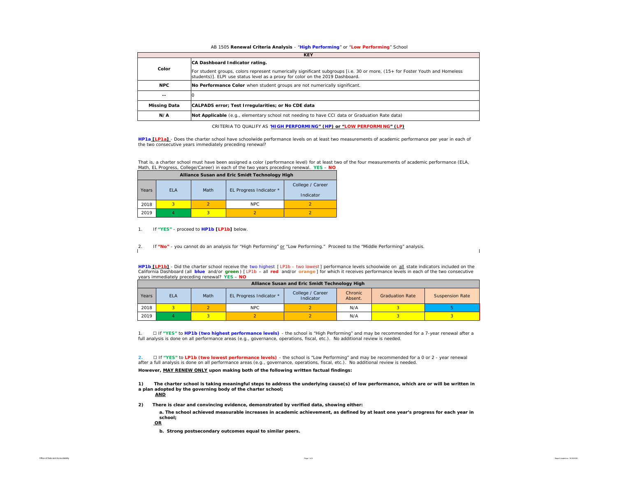#### AB 1505 **Renewal Criteria Analysis** - "**High Performing**" or "**Low Performing**" School

|                     | <b>KEY</b>                                                                                                                                                                                                                                     |
|---------------------|------------------------------------------------------------------------------------------------------------------------------------------------------------------------------------------------------------------------------------------------|
| Color               | CA Dashboard Indicator rating.<br>For student groups, colors represent numerically significant subgroups [i.e. 30 or more, (15+ for Foster Youth and Homeless<br>students)]. ELPI use status level as a proxy for color on the 2019 Dashboard. |
| <b>NPC</b>          | No Performance Color when student groups are not numerically significant.                                                                                                                                                                      |
| --                  |                                                                                                                                                                                                                                                |
| <b>Missing Data</b> | CALPADS error; Test Irregularities; or No CDE data                                                                                                                                                                                             |
| N/A                 | Not Applicable (e.g., elementary school not needing to have CCI data or Graduation Rate data)                                                                                                                                                  |

CRITERIA TO QUALIFY AS "**HIGH PERFORMING" (HP) or "LOW PERFORMING" (LP)**

**HP1a [LP1a]** - *Does the charter school have schoolwide performance levels on at least two measurements of academic performance per year in each of the two consecutive years immediately preceding renewal?* 

That is, a charter school must have been assigned a color (performance level) for at least two of the four measurements of academic performance (ELA, Math, EL Progress, College/Career) in each of the two years preceding renewal. **YES** – **NO**

|       |            |      | Alliance Susan and Eric Smidt Technology High |                               |
|-------|------------|------|-----------------------------------------------|-------------------------------|
| Years | <b>ELA</b> | Math | EL Progress Indicator *                       | College / Career<br>Indicator |
| 2018  |            |      | NPC.                                          |                               |
| 2019  |            |      |                                               |                               |

1. If **"YES"** - proceed to **HP1b [LP1b]** below.

2. If **"No"** - you cannot do an analysis for "High Performing" or "Low Performing." Proceed to the "Middle Performing" analysis.

**HP1b [LP1b]** - *Did the charter school receive the two highest [ LP1b – two lowest ] performance levels schoolwide on all state indicators included on the California Dashboard (all blue and/or green ) [ LP1b – all red and/or orange ] for which it receives performance levels in each of the two consecutive years immediately preceding renewal?* **YES** – **NO**

|       |            |      |                         | Alliance Susan and Eric Smidt Technology High |                    |                        |                        |
|-------|------------|------|-------------------------|-----------------------------------------------|--------------------|------------------------|------------------------|
| Years | <b>ELA</b> | Math | EL Progress Indicator * | College / Career<br>Indicator                 | Chronic<br>Absent. | <b>Graduation Rate</b> | <b>Suspension Rate</b> |
| 2018  |            |      | NPC.                    |                                               | N/A                |                        |                        |
| 2019  |            |      |                         |                                               | N/A                |                        |                        |

1. ☐ If **"YES"** to **HP1b (two highest performance levels)** - the school is "High Performing" and may be recommended for a 7-year renewal after a full analysis is done on all performance areas (e.g., governance, operations, fiscal, etc.). No additional review is needed.

**2.** □ If "YES" to LP1b (two lowest performance levels) - the school is "Low Performing" and may be recommended for a 0 or 2 - year renewal after a full analysis is done on all performance areas (e.g., governance, operations, fiscal, etc.). No additional review is needed.

**However, MAY RENEW ONLY upon making both of the following written factual findings:**

**1) The charter school is taking meaningful steps to address the underlying cause(s) of low performance, which are or will be written in a plan adopted by the governing body of the charter school; AND**

**2) There is clear and convincing evidence, demonstrated by verified data, showing either:**

**a. The school achieved measurable increases in academic achievement, as defined by at least one year's progress for each year in school;**

**OR**

**b. Strong postsecondary outcomes equal to similar peers.**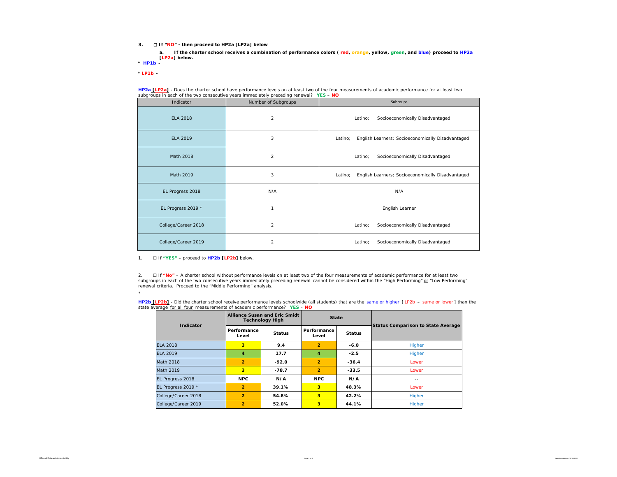**3.** ☐ **If "NO" - then proceed to HP2a [LP2a] below**

**\*** *HP1b*  **a. If the charter school receives a combination of performance colors ( red, orange, yellow, green, and blue) proceed to HP2a [LP2a] below.** 

*\* LP1b -* 

\*

| Indicator           | subgroups in each or the two consecutive years immediately preceding reneware $\tau$ is $\sim$ - NO<br>Number of Subgroups | Subroups                                                     |
|---------------------|----------------------------------------------------------------------------------------------------------------------------|--------------------------------------------------------------|
| <b>ELA 2018</b>     | $\overline{a}$                                                                                                             | Socioeconomically Disadvantaged<br>Latino;                   |
| <b>ELA 2019</b>     | 3                                                                                                                          | English Learners; Socioeconomically Disadvantaged<br>Latino: |
| Math 2018           | $\overline{2}$                                                                                                             | Socioeconomically Disadvantaged<br>Latino;                   |
| Math 2019           | 3                                                                                                                          | English Learners; Socioeconomically Disadvantaged<br>Latino: |
| EL Progress 2018    | N/A                                                                                                                        | N/A                                                          |
| EL Progress 2019 *  | 1                                                                                                                          | English Learner                                              |
| College/Career 2018 | $\overline{a}$                                                                                                             | Socioeconomically Disadvantaged<br>Latino;                   |
| College/Career 2019 | $\overline{2}$                                                                                                             | Socioeconomically Disadvantaged<br>Latino;                   |

**HP2a [LP2a]** - *Does the charter school have performance levels on at least two of the four measurements of academic performance for at least two subgroups in each of the two consecutive years immediately preceding renewal?* **YES** – **NO**

1. ☐ If **"YES"** – proceed to **HP2b [LP2b]** below.

2. □ If "**No"** – A charter school without *performance levels on at least two of the four measurements of academic performance for at least two*<br>*subgroups in each of the two consecutive years immediately preceding* renewal criteria. Proceed to the "Middle Performing" analysis.

**HP2b\_[LP2b]** - Did the charter school receive performance levels schoolwide (all students) that are the same or higher [LP2b – same or lower] than the<br>state average <u>for all four</u> measurements of academic performance? YE

| Indicator           |                         | <b>Alliance Susan and Eric Smidt</b><br><b>Technology High</b> | <b>State</b>         |               | <b>Status Comparison to State Average</b> |  |  |  |
|---------------------|-------------------------|----------------------------------------------------------------|----------------------|---------------|-------------------------------------------|--|--|--|
|                     | Performance<br>Level    | <b>Status</b>                                                  | Performance<br>Level | <b>Status</b> |                                           |  |  |  |
| <b>ELA 2018</b>     | 3                       | 9.4                                                            | $\overline{2}$       | $-6.0$        | Higher                                    |  |  |  |
| FI A 2019           | 4                       | 17.7                                                           | 4                    | $-2.5$        | Higher                                    |  |  |  |
| Math 2018           | $\overline{2}$          | $-92.0$                                                        | $\overline{2}$       | $-36.4$       | I ower                                    |  |  |  |
| Math 2019           | $\overline{\mathbf{3}}$ | $-78.7$                                                        | $\overline{2}$       | $-33.5$       | I ower                                    |  |  |  |
| EL Progress 2018    | <b>NPC</b>              | N/A                                                            | <b>NPC</b>           | N/A           | $-$                                       |  |  |  |
| EL Progress 2019 *  | $\overline{2}$          | 39.1%                                                          | 3                    | 48.3%         | Lower                                     |  |  |  |
| College/Career 2018 | $\overline{2}$          | 54.8%                                                          | 3                    | 42.2%         | Higher                                    |  |  |  |
| College/Career 2019 | $\overline{2}$          | 52.0%                                                          | 3                    | 44.1%         | Higher                                    |  |  |  |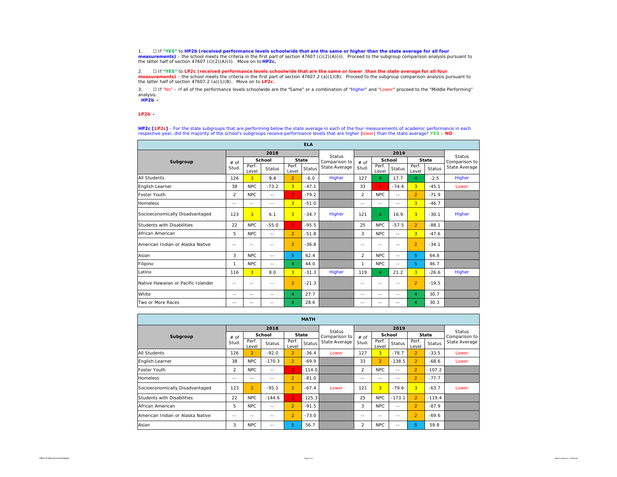1. I if "YES" to **HP2b (received performance levels schoolwide that are the same or higher than the state average for all four<br>measurements) - the school meets the criteria in the first part of section 47607 (c** 

2. ☐ If **"YES"** to **LP2c (received performance levels schoolwide that are the same or lower than the state average for all four measurements)** - the school meets the criteria in the first part of section 47607.2 (a)(1)(B). Proceed to the subgroup comparison analysis pursuant to the latter half of section 47607.2 (a)(1)(B). Move on to **LP2c.**

3. □ If "No" – If all of the performance levels schoolwide are the "Same" or a combination of "Higher" and "Lower" proceed to the "Middle Performing" analysis.

\* *HP2b -* 

#### \**LP2b -*

**HP2c [LP2c]** - For the state subgroups that are performing below the state average in each of the four measurements of academic performance in each respective year, did the majority of the school's subgroups receive performance levels that are higher [lower] than the state average? **YES** – **NO**

| <b>ELA</b>                          |                |                |                |                |               |               |                |                |               |                |               |               |
|-------------------------------------|----------------|----------------|----------------|----------------|---------------|---------------|----------------|----------------|---------------|----------------|---------------|---------------|
|                                     |                |                | 2018           |                |               | <b>Status</b> |                |                | <b>Status</b> |                |               |               |
| Subgroup                            | # of           |                | School         |                | <b>State</b>  | Comparison to | # of           |                | School        |                | <b>State</b>  | Comparison to |
|                                     | Stud.          | Perf.<br>Level | <b>Status</b>  | Perf.<br>Level | <b>Status</b> | State Average | Stud.          | Perf.<br>Level | <b>Status</b> | Perf.<br>Level | <b>Status</b> | State Average |
| <b>All Students</b>                 | 126            | 3              | 9.4            | $\mathcal{P}$  | $-6.0$        | Higher        | 127            | $\overline{4}$ | 17.7          | $\overline{4}$ | $-2.5$        | Higher        |
| English Learner                     | 38             | <b>NPC</b>     | $-73.2$        | 3              | $-47.1$       |               | 33             | 1              | $-74.4$       | $\overline{3}$ | $-45.1$       | Lower         |
| <b>Foster Youth</b>                 | $\overline{2}$ | <b>NPC</b>     | $\overline{a}$ | $\mathbf{1}$   | $-79.2$       |               | $\overline{2}$ | NPC            | $-1$          | $\overline{2}$ | $-71.9$       |               |
| <b>Homeless</b>                     | $-$            | $- -$          | $-$            | 3              | $-51.0$       |               | $-$            | $-1$           | $-1$          | $\overline{3}$ | $-46.7$       |               |
| Socioeconomically Disadvantaged     | 123            | $\overline{3}$ | 6.1            | 3              | $-34.7$       | Higher        | 121            | $\overline{4}$ | 16.9          | $\overline{3}$ | $-30.1$       | Higher        |
| Students with Disabilities          | 22             | <b>NPC</b>     | $-55.0$        | $\mathbf{1}$   | $-95.5$       |               | 25             | <b>NPC</b>     | $-57.5$       | $\overline{2}$ | $-88.1$       |               |
| African American                    | 5              | <b>NPC</b>     | $\sim$ $-$     | $\overline{2}$ | $-51.8$       |               | 3              | NPC            | $-$           | $\overline{3}$ | $-47.6$       |               |
| American Indian or Alaska Native    | $-$            | $-$            | $-$            | $\overline{2}$ | $-36.8$       |               | $-$            | $- -$          | $-1$          | $\mathcal{P}$  | $-34.1$       |               |
| Asian                               | 3              | NPC            | $-$            | 5.             | 62.4          |               | $\overline{2}$ | NPC            | $-$           | 5.             | 64.8          |               |
| Filipino                            | 1              | <b>NPC</b>     | $\overline{a}$ | $\overline{4}$ | 44.0          |               | $\mathbf{1}$   | <b>NPC</b>     | $-$           | 5.             | 46.7          |               |
| Latino                              | 116            | 3              | 8.0            | 3              | $-31.3$       | Higher        | 119            | $\overline{4}$ | 21.2          | $\overline{3}$ | $-26.6$       | Higher        |
| Native Hawaiian or Pacific Islander | --             | --             | $- -$          | $\overline{a}$ | $-21.3$       |               | --             | --             | $- -$         | $\overline{2}$ | $-19.5$       |               |
| White                               | $-$            | $ -$           | $-$            | $\overline{4}$ | 27.7          |               | $-$            | $-1$           | $-1$          | $\overline{4}$ | 30.7          |               |
| Two or More Races                   | $-$            | $-$            | $-$            | $\overline{4}$ | 28.6          |               | $-$            | $-$            | --            | 4              | 30.3          |               |

| <b>MATH</b>                      |                |                |               |                |               |               |                |                                                             |            |                |          |                                |  |
|----------------------------------|----------------|----------------|---------------|----------------|---------------|---------------|----------------|-------------------------------------------------------------|------------|----------------|----------|--------------------------------|--|
|                                  |                |                | 2018          |                |               | Status        |                |                                                             |            |                |          |                                |  |
| Subgroup                         | # of           |                | School        | <b>State</b>   |               | Comparison to | # of           |                                                             | School     | <b>State</b>   |          | <b>Status</b><br>Comparison to |  |
|                                  | Stud.          | Perf.<br>Level | <b>Status</b> | Perf.<br>Level | <b>Status</b> | State Average | Stud.          | Perf.<br>Perf.<br>Status<br><b>Status</b><br>Level<br>Level |            | State Average  |          |                                |  |
| <b>All Students</b>              | 126            | $\overline{2}$ | $-92.0$       | $\overline{2}$ | $-36.4$       | Lower         | 127            | 3 <sup>1</sup>                                              | $-78.7$    | $\overline{2}$ | $-33.5$  | Lower                          |  |
| English Learner                  | 38             | <b>NPC</b>     | $-170.3$      | $\overline{2}$ | $-69.9$       |               | 33             | $\overline{2}$                                              | $-138.5$   | $\mathcal{P}$  | $-68.6$  | Lower                          |  |
| Foster Youth                     | $\overline{2}$ | <b>NPC</b>     | $-1$          | 1.             | $-114.0$      |               | $\mathcal{P}$  | NPC                                                         | $- -$      | $\mathcal{P}$  | $-107.2$ |                                |  |
| <b>Homeless</b>                  | $- -$          | $- -$          | $- -$         | $\overline{2}$ | $-81.0$       |               | $-1$           | $-1$                                                        | $- -$      | $\mathcal{P}$  | $-77.7$  |                                |  |
| Socioeconomically Disadvantaged  | 123            | $\overline{2}$ | $-95.1$       | $\overline{2}$ | $-67.4$       | Lower         | 121            | 3                                                           | $-79.6$    | $\overline{3}$ | $-63.7$  | Lower                          |  |
| Students with Disabilities       | 22             | <b>NPC</b>     | $-144.6$      | $\mathbf{1}$   | $-125.3$      |               | 25             | <b>NPC</b>                                                  | $-173.1$   | $\mathcal{P}$  | $-119.4$ |                                |  |
| African American                 | 5              | <b>NPC</b>     | $\sim$ $-$    | $\overline{2}$ | $-91.5$       |               | 3              | <b>NPC</b>                                                  | $\sim$ $-$ | $\mathcal{P}$  | $-87.9$  |                                |  |
| American Indian or Alaska Native | $- -$          | --             | $-1$          | $\overline{2}$ | $-73.0$       |               | $ -$           | $-$                                                         | $ -$       | $\mathcal{P}$  | $-69.6$  |                                |  |
| Asian                            | 3              | <b>NPC</b>     | $- -$         | 5              | 56.7          |               | $\overline{2}$ | <b>NPC</b>                                                  | $-1$       | 5              | 59.8     |                                |  |